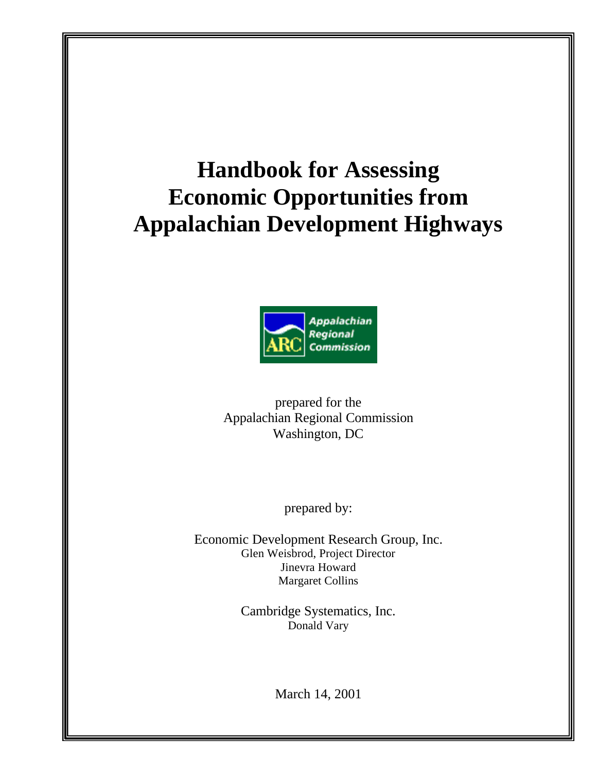# **Handbook for Assessing Economic Opportunities from Appalachian Development Highways**



prepared for the Appalachian Regional Commission Washington, DC

prepared by:

Economic Development Research Group, Inc. Glen Weisbrod, Project Director Jinevra Howard Margaret Collins

> Cambridge Systematics, Inc. Donald Vary

> > March 14, 2001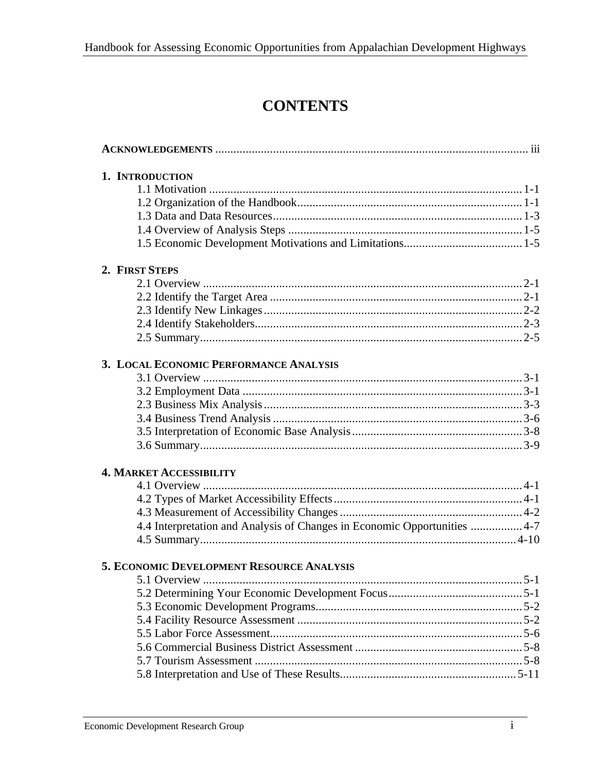## **CONTENTS**

| 1. INTRODUCTION                                                           |  |
|---------------------------------------------------------------------------|--|
|                                                                           |  |
|                                                                           |  |
|                                                                           |  |
|                                                                           |  |
|                                                                           |  |
| 2. FIRST STEPS                                                            |  |
|                                                                           |  |
|                                                                           |  |
|                                                                           |  |
|                                                                           |  |
|                                                                           |  |
| 3. LOCAL ECONOMIC PERFORMANCE ANALYSIS                                    |  |
|                                                                           |  |
|                                                                           |  |
|                                                                           |  |
|                                                                           |  |
|                                                                           |  |
|                                                                           |  |
| <b>4. MARKET ACCESSIBILITY</b>                                            |  |
|                                                                           |  |
|                                                                           |  |
|                                                                           |  |
| 4.4 Interpretation and Analysis of Changes in Economic Opportunities  4-7 |  |
|                                                                           |  |
| 5. ECONOMIC DEVELOPMENT RESOURCE ANALYSIS                                 |  |
|                                                                           |  |
|                                                                           |  |
|                                                                           |  |
|                                                                           |  |
|                                                                           |  |
|                                                                           |  |
|                                                                           |  |
|                                                                           |  |
|                                                                           |  |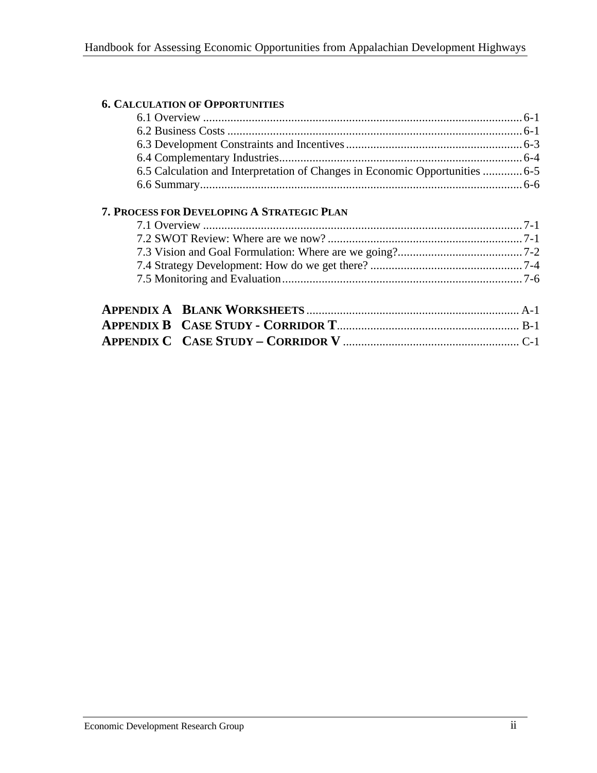| <b>6. CALCULATION OF OPPORTUNITIES</b>                                       |  |
|------------------------------------------------------------------------------|--|
|                                                                              |  |
|                                                                              |  |
|                                                                              |  |
|                                                                              |  |
| 6.5 Calculation and Interpretation of Changes in Economic Opportunities  6-5 |  |
|                                                                              |  |
|                                                                              |  |
|                                                                              |  |
|                                                                              |  |
|                                                                              |  |
|                                                                              |  |
|                                                                              |  |
|                                                                              |  |
|                                                                              |  |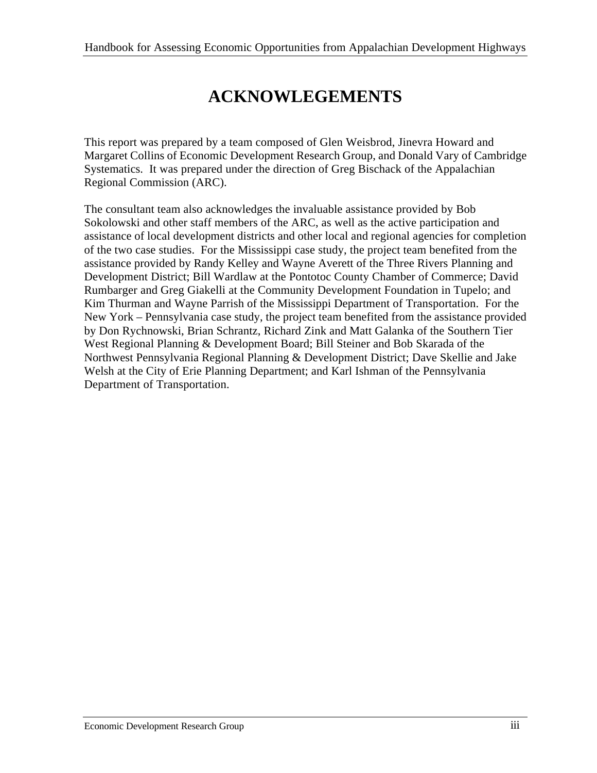## **ACKNOWLEGEMENTS**

This report was prepared by a team composed of Glen Weisbrod, Jinevra Howard and Margaret Collins of Economic Development Research Group, and Donald Vary of Cambridge Systematics. It was prepared under the direction of Greg Bischack of the Appalachian Regional Commission (ARC).

The consultant team also acknowledges the invaluable assistance provided by Bob Sokolowski and other staff members of the ARC, as well as the active participation and assistance of local development districts and other local and regional agencies for completion of the two case studies. For the Mississippi case study, the project team benefited from the assistance provided by Randy Kelley and Wayne Averett of the Three Rivers Planning and Development District; Bill Wardlaw at the Pontotoc County Chamber of Commerce; David Rumbarger and Greg Giakelli at the Community Development Foundation in Tupelo; and Kim Thurman and Wayne Parrish of the Mississippi Department of Transportation. For the New York – Pennsylvania case study, the project team benefited from the assistance provided by Don Rychnowski, Brian Schrantz, Richard Zink and Matt Galanka of the Southern Tier West Regional Planning & Development Board; Bill Steiner and Bob Skarada of the Northwest Pennsylvania Regional Planning & Development District; Dave Skellie and Jake Welsh at the City of Erie Planning Department; and Karl Ishman of the Pennsylvania Department of Transportation.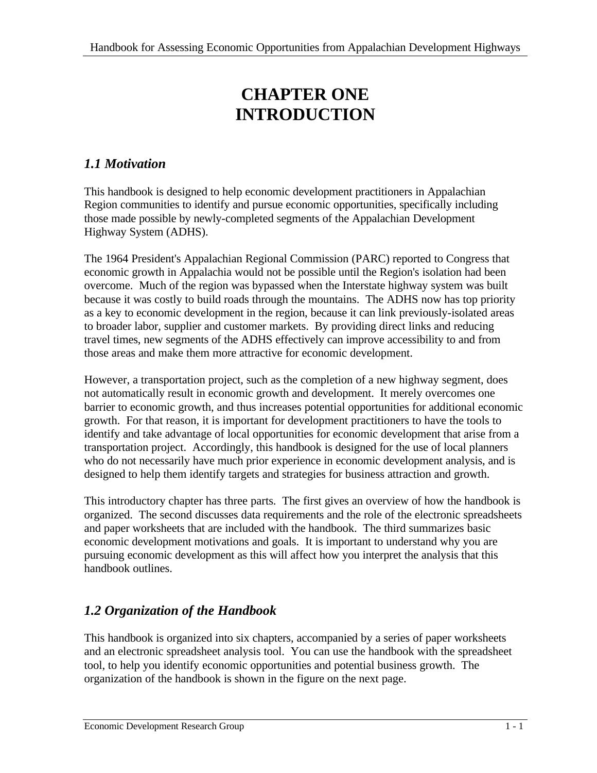## **CHAPTER ONE INTRODUCTION**

### *1.1 Motivation*

This handbook is designed to help economic development practitioners in Appalachian Region communities to identify and pursue economic opportunities, specifically including those made possible by newly-completed segments of the Appalachian Development Highway System (ADHS).

The 1964 President's Appalachian Regional Commission (PARC) reported to Congress that economic growth in Appalachia would not be possible until the Region's isolation had been overcome. Much of the region was bypassed when the Interstate highway system was built because it was costly to build roads through the mountains. The ADHS now has top priority as a key to economic development in the region, because it can link previously-isolated areas to broader labor, supplier and customer markets. By providing direct links and reducing travel times, new segments of the ADHS effectively can improve accessibility to and from those areas and make them more attractive for economic development.

However, a transportation project, such as the completion of a new highway segment, does not automatically result in economic growth and development. It merely overcomes one barrier to economic growth, and thus increases potential opportunities for additional economic growth. For that reason, it is important for development practitioners to have the tools to identify and take advantage of local opportunities for economic development that arise from a transportation project. Accordingly, this handbook is designed for the use of local planners who do not necessarily have much prior experience in economic development analysis, and is designed to help them identify targets and strategies for business attraction and growth.

This introductory chapter has three parts. The first gives an overview of how the handbook is organized. The second discusses data requirements and the role of the electronic spreadsheets and paper worksheets that are included with the handbook. The third summarizes basic economic development motivations and goals. It is important to understand why you are pursuing economic development as this will affect how you interpret the analysis that this handbook outlines.

## *1.2 Organization of the Handbook*

This handbook is organized into six chapters, accompanied by a series of paper worksheets and an electronic spreadsheet analysis tool. You can use the handbook with the spreadsheet tool, to help you identify economic opportunities and potential business growth. The organization of the handbook is shown in the figure on the next page.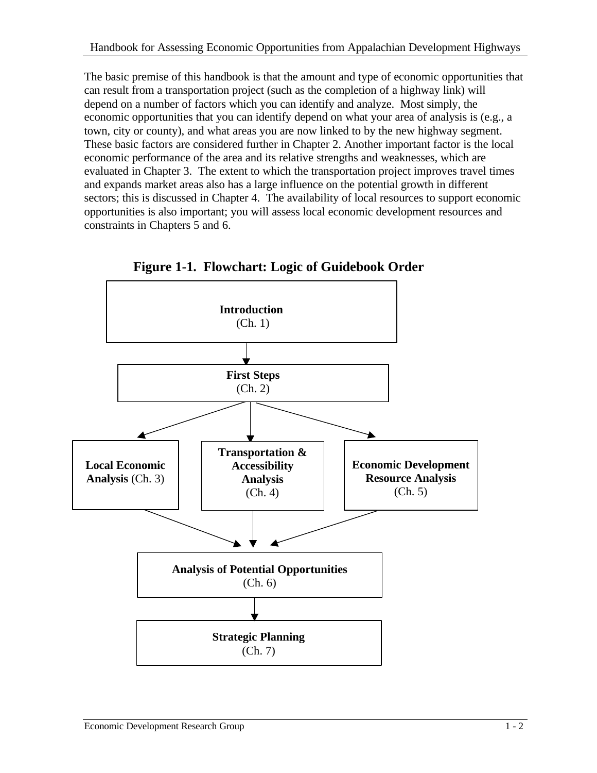The basic premise of this handbook is that the amount and type of economic opportunities that can result from a transportation project (such as the completion of a highway link) will depend on a number of factors which you can identify and analyze. Most simply, the economic opportunities that you can identify depend on what your area of analysis is (e.g., a town, city or county), and what areas you are now linked to by the new highway segment. These basic factors are considered further in Chapter 2. Another important factor is the local economic performance of the area and its relative strengths and weaknesses, which are evaluated in Chapter 3. The extent to which the transportation project improves travel times and expands market areas also has a large influence on the potential growth in different sectors; this is discussed in Chapter 4. The availability of local resources to support economic opportunities is also important; you will assess local economic development resources and constraints in Chapters 5 and 6.



 **Figure 1-1. Flowchart: Logic of Guidebook Order**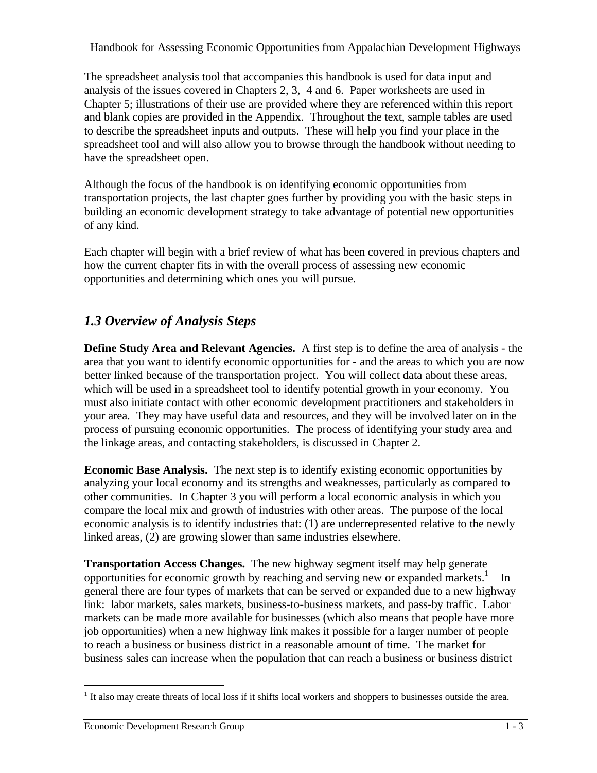The spreadsheet analysis tool that accompanies this handbook is used for data input and analysis of the issues covered in Chapters 2, 3, 4 and 6. Paper worksheets are used in Chapter 5; illustrations of their use are provided where they are referenced within this report and blank copies are provided in the Appendix. Throughout the text, sample tables are used to describe the spreadsheet inputs and outputs. These will help you find your place in the spreadsheet tool and will also allow you to browse through the handbook without needing to have the spreadsheet open.

Although the focus of the handbook is on identifying economic opportunities from transportation projects, the last chapter goes further by providing you with the basic steps in building an economic development strategy to take advantage of potential new opportunities of any kind.

Each chapter will begin with a brief review of what has been covered in previous chapters and how the current chapter fits in with the overall process of assessing new economic opportunities and determining which ones you will pursue.

## *1.3 Overview of Analysis Steps*

**Define Study Area and Relevant Agencies.** A first step is to define the area of analysis - the area that you want to identify economic opportunities for - and the areas to which you are now better linked because of the transportation project. You will collect data about these areas, which will be used in a spreadsheet tool to identify potential growth in your economy. You must also initiate contact with other economic development practitioners and stakeholders in your area. They may have useful data and resources, and they will be involved later on in the process of pursuing economic opportunities. The process of identifying your study area and the linkage areas, and contacting stakeholders, is discussed in Chapter 2.

**Economic Base Analysis.** The next step is to identify existing economic opportunities by analyzing your local economy and its strengths and weaknesses, particularly as compared to other communities. In Chapter 3 you will perform a local economic analysis in which you compare the local mix and growth of industries with other areas. The purpose of the local economic analysis is to identify industries that: (1) are underrepresented relative to the newly linked areas, (2) are growing slower than same industries elsewhere.

**Transportation Access Changes.** The new highway segment itself may help generate opportunities for economic growth by reaching and serving new or expanded markets.<sup>1</sup> In general there are four types of markets that can be served or expanded due to a new highway link: labor markets, sales markets, business-to-business markets, and pass-by traffic. Labor markets can be made more available for businesses (which also means that people have more job opportunities) when a new highway link makes it possible for a larger number of people to reach a business or business district in a reasonable amount of time. The market for business sales can increase when the population that can reach a business or business district

 $\overline{a}$ <sup>1</sup> It also may create threats of local loss if it shifts local workers and shoppers to businesses outside the area.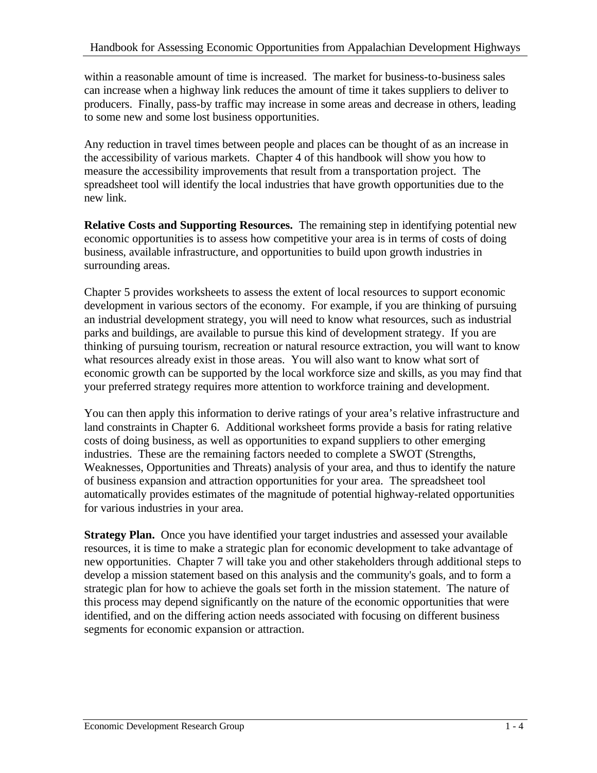within a reasonable amount of time is increased. The market for business-to-business sales can increase when a highway link reduces the amount of time it takes suppliers to deliver to producers. Finally, pass-by traffic may increase in some areas and decrease in others, leading to some new and some lost business opportunities.

Any reduction in travel times between people and places can be thought of as an increase in the accessibility of various markets. Chapter 4 of this handbook will show you how to measure the accessibility improvements that result from a transportation project. The spreadsheet tool will identify the local industries that have growth opportunities due to the new link.

**Relative Costs and Supporting Resources.** The remaining step in identifying potential new economic opportunities is to assess how competitive your area is in terms of costs of doing business, available infrastructure, and opportunities to build upon growth industries in surrounding areas.

Chapter 5 provides worksheets to assess the extent of local resources to support economic development in various sectors of the economy. For example, if you are thinking of pursuing an industrial development strategy, you will need to know what resources, such as industrial parks and buildings, are available to pursue this kind of development strategy. If you are thinking of pursuing tourism, recreation or natural resource extraction, you will want to know what resources already exist in those areas. You will also want to know what sort of economic growth can be supported by the local workforce size and skills, as you may find that your preferred strategy requires more attention to workforce training and development.

You can then apply this information to derive ratings of your area's relative infrastructure and land constraints in Chapter 6. Additional worksheet forms provide a basis for rating relative costs of doing business, as well as opportunities to expand suppliers to other emerging industries. These are the remaining factors needed to complete a SWOT (Strengths, Weaknesses, Opportunities and Threats) analysis of your area, and thus to identify the nature of business expansion and attraction opportunities for your area. The spreadsheet tool automatically provides estimates of the magnitude of potential highway-related opportunities for various industries in your area.

**Strategy Plan.** Once you have identified your target industries and assessed your available resources, it is time to make a strategic plan for economic development to take advantage of new opportunities. Chapter 7 will take you and other stakeholders through additional steps to develop a mission statement based on this analysis and the community's goals, and to form a strategic plan for how to achieve the goals set forth in the mission statement. The nature of this process may depend significantly on the nature of the economic opportunities that were identified, and on the differing action needs associated with focusing on different business segments for economic expansion or attraction.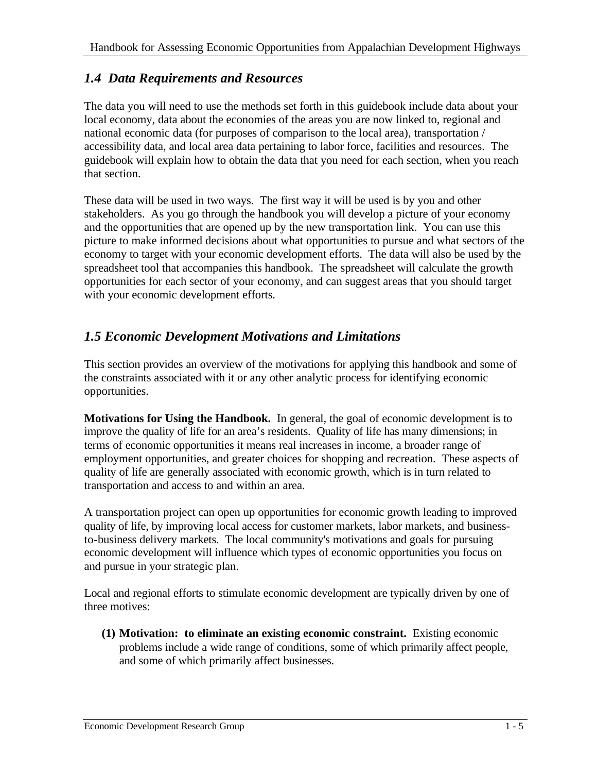### *1.4 Data Requirements and Resources*

The data you will need to use the methods set forth in this guidebook include data about your local economy, data about the economies of the areas you are now linked to, regional and national economic data (for purposes of comparison to the local area), transportation / accessibility data, and local area data pertaining to labor force, facilities and resources. The guidebook will explain how to obtain the data that you need for each section, when you reach that section.

These data will be used in two ways. The first way it will be used is by you and other stakeholders. As you go through the handbook you will develop a picture of your economy and the opportunities that are opened up by the new transportation link. You can use this picture to make informed decisions about what opportunities to pursue and what sectors of the economy to target with your economic development efforts. The data will also be used by the spreadsheet tool that accompanies this handbook. The spreadsheet will calculate the growth opportunities for each sector of your economy, and can suggest areas that you should target with your economic development efforts.

### *1.5 Economic Development Motivations and Limitations*

This section provides an overview of the motivations for applying this handbook and some of the constraints associated with it or any other analytic process for identifying economic opportunities.

**Motivations for Using the Handbook.** In general, the goal of economic development is to improve the quality of life for an area's residents. Quality of life has many dimensions; in terms of economic opportunities it means real increases in income, a broader range of employment opportunities, and greater choices for shopping and recreation. These aspects of quality of life are generally associated with economic growth, which is in turn related to transportation and access to and within an area.

A transportation project can open up opportunities for economic growth leading to improved quality of life, by improving local access for customer markets, labor markets, and businessto-business delivery markets. The local community's motivations and goals for pursuing economic development will influence which types of economic opportunities you focus on and pursue in your strategic plan.

Local and regional efforts to stimulate economic development are typically driven by one of three motives:

**(1) Motivation: to eliminate an existing economic constraint.** Existing economic problems include a wide range of conditions, some of which primarily affect people, and some of which primarily affect businesses.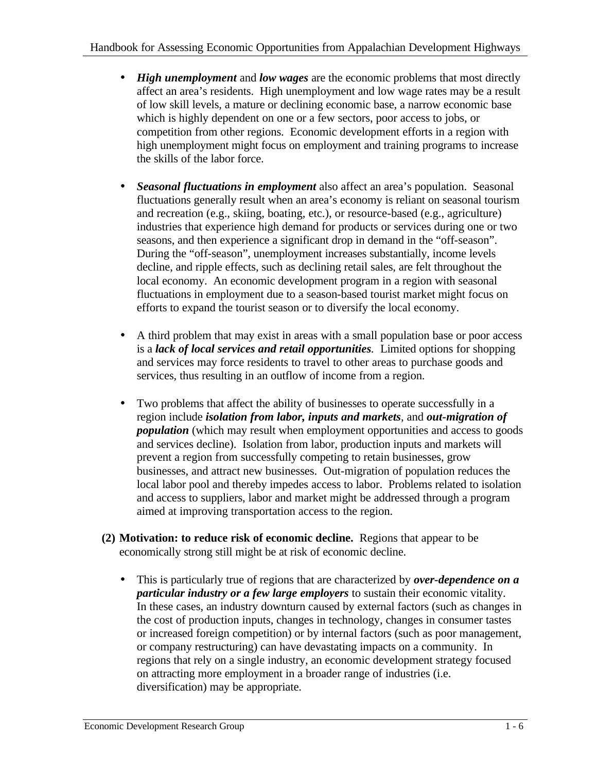- *High unemployment* and *low wages* are the economic problems that most directly affect an area's residents. High unemployment and low wage rates may be a result of low skill levels, a mature or declining economic base, a narrow economic base which is highly dependent on one or a few sectors, poor access to jobs, or competition from other regions. Economic development efforts in a region with high unemployment might focus on employment and training programs to increase the skills of the labor force.
- *Seasonal fluctuations in employment* also affect an area's population. Seasonal fluctuations generally result when an area's economy is reliant on seasonal tourism and recreation (e.g., skiing, boating, etc.), or resource-based (e.g., agriculture) industries that experience high demand for products or services during one or two seasons, and then experience a significant drop in demand in the "off-season". During the "off-season", unemployment increases substantially, income levels decline, and ripple effects, such as declining retail sales, are felt throughout the local economy. An economic development program in a region with seasonal fluctuations in employment due to a season-based tourist market might focus on efforts to expand the tourist season or to diversify the local economy.
- A third problem that may exist in areas with a small population base or poor access is a *lack of local services and retail opportunities.* Limited options for shopping and services may force residents to travel to other areas to purchase goods and services, thus resulting in an outflow of income from a region.
- Two problems that affect the ability of businesses to operate successfully in a region include *isolation from labor, inputs and markets*, and *out-migration of population* (which may result when employment opportunities and access to goods and services decline). Isolation from labor, production inputs and markets will prevent a region from successfully competing to retain businesses, grow businesses, and attract new businesses. Out-migration of population reduces the local labor pool and thereby impedes access to labor. Problems related to isolation and access to suppliers, labor and market might be addressed through a program aimed at improving transportation access to the region.
- **(2) Motivation: to reduce risk of economic decline.** Regions that appear to be economically strong still might be at risk of economic decline.
	- This is particularly true of regions that are characterized by *over-dependence on a particular industry or a few large employers* to sustain their economic vitality. In these cases, an industry downturn caused by external factors (such as changes in the cost of production inputs, changes in technology, changes in consumer tastes or increased foreign competition) or by internal factors (such as poor management, or company restructuring) can have devastating impacts on a community. In regions that rely on a single industry, an economic development strategy focused on attracting more employment in a broader range of industries (i.e. diversification) may be appropriate.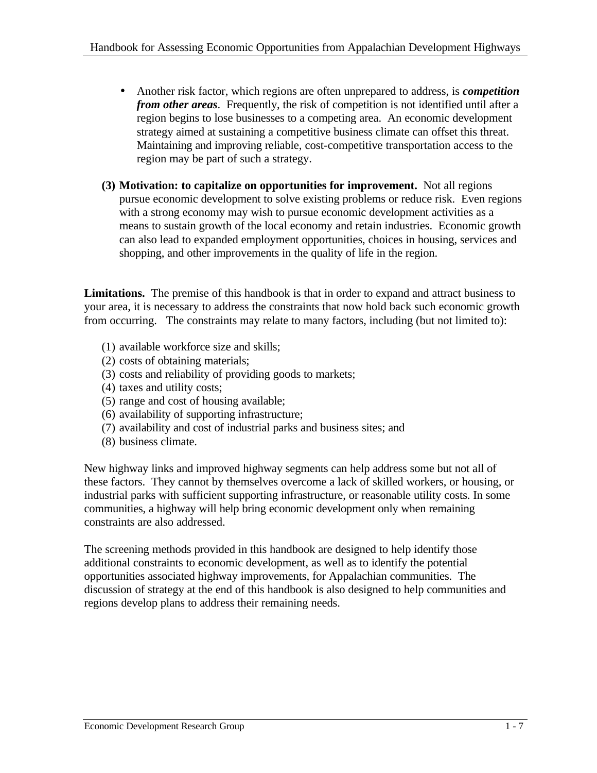- Another risk factor, which regions are often unprepared to address, is *competition from other areas.* Frequently, the risk of competition is not identified until after a region begins to lose businesses to a competing area. An economic development strategy aimed at sustaining a competitive business climate can offset this threat. Maintaining and improving reliable, cost-competitive transportation access to the region may be part of such a strategy.
- **(3) Motivation: to capitalize on opportunities for improvement.** Not all regions pursue economic development to solve existing problems or reduce risk. Even regions with a strong economy may wish to pursue economic development activities as a means to sustain growth of the local economy and retain industries. Economic growth can also lead to expanded employment opportunities, choices in housing, services and shopping, and other improvements in the quality of life in the region.

**Limitations.** The premise of this handbook is that in order to expand and attract business to your area, it is necessary to address the constraints that now hold back such economic growth from occurring. The constraints may relate to many factors, including (but not limited to):

- (1) available workforce size and skills;
- (2) costs of obtaining materials;
- (3) costs and reliability of providing goods to markets;
- (4) taxes and utility costs;
- (5) range and cost of housing available;
- (6) availability of supporting infrastructure;
- (7) availability and cost of industrial parks and business sites; and
- (8) business climate.

New highway links and improved highway segments can help address some but not all of these factors. They cannot by themselves overcome a lack of skilled workers, or housing, or industrial parks with sufficient supporting infrastructure, or reasonable utility costs. In some communities, a highway will help bring economic development only when remaining constraints are also addressed.

The screening methods provided in this handbook are designed to help identify those additional constraints to economic development, as well as to identify the potential opportunities associated highway improvements, for Appalachian communities. The discussion of strategy at the end of this handbook is also designed to help communities and regions develop plans to address their remaining needs.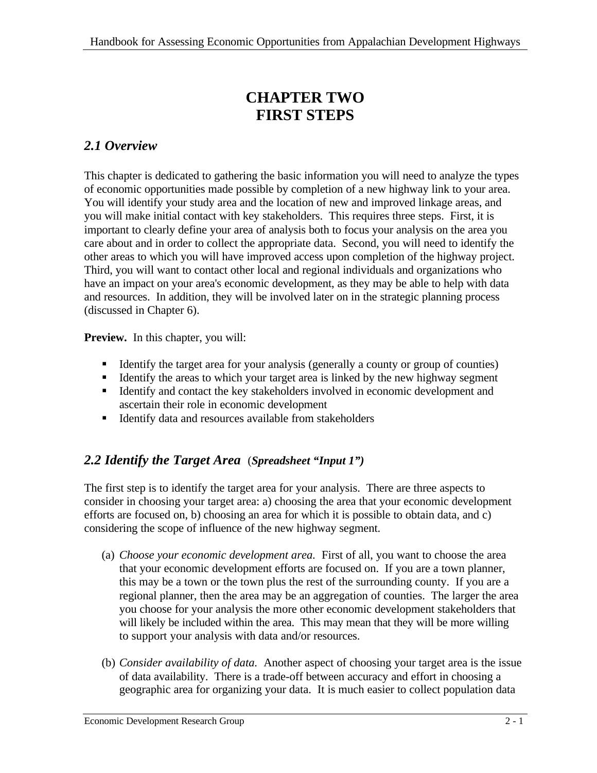## **CHAPTER TWO FIRST STEPS**

## *2.1 Overview*

This chapter is dedicated to gathering the basic information you will need to analyze the types of economic opportunities made possible by completion of a new highway link to your area. You will identify your study area and the location of new and improved linkage areas, and you will make initial contact with key stakeholders. This requires three steps. First, it is important to clearly define your area of analysis both to focus your analysis on the area you care about and in order to collect the appropriate data. Second, you will need to identify the other areas to which you will have improved access upon completion of the highway project. Third, you will want to contact other local and regional individuals and organizations who have an impact on your area's economic development, as they may be able to help with data and resources. In addition, they will be involved later on in the strategic planning process (discussed in Chapter 6).

**Preview.** In this chapter, you will:

- ß Identify the target area for your analysis (generally a county or group of counties)
- ß Identify the areas to which your target area is linked by the new highway segment
- Identify and contact the key stakeholders involved in economic development and ascertain their role in economic development
- **IDENTIFY data and resources available from stakeholders**

## *2.2 Identify the Target Area* (*Spreadsheet "Input 1")*

The first step is to identify the target area for your analysis. There are three aspects to consider in choosing your target area: a) choosing the area that your economic development efforts are focused on, b) choosing an area for which it is possible to obtain data, and c) considering the scope of influence of the new highway segment.

- (a) *Choose your economic development area.* First of all, you want to choose the area that your economic development efforts are focused on. If you are a town planner, this may be a town or the town plus the rest of the surrounding county. If you are a regional planner, then the area may be an aggregation of counties. The larger the area you choose for your analysis the more other economic development stakeholders that will likely be included within the area. This may mean that they will be more willing to support your analysis with data and/or resources.
- (b) *Consider availability of data.* Another aspect of choosing your target area is the issue of data availability. There is a trade-off between accuracy and effort in choosing a geographic area for organizing your data. It is much easier to collect population data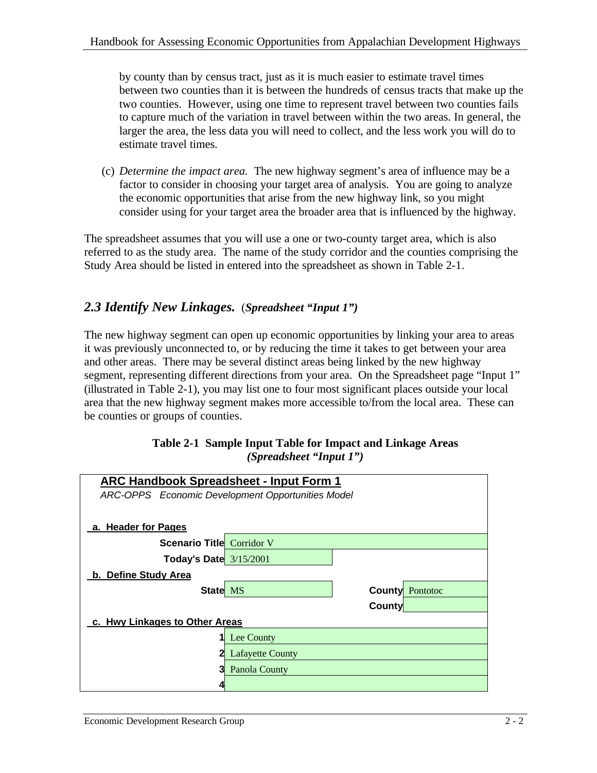by county than by census tract, just as it is much easier to estimate travel times between two counties than it is between the hundreds of census tracts that make up the two counties. However, using one time to represent travel between two counties fails to capture much of the variation in travel between within the two areas. In general, the larger the area, the less data you will need to collect, and the less work you will do to estimate travel times.

(c) *Determine the impact area.* The new highway segment's area of influence may be a factor to consider in choosing your target area of analysis. You are going to analyze the economic opportunities that arise from the new highway link, so you might consider using for your target area the broader area that is influenced by the highway.

The spreadsheet assumes that you will use a one or two-county target area, which is also referred to as the study area. The name of the study corridor and the counties comprising the Study Area should be listed in entered into the spreadsheet as shown in Table 2-1.

### *2.3 Identify New Linkages.* (*Spreadsheet "Input 1")*

The new highway segment can open up economic opportunities by linking your area to areas it was previously unconnected to, or by reducing the time it takes to get between your area and other areas. There may be several distinct areas being linked by the new highway segment, representing different directions from your area. On the Spreadsheet page "Input 1" (illustrated in Table 2-1), you may list one to four most significant places outside your local area that the new highway segment makes more accessible to/from the local area. These can be counties or groups of counties.

| Table 2-1 Sample Input Table for Impact and Linkage Areas |
|-----------------------------------------------------------|
| (Spreadsheet "Input $1$ ")                                |

| <b>ARC Handbook Spreadsheet - Input Form 1</b>    |                         |  |  |  |  |  |  |  |
|---------------------------------------------------|-------------------------|--|--|--|--|--|--|--|
| ARC-OPPS Economic Development Opportunities Model |                         |  |  |  |  |  |  |  |
|                                                   |                         |  |  |  |  |  |  |  |
| a. Header for Pages                               |                         |  |  |  |  |  |  |  |
| <b>Scenario Title Corridor V</b>                  |                         |  |  |  |  |  |  |  |
| Today's Date $3/15/2001$                          |                         |  |  |  |  |  |  |  |
| b. Define Study Area                              |                         |  |  |  |  |  |  |  |
| State MS                                          | <b>County Pontotoc</b>  |  |  |  |  |  |  |  |
|                                                   | County                  |  |  |  |  |  |  |  |
| c. Hwy Linkages to Other Areas                    |                         |  |  |  |  |  |  |  |
|                                                   | Lee County              |  |  |  |  |  |  |  |
| 21                                                | <b>Lafayette County</b> |  |  |  |  |  |  |  |
| 31                                                | Panola County           |  |  |  |  |  |  |  |
|                                                   |                         |  |  |  |  |  |  |  |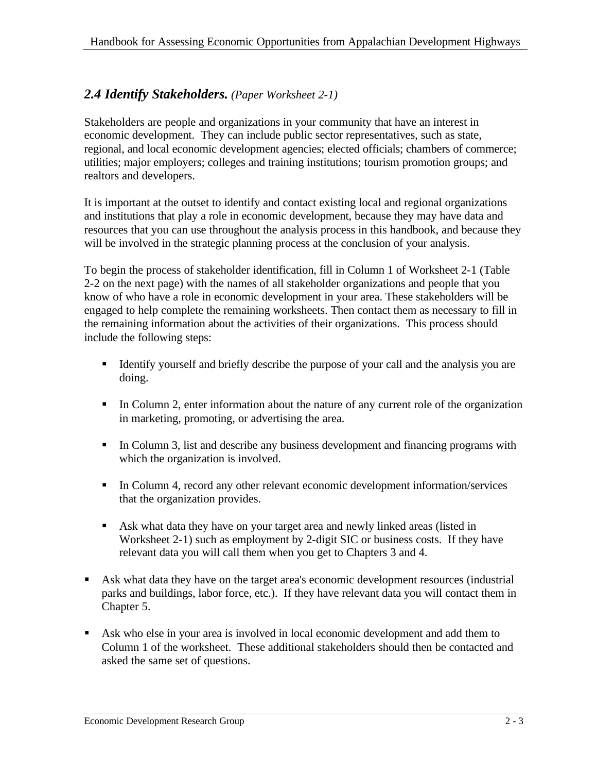#### *2.4 Identify Stakeholders. (Paper Worksheet 2-1)*

Stakeholders are people and organizations in your community that have an interest in economic development. They can include public sector representatives, such as state, regional, and local economic development agencies; elected officials; chambers of commerce; utilities; major employers; colleges and training institutions; tourism promotion groups; and realtors and developers.

It is important at the outset to identify and contact existing local and regional organizations and institutions that play a role in economic development, because they may have data and resources that you can use throughout the analysis process in this handbook, and because they will be involved in the strategic planning process at the conclusion of your analysis.

To begin the process of stakeholder identification, fill in Column 1 of Worksheet 2-1 (Table 2-2 on the next page) with the names of all stakeholder organizations and people that you know of who have a role in economic development in your area. These stakeholders will be engaged to help complete the remaining worksheets. Then contact them as necessary to fill in the remaining information about the activities of their organizations. This process should include the following steps:

- Identify yourself and briefly describe the purpose of your call and the analysis you are doing.
- In Column 2, enter information about the nature of any current role of the organization in marketing, promoting, or advertising the area.
- In Column 3, list and describe any business development and financing programs with which the organization is involved.
- In Column 4, record any other relevant economic development information/services that the organization provides.
- ß Ask what data they have on your target area and newly linked areas (listed in Worksheet 2-1) such as employment by 2-digit SIC or business costs. If they have relevant data you will call them when you get to Chapters 3 and 4.
- Ask what data they have on the target area's economic development resources (industrial parks and buildings, labor force, etc.). If they have relevant data you will contact them in Chapter 5.
- **Ask** who else in your area is involved in local economic development and add them to Column 1 of the worksheet. These additional stakeholders should then be contacted and asked the same set of questions.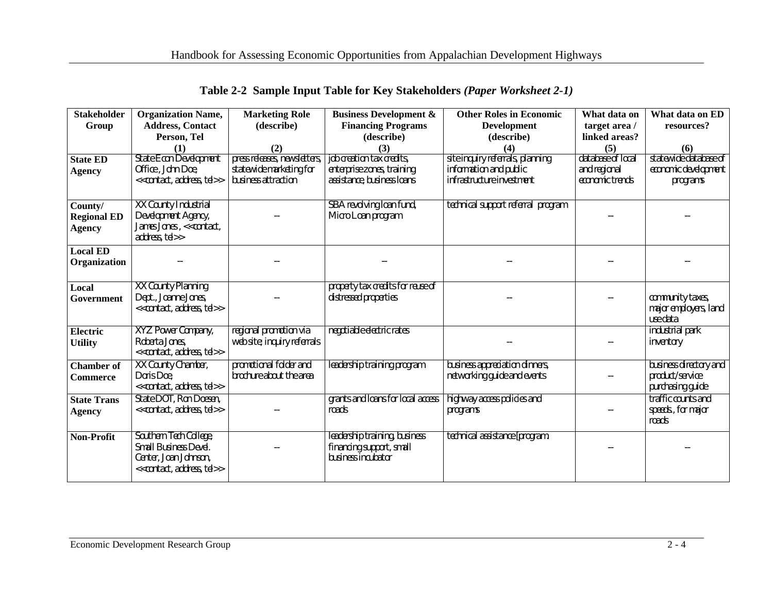| <b>Stakeholder</b> | <b>Organization Name,</b>                                               | <b>Marketing Role</b>        | <b>Business Development &amp;</b>              | <b>Other Roles in Economic</b>                                | What data on      | What data on ED                           |
|--------------------|-------------------------------------------------------------------------|------------------------------|------------------------------------------------|---------------------------------------------------------------|-------------------|-------------------------------------------|
| Group              | <b>Address, Contact</b>                                                 | (describe)                   | <b>Financing Programs</b>                      | <b>Development</b>                                            | target area /     | resources?                                |
|                    | Person, Tel                                                             |                              | (describe)                                     | (describe)                                                    | linked areas?     |                                           |
|                    | (1)                                                                     | (2)                          | (3)                                            | (4)                                                           | (5)               | (6)                                       |
| <b>State ED</b>    | <b>State Econ Development</b>                                           | press releases, newsletters, | job creation tax credits,                      | site inquiry referrals, planning                              | database of local | statewide database of                     |
| <b>Agency</b>      | Office, John Doe,                                                       | statewide marketing for      | enterprise zones, training                     | information and public                                        | and regional      | economic development                      |
|                    | < <contact, address,="" tel="">&gt;</contact,>                          | business attraction          | assistance, business loans                     | infrastructure investment                                     | economic trends   | programs                                  |
|                    |                                                                         |                              |                                                |                                                               |                   |                                           |
| County/            | XX County Industrial                                                    |                              | SBA revolving loan fund,                       | technical support referral program                            |                   |                                           |
| <b>Regional ED</b> | Development Agency,                                                     |                              | Micro Loan program                             |                                                               |                   |                                           |
| <b>Agency</b>      | James Jones, << contact,                                                |                              |                                                |                                                               |                   |                                           |
|                    | address, tel>>                                                          |                              |                                                |                                                               |                   |                                           |
| <b>Local ED</b>    |                                                                         |                              |                                                |                                                               |                   |                                           |
| Organization       |                                                                         |                              |                                                |                                                               |                   |                                           |
|                    |                                                                         |                              |                                                |                                                               |                   |                                           |
| Local              | XX County Planning                                                      |                              | property tax credits for reuse of              |                                                               |                   |                                           |
| Government         | Dept., Joanne Jones,                                                    |                              | distressed properties                          |                                                               |                   | community taxes,                          |
|                    | < <contact, address,="" tel="">&gt;</contact,>                          |                              |                                                |                                                               |                   | major employers, land                     |
|                    |                                                                         |                              |                                                |                                                               |                   | use data                                  |
| Electric           | XYZ Power Company,<br>Roberta Jones,                                    | regional promotion via       | negotiable electric rates                      |                                                               |                   | industrial park                           |
| <b>Utility</b>     | < <contact, address,="" tel="">&gt;</contact,>                          | web site; inquiry referrals  |                                                |                                                               |                   | inventory                                 |
|                    |                                                                         | promotional folder and       |                                                |                                                               |                   |                                           |
| <b>Chamber</b> of  | XX County Chamber,<br>Doris Doe,                                        | brochure about the area      | leadership training program                    | business appreciation dinners,<br>networking guide and events |                   | business directory and<br>product/service |
| <b>Commerce</b>    | < <contact, address,="" tel="">&gt;</contact,>                          |                              |                                                |                                                               |                   | purchasing guide                          |
| <b>State Trans</b> | State DOT, Ron Doesen,                                                  |                              | grants and loans for local access              | highway access policies and                                   |                   | traffic counts and                        |
|                    | < <contact, address,="" tel="">&gt;</contact,>                          |                              | roads                                          | programs                                                      |                   | speeds., for major                        |
| <b>Agency</b>      |                                                                         |                              |                                                |                                                               |                   | roads                                     |
|                    |                                                                         |                              |                                                |                                                               |                   |                                           |
| Non-Profit         | Southern Tech College,                                                  |                              | leadership training, business                  | technical assistance [program.                                |                   |                                           |
|                    | Small Business Devel.                                                   |                              | financing support, small<br>business incubator |                                                               |                   |                                           |
|                    | Center, Joan Johnson,<br>< <contact, address,="" tel="">&gt;</contact,> |                              |                                                |                                                               |                   |                                           |
|                    |                                                                         |                              |                                                |                                                               |                   |                                           |

|  |  |  | Table 2-2 Sample Input Table for Key Stakeholders (Paper Worksheet 2-1) |  |  |
|--|--|--|-------------------------------------------------------------------------|--|--|
|--|--|--|-------------------------------------------------------------------------|--|--|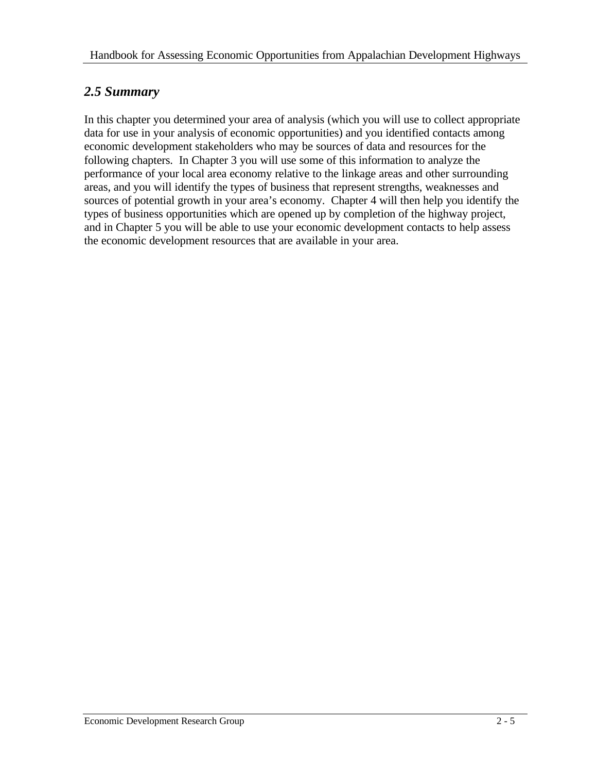#### *2.5 Summary*

In this chapter you determined your area of analysis (which you will use to collect appropriate data for use in your analysis of economic opportunities) and you identified contacts among economic development stakeholders who may be sources of data and resources for the following chapters. In Chapter 3 you will use some of this information to analyze the performance of your local area economy relative to the linkage areas and other surrounding areas, and you will identify the types of business that represent strengths, weaknesses and sources of potential growth in your area's economy. Chapter 4 will then help you identify the types of business opportunities which are opened up by completion of the highway project, and in Chapter 5 you will be able to use your economic development contacts to help assess the economic development resources that are available in your area.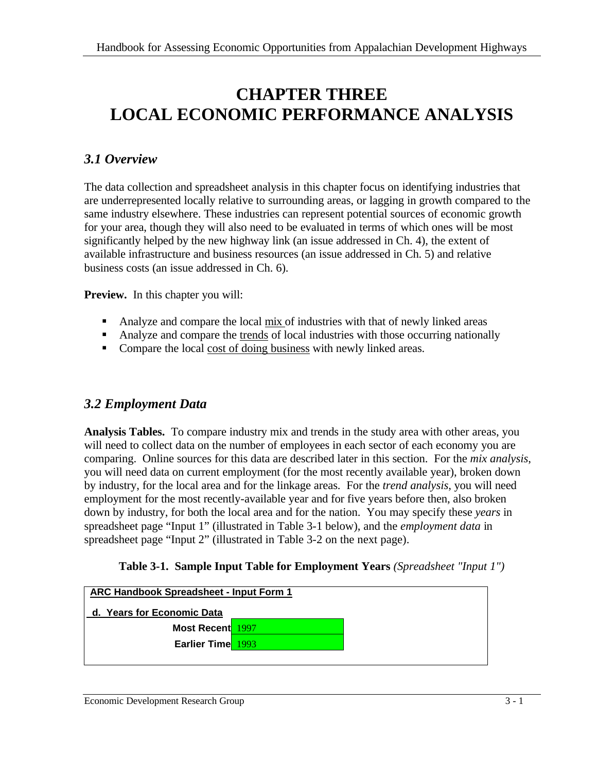## **CHAPTER THREE LOCAL ECONOMIC PERFORMANCE ANALYSIS**

### *3.1 Overview*

The data collection and spreadsheet analysis in this chapter focus on identifying industries that are underrepresented locally relative to surrounding areas, or lagging in growth compared to the same industry elsewhere. These industries can represent potential sources of economic growth for your area, though they will also need to be evaluated in terms of which ones will be most significantly helped by the new highway link (an issue addressed in Ch. 4), the extent of available infrastructure and business resources (an issue addressed in Ch. 5) and relative business costs (an issue addressed in Ch. 6).

**Preview.** In this chapter you will:

- Analyze and compare the local mix of industries with that of newly linked areas
- Analyze and compare the trends of local industries with those occurring nationally
- Compare the local cost of doing business with newly linked areas.

#### *3.2 Employment Data*

**Analysis Tables.** To compare industry mix and trends in the study area with other areas, you will need to collect data on the number of employees in each sector of each economy you are comparing. Online sources for this data are described later in this section. For the *mix analysis*, you will need data on current employment (for the most recently available year), broken down by industry, for the local area and for the linkage areas. For the *trend analysis*, you will need employment for the most recently-available year and for five years before then, also broken down by industry, for both the local area and for the nation. You may specify these *years* in spreadsheet page "Input 1" (illustrated in Table 3-1 below), and the *employment data* in spreadsheet page "Input 2" (illustrated in Table 3-2 on the next page).

|  | Table 3-1. Sample Input Table for Employment Years (Spreadsheet "Input 1") |  |  |  |  |  |  |
|--|----------------------------------------------------------------------------|--|--|--|--|--|--|
|--|----------------------------------------------------------------------------|--|--|--|--|--|--|

| <b>ARC Handbook Spreadsheet - Input Form 1</b> |  |  |  |  |
|------------------------------------------------|--|--|--|--|
| d. Years for Economic Data                     |  |  |  |  |
| <b>Most Recent</b> 1997                        |  |  |  |  |
| Earlier Time 1993                              |  |  |  |  |
|                                                |  |  |  |  |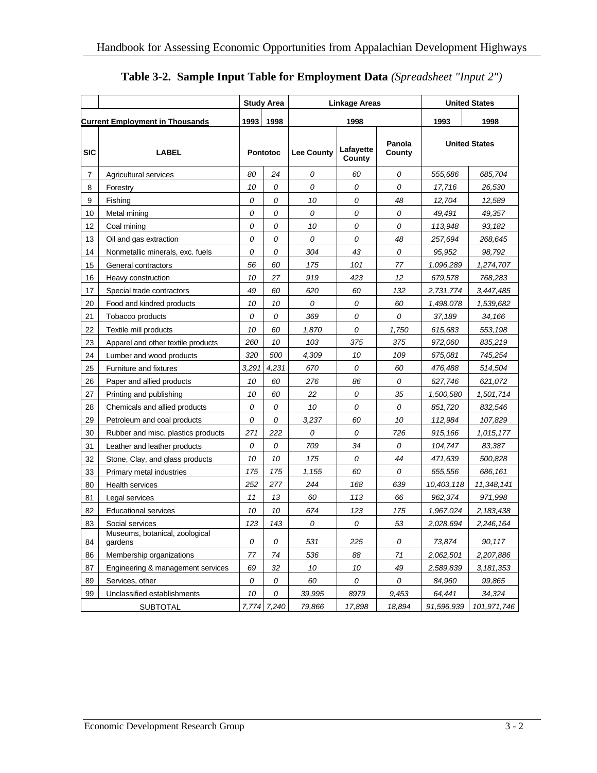|                |                                           |       | Study Area      | <b>Linkage Areas</b> |                     | <b>United States</b> |            |                      |
|----------------|-------------------------------------------|-------|-----------------|----------------------|---------------------|----------------------|------------|----------------------|
|                | <b>Current Employment in Thousands</b>    | 1993  | 1998            |                      | 1998                |                      | 1993       | 1998                 |
|                |                                           |       |                 |                      |                     |                      |            |                      |
| <b>SIC</b>     | <b>LABEL</b>                              |       | <b>Pontotoc</b> | <b>Lee County</b>    | Lafayette<br>County | Panola<br>County     |            | <b>United States</b> |
| $\overline{7}$ | Agricultural services                     | 80    | 24              | 0                    | 60                  | 0                    | 555,686    | 685,704              |
| 8              | Forestry                                  | 10    | 0               | 0                    | 0                   | 0                    | 17,716     | 26,530               |
| 9              | Fishing                                   | 0     | 0               | 10                   | 0                   | 48                   | 12,704     | 12,589               |
| 10             | Metal mining                              | 0     | 0               | 0                    | 0                   | 0                    | 49,491     | 49,357               |
| 12             | Coal mining                               | 0     | 0               | 10                   | 0                   | 0                    | 113,948    | 93,182               |
| 13             | Oil and gas extraction                    | 0     | 0               | 0                    | 0                   | 48                   | 257,694    | 268,645              |
| 14             | Nonmetallic minerals, exc. fuels          | 0     | 0               | 304                  | 43                  | 0                    | 95,952     | 98,792               |
| 15             | General contractors                       | 56    | 60              | 175                  | 101                 | 77                   | 1,096,289  | 1,274,707            |
| 16             | Heavy construction                        | 10    | 27              | 919                  | 423                 | 12                   | 679,578    | 768,283              |
| 17             | Special trade contractors                 | 49    | 60              | 620                  | 60                  | 132                  | 2,731,774  | 3,447,485            |
| 20             | Food and kindred products                 | 10    | 10              | 0                    | 0                   | 60                   | 1,498,078  | 1,539,682            |
| 21             | Tobacco products                          | 0     | 0               | 369                  | 0                   | 0                    | 37,189     | 34,166               |
| 22             | Textile mill products                     | 10    | 60              | 1,870                | 0                   | 1,750                | 615,683    | 553,198              |
| 23             | Apparel and other textile products        | 260   | 10              | 103                  | 375                 | 375                  | 972,060    | 835,219              |
| 24             | Lumber and wood products                  | 320   | 500             | 4,309                | 10                  | 109                  | 675,081    | 745,254              |
| 25             | Furniture and fixtures                    | 3,291 | 4,231           | 670                  | 0                   | 60                   | 476,488    | 514,504              |
| 26             | Paper and allied products                 | 10    | 60              | 276                  | 86                  | 0                    | 627,746    | 621,072              |
| 27             | Printing and publishing                   | 10    | 60              | 22                   | 0                   | 35                   | 1,500,580  | 1,501,714            |
| 28             | Chemicals and allied products             | 0     | 0               | 10                   | 0                   | 0                    | 851,720    | 832,546              |
| 29             | Petroleum and coal products               | 0     | 0               | 3,237                | 60                  | 10                   | 112,984    | 107,829              |
| 30             | Rubber and misc. plastics products        | 271   | 222             | 0                    | 0                   | 726                  | 915,166    | 1,015,177            |
| 31             | Leather and leather products              | 0     | 0               | 709                  | 34                  | 0                    | 104,747    | 83,387               |
| 32             | Stone, Clay, and glass products           | 10    | 10              | 175                  | 0                   | 44                   | 471,639    | 500,828              |
| 33             | Primary metal industries                  | 175   | 175             | 1,155                | 60                  | 0                    | 655,556    | 686,161              |
| 80             | <b>Health services</b>                    | 252   | 277             | 244                  | 168                 | 639                  | 10,403,118 | 11,348,141           |
| 81             | Legal services                            | 11    | 13              | 60                   | 113                 | 66                   | 962,374    | 971,998              |
| 82             | <b>Educational services</b>               | 10    | 10              | 674                  | 123                 | 175                  | 1,967,024  | 2,183,438            |
| 83             | Social services                           | 123   | 143             | 0                    | 0                   | 53                   | 2,028,694  | 2,246,164            |
| 84             | Museums, botanical, zoological<br>gardens | 0     | 0               | 531                  | 225                 | 0                    | 73,874     | 90,117               |
| 86             | Membership organizations                  | 77    | 74              | 536                  | 88                  | 71                   | 2,062,501  | 2,207,886            |
| 87             | Engineering & management services         | 69    | 32              | 10                   | 10                  | 49                   | 2,589,839  | 3, 181, 353          |
| 89             | Services, other                           | 0     | 0               | 60                   | 0                   | 0                    | 84,960     | 99,865               |
| 99             | Unclassified establishments               | 10    | 0               | 39,995               | 8979                | 9,453                | 64,441     | 34,324               |
|                | <b>SUBTOTAL</b>                           |       | 7,774 7,240     | 79,866               | 17,898              | 18,894               | 91,596,939 | 101,971,746          |

#### **Table 3-2. Sample Input Table for Employment Data** *(Spreadsheet "Input 2")*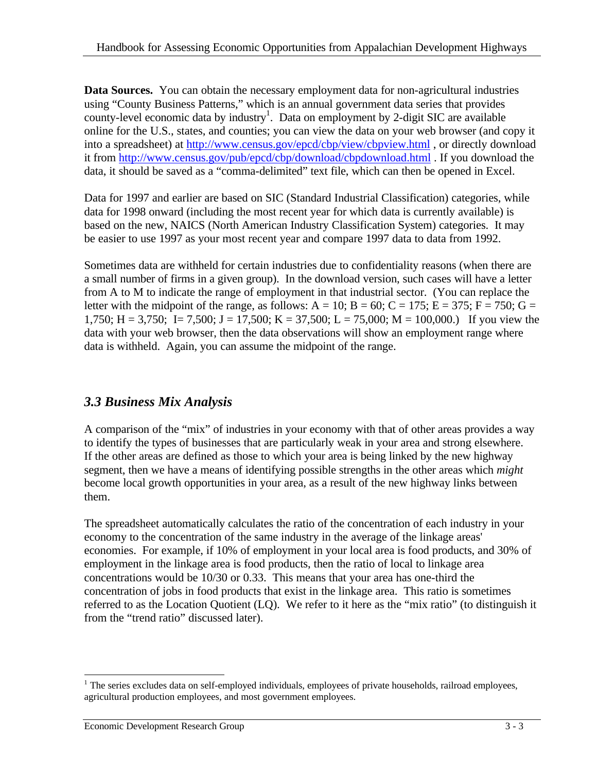**Data Sources.** You can obtain the necessary employment data for non-agricultural industries using "County Business Patterns," which is an annual government data series that provides county-level economic data by industry<sup>1</sup>. Data on employment by 2-digit SIC are available online for the U.S., states, and counties; you can view the data on your web browser (and copy it into a spreadsheet) at http://www.census.gov/epcd/cbp/view/cbpview.html , or directly download it from http://www.census.gov/pub/epcd/cbp/download/cbpdownload.html . If you download the data, it should be saved as a "comma-delimited" text file, which can then be opened in Excel.

Data for 1997 and earlier are based on SIC (Standard Industrial Classification) categories, while data for 1998 onward (including the most recent year for which data is currently available) is based on the new, NAICS (North American Industry Classification System) categories. It may be easier to use 1997 as your most recent year and compare 1997 data to data from 1992.

Sometimes data are withheld for certain industries due to confidentiality reasons (when there are a small number of firms in a given group). In the download version, such cases will have a letter from A to M to indicate the range of employment in that industrial sector. (You can replace the letter with the midpoint of the range, as follows:  $A = 10$ ;  $B = 60$ ;  $C = 175$ ;  $E = 375$ ;  $F = 750$ ;  $G =$ 1,750; H = 3,750; I = 7,500; J = 17,500; K = 37,500; L = 75,000; M = 100,000.) If you view the data with your web browser, then the data observations will show an employment range where data is withheld. Again, you can assume the midpoint of the range.

### *3.3 Business Mix Analysis*

A comparison of the "mix" of industries in your economy with that of other areas provides a way to identify the types of businesses that are particularly weak in your area and strong elsewhere. If the other areas are defined as those to which your area is being linked by the new highway segment, then we have a means of identifying possible strengths in the other areas which *might*  become local growth opportunities in your area, as a result of the new highway links between them.

The spreadsheet automatically calculates the ratio of the concentration of each industry in your economy to the concentration of the same industry in the average of the linkage areas' economies. For example, if 10% of employment in your local area is food products, and 30% of employment in the linkage area is food products, then the ratio of local to linkage area concentrations would be 10/30 or 0.33. This means that your area has one-third the concentration of jobs in food products that exist in the linkage area. This ratio is sometimes referred to as the Location Quotient (LQ). We refer to it here as the "mix ratio" (to distinguish it from the "trend ratio" discussed later).

 $\overline{a}$ <sup>1</sup> The series excludes data on self-employed individuals, employees of private households, railroad employees, agricultural production employees, and most government employees.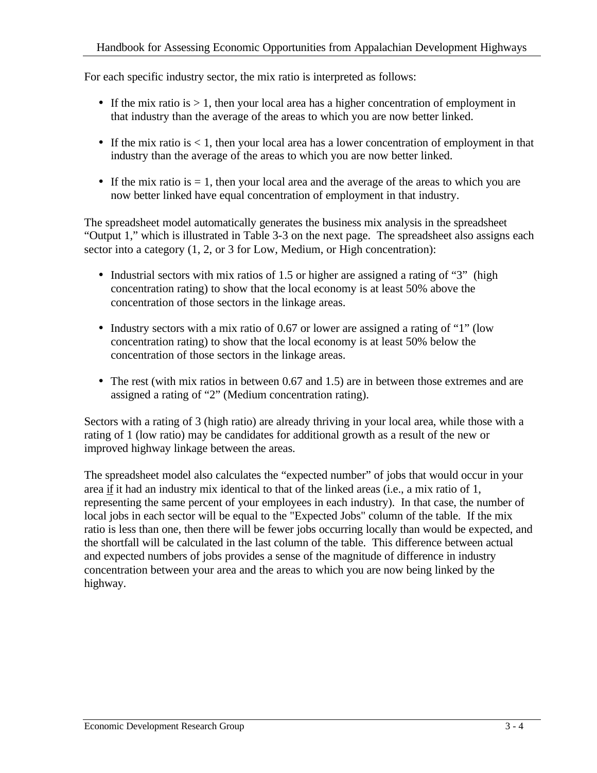For each specific industry sector, the mix ratio is interpreted as follows:

- If the mix ratio is  $> 1$ , then your local area has a higher concentration of employment in that industry than the average of the areas to which you are now better linked.
- If the mix ratio is  $< 1$ , then your local area has a lower concentration of employment in that industry than the average of the areas to which you are now better linked.
- If the mix ratio is  $= 1$ , then your local area and the average of the areas to which you are now better linked have equal concentration of employment in that industry.

The spreadsheet model automatically generates the business mix analysis in the spreadsheet "Output 1," which is illustrated in Table 3-3 on the next page. The spreadsheet also assigns each sector into a category (1, 2, or 3 for Low, Medium, or High concentration):

- Industrial sectors with mix ratios of 1.5 or higher are assigned a rating of "3" (high concentration rating) to show that the local economy is at least 50% above the concentration of those sectors in the linkage areas.
- Industry sectors with a mix ratio of 0.67 or lower are assigned a rating of "1" (low concentration rating) to show that the local economy is at least 50% below the concentration of those sectors in the linkage areas.
- The rest (with mix ratios in between 0.67 and 1.5) are in between those extremes and are assigned a rating of "2" (Medium concentration rating).

Sectors with a rating of 3 (high ratio) are already thriving in your local area, while those with a rating of 1 (low ratio) may be candidates for additional growth as a result of the new or improved highway linkage between the areas.

The spreadsheet model also calculates the "expected number" of jobs that would occur in your area if it had an industry mix identical to that of the linked areas (i.e., a mix ratio of 1, representing the same percent of your employees in each industry). In that case, the number of local jobs in each sector will be equal to the "Expected Jobs" column of the table. If the mix ratio is less than one, then there will be fewer jobs occurring locally than would be expected, and the shortfall will be calculated in the last column of the table. This difference between actual and expected numbers of jobs provides a sense of the magnitude of difference in industry concentration between your area and the areas to which you are now being linked by the highway.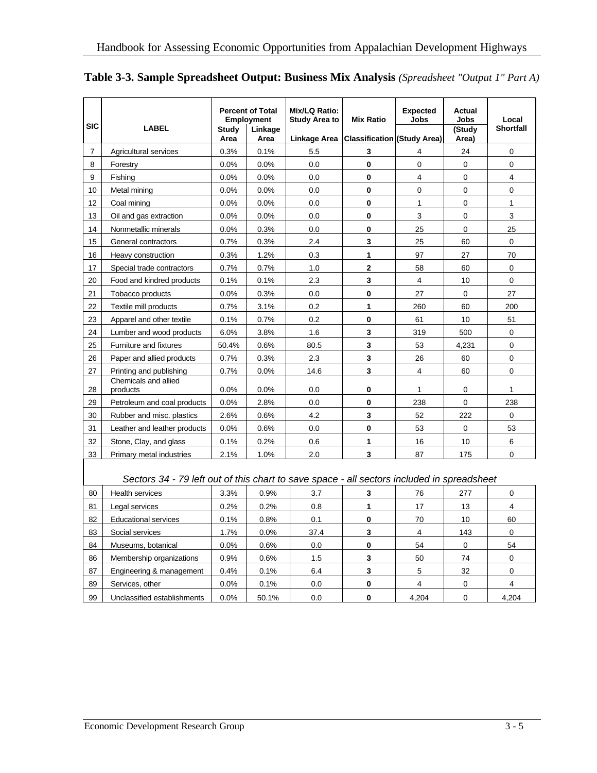| <b>SIC</b>     | <b>LABEL</b>                     | <b>Study</b><br>Area | <b>Percent of Total</b><br><b>Employment</b><br>Linkage<br>Area | Mix/LQ Ratio:<br><b>Study Area to</b><br>Linkage Area | <b>Mix Ratio</b><br><b>Classification (Study Area)</b> | <b>Expected</b><br><b>Jobs</b> | Actual<br><b>Jobs</b><br>(Study<br>Area) | Local<br><b>Shortfall</b> |
|----------------|----------------------------------|----------------------|-----------------------------------------------------------------|-------------------------------------------------------|--------------------------------------------------------|--------------------------------|------------------------------------------|---------------------------|
| $\overline{7}$ | Agricultural services            | 0.3%                 | 0.1%                                                            | 5.5                                                   | 3                                                      | 4                              | 24                                       | $\Omega$                  |
| 8              | Forestry                         | 0.0%                 | 0.0%                                                            | 0.0                                                   | $\mathbf{0}$                                           | $\Omega$                       | $\Omega$                                 | $\mathbf 0$               |
| 9              | Fishing                          | 0.0%                 | 0.0%                                                            | 0.0                                                   | $\mathbf 0$                                            | $\overline{4}$                 | 0                                        | 4                         |
| 10             | Metal mining                     | 0.0%                 | 0.0%                                                            | 0.0                                                   | $\mathbf 0$                                            | $\mathbf 0$                    | 0                                        | 0                         |
| 12             | Coal mining                      | 0.0%                 | 0.0%                                                            | 0.0                                                   | $\mathbf{0}$                                           | 1                              | 0                                        | 1                         |
| 13             | Oil and gas extraction           | 0.0%                 | 0.0%                                                            | 0.0                                                   | $\mathbf 0$                                            | 3                              | 0                                        | 3                         |
| 14             | Nonmetallic minerals             | 0.0%                 | 0.3%                                                            | 0.0                                                   | $\mathbf 0$                                            | 25                             | 0                                        | 25                        |
| 15             | General contractors              | 0.7%                 | 0.3%                                                            | 2.4                                                   | 3                                                      | 25                             | 60                                       | 0                         |
| 16             | Heavy construction               | 0.3%                 | 1.2%                                                            | 0.3                                                   | 1                                                      | 97                             | 27                                       | 70                        |
| 17             | Special trade contractors        | 0.7%                 | 0.7%                                                            | 1.0                                                   | $\mathbf{2}$                                           | 58                             | 60                                       | $\Omega$                  |
| 20             | Food and kindred products        | 0.1%                 | 0.1%                                                            | 2.3                                                   | $\overline{\mathbf{3}}$                                | $\overline{4}$                 | 10 <sup>°</sup>                          | $\mathbf 0$               |
| 21             | Tobacco products                 | 0.0%                 | 0.3%                                                            | 0.0                                                   | $\mathbf 0$                                            | 27                             | 0                                        | 27                        |
| 22             | Textile mill products            | 0.7%                 | 3.1%                                                            | 0.2                                                   | 1                                                      | 260                            | 60                                       | 200                       |
| 23             | Apparel and other textile        | 0.1%                 | 0.7%                                                            | 0.2                                                   | $\mathbf 0$                                            | 61                             | 10 <sup>1</sup>                          | 51                        |
| 24             | Lumber and wood products         | 6.0%                 | 3.8%                                                            | 1.6                                                   | $\mathbf{3}$                                           | 319                            | 500                                      | 0                         |
| 25             | <b>Furniture and fixtures</b>    | 50.4%                | 0.6%                                                            | 80.5                                                  | 3                                                      | 53                             | 4,231                                    | $\mathbf 0$               |
| 26             | Paper and allied products        | 0.7%                 | 0.3%                                                            | 2.3                                                   | $\overline{\mathbf{3}}$                                | 26                             | 60                                       | 0                         |
| 27             | Printing and publishing          | 0.7%                 | 0.0%                                                            | 14.6                                                  | 3                                                      | $\overline{4}$                 | 60                                       | 0                         |
| 28             | Chemicals and allied<br>products | 0.0%                 | 0.0%                                                            | 0.0                                                   | $\bf{0}$                                               | 1                              | 0                                        | 1                         |
| 29             | Petroleum and coal products      | 0.0%                 | 2.8%                                                            | 0.0                                                   | $\bf{0}$                                               | 238                            | 0                                        | 238                       |
| 30             | Rubber and misc. plastics        | 2.6%                 | 0.6%                                                            | 4.2                                                   | 3                                                      | 52                             | 222                                      | $\mathbf 0$               |
| 31             | Leather and leather products     | 0.0%                 | 0.6%                                                            | 0.0                                                   | $\mathbf 0$                                            | 53                             | 0                                        | 53                        |
| 32             | Stone, Clay, and glass           | 0.1%                 | 0.2%                                                            | 0.6                                                   | 1                                                      | 16                             | 10                                       | 6                         |
| 33             | Primary metal industries         | 2.1%                 | 1.0%                                                            | 2.0                                                   | 3                                                      | 87                             | 175                                      | 0                         |

**Table 3-3. Sample Spreadsheet Output: Business Mix Analysis** *(Spreadsheet "Output 1" Part A)*

#### *Sectors 34 - 79 left out of this chart to save space - all sectors included in spreadsheet*

| 80 | Health services             | 3.3%    | 0.9%  | 3.7  |   | 76    | 277 |       |
|----|-----------------------------|---------|-------|------|---|-------|-----|-------|
| 81 | Legal services              | 0.2%    | 0.2%  | 0.8  |   | 17    | 13  | 4     |
| 82 | <b>Educational services</b> | 0.1%    | 0.8%  | 0.1  | 0 | 70    | 10  | 60    |
| 83 | Social services             | 1.7%    | 0.0%  | 37.4 |   | 4     | 143 |       |
| 84 | Museums, botanical          | $0.0\%$ | 0.6%  | 0.0  |   | 54    |     | 54    |
| 86 | Membership organizations    | $0.9\%$ | 0.6%  | 1.5  |   | 50    | 74  |       |
| 87 | Engineering & management    | 0.4%    | 0.1%  | 6.4  |   | 5     | 32  |       |
| 89 | Services, other             | $0.0\%$ | 0.1%  | 0.0  |   | 4     |     | 4     |
| 99 | Unclassified establishments | $0.0\%$ | 50.1% | 0.0  |   | 4.204 |     | 4,204 |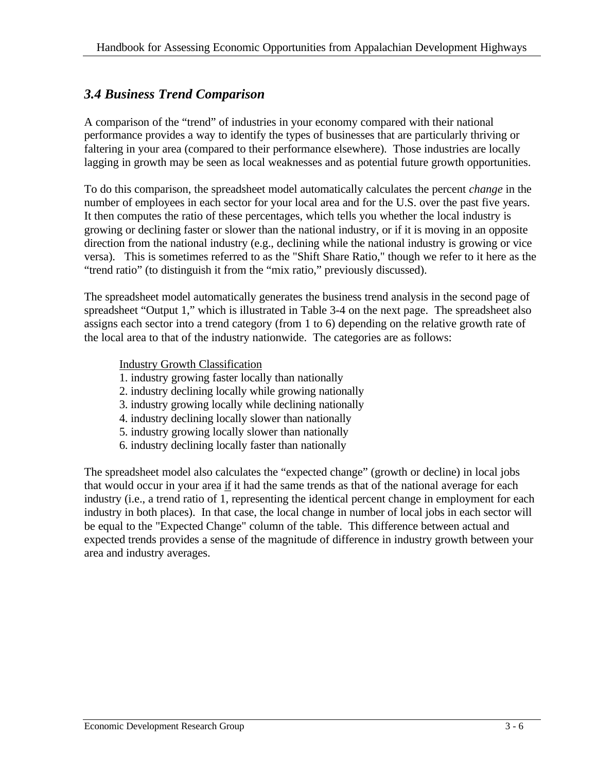### *3.4 Business Trend Comparison*

A comparison of the "trend" of industries in your economy compared with their national performance provides a way to identify the types of businesses that are particularly thriving or faltering in your area (compared to their performance elsewhere). Those industries are locally lagging in growth may be seen as local weaknesses and as potential future growth opportunities.

To do this comparison, the spreadsheet model automatically calculates the percent *change* in the number of employees in each sector for your local area and for the U.S. over the past five years. It then computes the ratio of these percentages, which tells you whether the local industry is growing or declining faster or slower than the national industry, or if it is moving in an opposite direction from the national industry (e.g., declining while the national industry is growing or vice versa). This is sometimes referred to as the "Shift Share Ratio," though we refer to it here as the "trend ratio" (to distinguish it from the "mix ratio," previously discussed).

The spreadsheet model automatically generates the business trend analysis in the second page of spreadsheet "Output 1," which is illustrated in Table 3-4 on the next page. The spreadsheet also assigns each sector into a trend category (from 1 to 6) depending on the relative growth rate of the local area to that of the industry nationwide. The categories are as follows:

#### Industry Growth Classification

- 1. industry growing faster locally than nationally
- 2. industry declining locally while growing nationally
- 3. industry growing locally while declining nationally
- 4. industry declining locally slower than nationally
- 5. industry growing locally slower than nationally
- 6. industry declining locally faster than nationally

The spreadsheet model also calculates the "expected change" (growth or decline) in local jobs that would occur in your area if it had the same trends as that of the national average for each industry (i.e., a trend ratio of 1, representing the identical percent change in employment for each industry in both places). In that case, the local change in number of local jobs in each sector will be equal to the "Expected Change" column of the table. This difference between actual and expected trends provides a sense of the magnitude of difference in industry growth between your area and industry averages.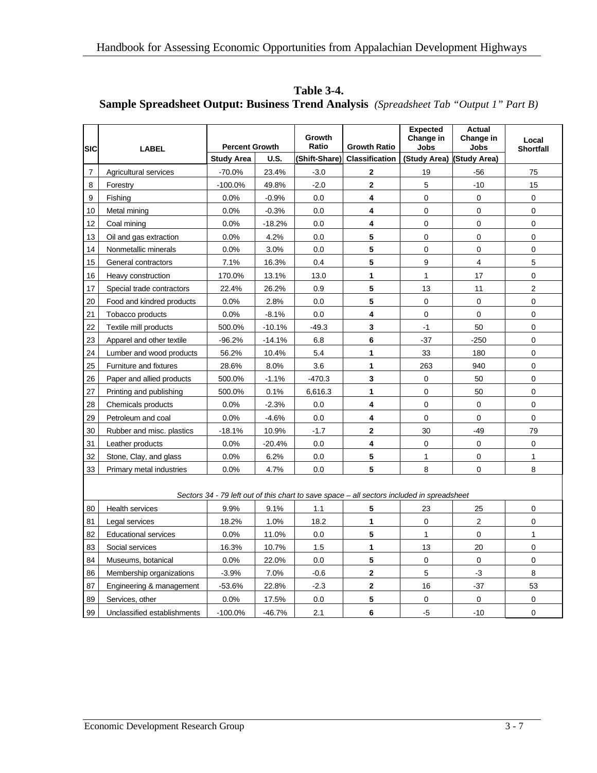| <b>SIC</b>     | <b>LABEL</b>                | <b>Percent Growth</b> |             | Growth<br>Ratio | <b>Growth Ratio</b>                                                                        | <b>Expected</b><br>Change in<br><b>Jobs</b> | <b>Actual</b><br>Change in<br><b>Jobs</b> | Local<br><b>Shortfall</b> |
|----------------|-----------------------------|-----------------------|-------------|-----------------|--------------------------------------------------------------------------------------------|---------------------------------------------|-------------------------------------------|---------------------------|
|                |                             | <b>Study Area</b>     | <b>U.S.</b> | (Shift-Share)   | <b>Classification</b>                                                                      | (Study Area)                                | (Study Area)                              |                           |
| $\overline{7}$ | Agricultural services       | $-70.0%$              | 23.4%       | $-3.0$          | 2                                                                                          | 19                                          | $-56$                                     | 75                        |
| 8              | Forestry                    | $-100.0%$             | 49.8%       | $-2.0$          | $\overline{2}$                                                                             | 5                                           | $-10$                                     | 15                        |
| 9              | Fishing                     | 0.0%                  | $-0.9%$     | 0.0             | 4                                                                                          | $\Omega$                                    | $\mathbf 0$                               | $\mathbf 0$               |
| 10             | Metal mining                | 0.0%                  | $-0.3%$     | 0.0             | 4                                                                                          | $\mathbf 0$                                 | 0                                         | 0                         |
| 12             | Coal mining                 | 0.0%                  | $-18.2%$    | 0.0             | 4                                                                                          | $\pmb{0}$                                   | 0                                         | 0                         |
| 13             | Oil and gas extraction      | 0.0%                  | 4.2%        | 0.0             | 5                                                                                          | $\pmb{0}$                                   | 0                                         | 0                         |
| 14             | Nonmetallic minerals        | 0.0%                  | 3.0%        | 0.0             | 5                                                                                          | $\pmb{0}$                                   | 0                                         | 0                         |
| 15             | General contractors         | 7.1%                  | 16.3%       | 0.4             | 5                                                                                          | 9                                           | $\overline{4}$                            | 5                         |
| 16             | Heavy construction          | 170.0%                | 13.1%       | 13.0            | 1                                                                                          | $\mathbf{1}$                                | 17                                        | 0                         |
| 17             | Special trade contractors   | 22.4%                 | 26.2%       | 0.9             | 5                                                                                          | 13                                          | 11                                        | $\overline{2}$            |
| 20             | Food and kindred products   | 0.0%                  | 2.8%        | 0.0             | 5                                                                                          | $\mathbf 0$                                 | 0                                         | 0                         |
| 21             | Tobacco products            | 0.0%                  | $-8.1%$     | 0.0             | 4                                                                                          | $\mathbf 0$                                 | $\mathbf 0$                               | 0                         |
| 22             | Textile mill products       | 500.0%                | $-10.1%$    | $-49.3$         | 3                                                                                          | $-1$                                        | 50                                        | 0                         |
| 23             | Apparel and other textile   | $-96.2%$              | $-14.1%$    | 6.8             | 6                                                                                          | $-37$                                       | $-250$                                    | 0                         |
| 24             | Lumber and wood products    | 56.2%                 | 10.4%       | 5.4             | 1                                                                                          | 33                                          | 180                                       | 0                         |
| 25             | Furniture and fixtures      | 28.6%                 | 8.0%        | 3.6             | 1                                                                                          | 263                                         | 940                                       | 0                         |
| 26             | Paper and allied products   | 500.0%                | $-1.1%$     | $-470.3$        | 3                                                                                          | $\pmb{0}$                                   | 50                                        | 0                         |
| 27             | Printing and publishing     | 500.0%                | 0.1%        | 6,616.3         | 1                                                                                          | $\Omega$                                    | 50                                        | $\Omega$                  |
| 28             | Chemicals products          | 0.0%                  | $-2.3%$     | 0.0             | 4                                                                                          | $\mathbf 0$                                 | 0                                         | 0                         |
| 29             | Petroleum and coal          | 0.0%                  | $-4.6%$     | 0.0             | 4                                                                                          | $\mathbf 0$                                 | 0                                         | 0                         |
| 30             | Rubber and misc. plastics   | $-18.1%$              | 10.9%       | $-1.7$          | $\overline{\mathbf{2}}$                                                                    | 30                                          | $-49$                                     | 79                        |
| 31             | Leather products            | 0.0%                  | -20.4%      | 0.0             | 4                                                                                          | $\mathbf 0$                                 | 0                                         | 0                         |
| 32             | Stone, Clay, and glass      | $0.0\%$               | 6.2%        | 0.0             | 5                                                                                          | $\mathbf{1}$                                | 0                                         | $\mathbf{1}$              |
| 33             | Primary metal industries    | 0.0%                  | 4.7%        | 0.0             | 5                                                                                          | 8                                           | 0                                         | 8                         |
|                |                             |                       |             |                 | Sectors 34 - 79 left out of this chart to save space – all sectors included in spreadsheet |                                             |                                           |                           |
| 80             | Health services             | 9.9%                  | 9.1%        | 1.1             | 5                                                                                          | 23                                          | 25                                        | 0                         |
| 81             | Legal services              | 18.2%                 | 1.0%        | 18.2            | 1                                                                                          | $\Omega$                                    | $\overline{2}$                            | 0                         |
| 82             | <b>Educational services</b> | 0.0%                  | 11.0%       | 0.0             | 5                                                                                          | $\mathbf{1}$                                | 0                                         | $\mathbf{1}$              |
| 83             | Social services             | 16.3%                 | 10.7%       | 1.5             | 1                                                                                          | 13                                          | 20                                        | 0                         |
| 84             | Museums, botanical          | 0.0%                  | 22.0%       | 0.0             | 5                                                                                          | $\mathbf 0$                                 | 0                                         | 0                         |
| 86             | Membership organizations    | $-3.9%$               | 7.0%        | $-0.6$          | $\overline{2}$                                                                             | 5                                           | -3                                        | 8                         |
| 87             | Engineering & management    | $-53.6%$              | 22.8%       | $-2.3$          | $\overline{2}$                                                                             | 16                                          | $-37$                                     | 53                        |
| 89             | Services, other             | 0.0%                  | 17.5%       | 0.0             | 5                                                                                          | $\mathbf 0$                                 | 0                                         | 0                         |

99 Unclassified establishments | -100.0% | -46.7% | 2.1 | 6 | -5 | -10 | 0

**Table 3-4. Sample Spreadsheet Output: Business Trend Analysis** *(Spreadsheet Tab "Output 1" Part B)*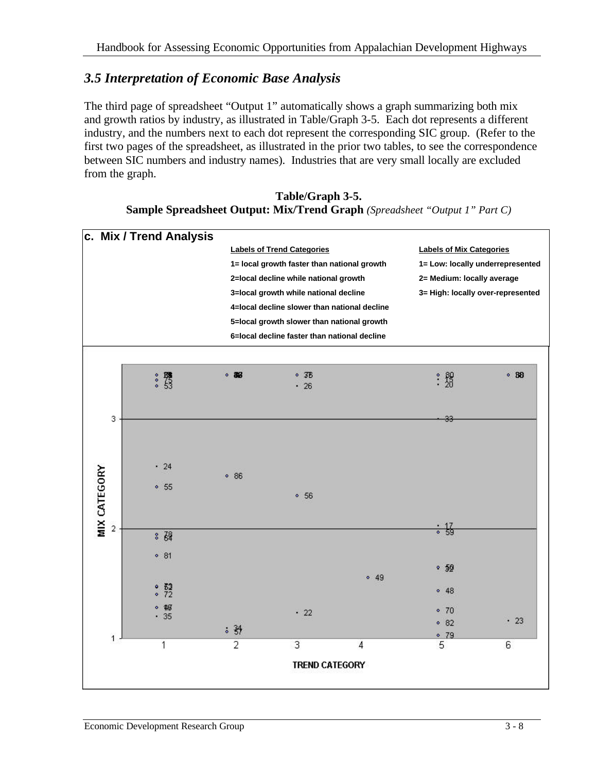### *3.5 Interpretation of Economic Base Analysis*

The third page of spreadsheet "Output 1" automatically shows a graph summarizing both mix and growth ratios by industry, as illustrated in Table/Graph 3-5. Each dot represents a different industry, and the numbers next to each dot represent the corresponding SIC group. (Refer to the first two pages of the spreadsheet, as illustrated in the prior two tables, to see the correspondence between SIC numbers and industry names). Industries that are very small locally are excluded from the graph.

#### **Table/Graph 3-5. Sample Spreadsheet Output: Mix/Trend Graph** *(Spreadsheet "Output 1" Part C)*

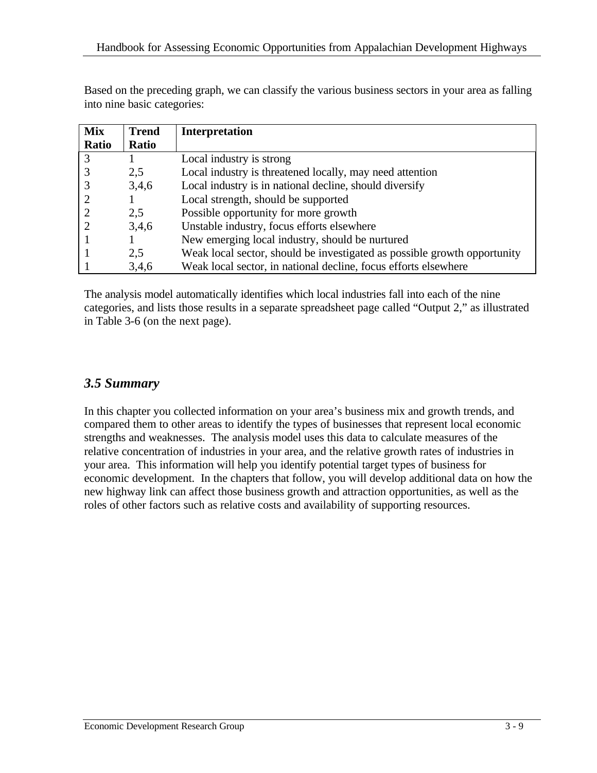Based on the preceding graph, we can classify the various business sectors in your area as falling into nine basic categories:

| <b>Mix</b> | <b>Trend</b> | <b>Interpretation</b>                                                    |
|------------|--------------|--------------------------------------------------------------------------|
| Ratio      | Ratio        |                                                                          |
| 3          |              | Local industry is strong                                                 |
|            | 2,5          | Local industry is threatened locally, may need attention                 |
|            | 3,4,6        | Local industry is in national decline, should diversify                  |
|            |              | Local strength, should be supported                                      |
|            | 2,5          | Possible opportunity for more growth                                     |
|            | 3,4,6        | Unstable industry, focus efforts elsewhere                               |
|            |              | New emerging local industry, should be nurtured                          |
|            | 2,5          | Weak local sector, should be investigated as possible growth opportunity |
|            | 3,4,6        | Weak local sector, in national decline, focus efforts elsewhere          |

The analysis model automatically identifies which local industries fall into each of the nine categories, and lists those results in a separate spreadsheet page called "Output 2," as illustrated in Table 3-6 (on the next page).

#### *3.5 Summary*

In this chapter you collected information on your area's business mix and growth trends, and compared them to other areas to identify the types of businesses that represent local economic strengths and weaknesses. The analysis model uses this data to calculate measures of the relative concentration of industries in your area, and the relative growth rates of industries in your area. This information will help you identify potential target types of business for economic development. In the chapters that follow, you will develop additional data on how the new highway link can affect those business growth and attraction opportunities, as well as the roles of other factors such as relative costs and availability of supporting resources.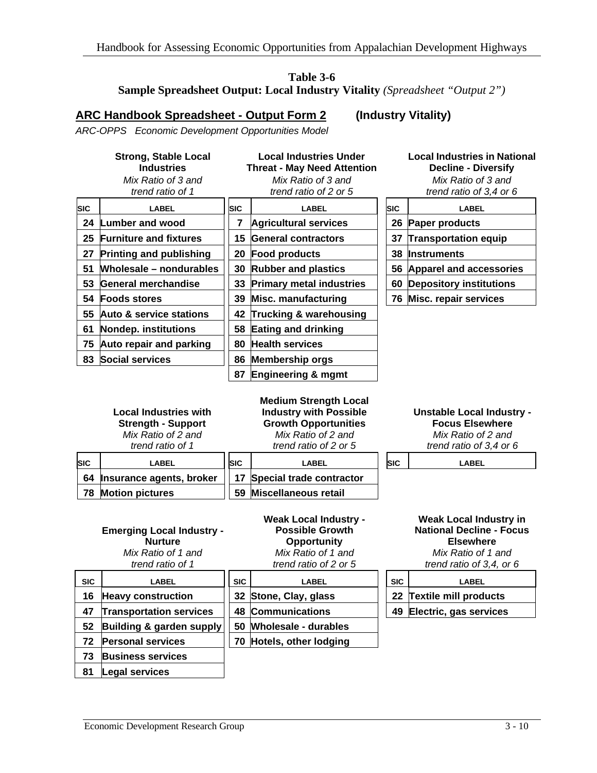#### **Table 3-6 Sample Spreadsheet Output: Local Industry Vitality** *(Spreadsheet "Output 2")*

#### **ARC Handbook Spreadsheet - Output Form 2 (Industry Vitality)**

*ARC-OPPS Economic Development Opportunities Model*

|            | <b>Strong, Stable Local</b><br><b>Industries</b><br>Mix Ratio of 3 and<br>trend ratio of 1          | <b>Local Industries Under</b><br><b>Threat - May Need Attention</b><br>Mix Ratio of 3 and<br>trend ratio of 2 or 5 |                                                                                                                                             |    | <b>Local Industries in National</b><br><b>Decline - Diversify</b><br>Mix Ratio of 3 and<br>trend ratio of 3,4 or 6 |                                                                                                                                        |  |  |
|------------|-----------------------------------------------------------------------------------------------------|--------------------------------------------------------------------------------------------------------------------|---------------------------------------------------------------------------------------------------------------------------------------------|----|--------------------------------------------------------------------------------------------------------------------|----------------------------------------------------------------------------------------------------------------------------------------|--|--|
| <b>SIC</b> | <b>LABEL</b>                                                                                        | <b>SIC</b>                                                                                                         | <b>LABEL</b>                                                                                                                                |    | <b>SIC</b>                                                                                                         | <b>LABEL</b>                                                                                                                           |  |  |
| 24         | <b>Lumber and wood</b>                                                                              | 7                                                                                                                  | <b>Agricultural services</b>                                                                                                                |    |                                                                                                                    | 26 Paper products                                                                                                                      |  |  |
| 25         | <b>Furniture and fixtures</b>                                                                       | 15                                                                                                                 | <b>General contractors</b>                                                                                                                  |    | 37                                                                                                                 | <b>Transportation equip</b>                                                                                                            |  |  |
| 27         | <b>Printing and publishing</b>                                                                      | 20                                                                                                                 | <b>Food products</b>                                                                                                                        |    | 38                                                                                                                 | <b>Instruments</b>                                                                                                                     |  |  |
| 51         | Wholesale - nondurables                                                                             | 30                                                                                                                 | <b>Rubber and plastics</b>                                                                                                                  |    |                                                                                                                    | 56 Apparel and accessories                                                                                                             |  |  |
| 53         | General merchandise                                                                                 | 33                                                                                                                 | <b>Primary metal industries</b>                                                                                                             | 60 |                                                                                                                    | <b>Depository institutions</b>                                                                                                         |  |  |
| 54         | <b>Foods stores</b>                                                                                 | 39                                                                                                                 | <b>Misc. manufacturing</b>                                                                                                                  |    |                                                                                                                    | 76 Misc. repair services                                                                                                               |  |  |
| 55         | Auto & service stations                                                                             | 42                                                                                                                 | <b>Trucking &amp; warehousing</b>                                                                                                           |    |                                                                                                                    |                                                                                                                                        |  |  |
| 61         | <b>Nondep. institutions</b>                                                                         | 58                                                                                                                 | Eating and drinking                                                                                                                         |    |                                                                                                                    |                                                                                                                                        |  |  |
| 75         | <b>Auto repair and parking</b>                                                                      | <b>Health services</b><br>80                                                                                       |                                                                                                                                             |    |                                                                                                                    |                                                                                                                                        |  |  |
| 83         | <b>Social services</b>                                                                              | 86                                                                                                                 | <b>Membership orgs</b>                                                                                                                      |    |                                                                                                                    |                                                                                                                                        |  |  |
|            |                                                                                                     | 87                                                                                                                 | <b>Engineering &amp; mgmt</b>                                                                                                               |    |                                                                                                                    |                                                                                                                                        |  |  |
|            | <b>Local Industries with</b><br><b>Strength - Support</b><br>Mix Ratio of 2 and<br>trend ratio of 1 |                                                                                                                    | <b>Medium Strength Local</b><br><b>Industry with Possible</b><br><b>Growth Opportunities</b><br>Mix Ratio of 2 and<br>trend ratio of 2 or 5 |    |                                                                                                                    | <b>Unstable Local Industry -</b><br><b>Focus Elsewhere</b><br>Mix Ratio of 2 and<br>trend ratio of 3,4 or 6                            |  |  |
| SIC        | <b>LABEL</b>                                                                                        | SIC                                                                                                                | <b>LABEL</b>                                                                                                                                |    | <b>SIC</b>                                                                                                         | <b>LABEL</b>                                                                                                                           |  |  |
| 64         | Insurance agents, broker                                                                            | 17                                                                                                                 | Special trade contractor                                                                                                                    |    |                                                                                                                    |                                                                                                                                        |  |  |
| 78         | <b>Motion pictures</b>                                                                              | 59                                                                                                                 | <b>Miscellaneous retail</b>                                                                                                                 |    |                                                                                                                    |                                                                                                                                        |  |  |
|            | <b>Emerging Local Industry -</b><br><b>Nurture</b><br>Mix Ratio of 1 and<br>trend ratio of 1        |                                                                                                                    | <b>Weak Local Industry -</b><br><b>Possible Growth</b><br><b>Opportunity</b><br>Mix Ratio of 1 and<br>trend ratio of 2 or 5                 |    |                                                                                                                    | <b>Weak Local Industry in</b><br><b>National Decline - Focus</b><br><b>Elsewhere</b><br>Mix Ratio of 1 and<br>trend ratio of 3,4, or 6 |  |  |
| <b>SIC</b> | <b>LABEL</b>                                                                                        | <b>SIC</b>                                                                                                         | <b>LABEL</b>                                                                                                                                |    | <b>SIC</b>                                                                                                         | <b>LABEL</b>                                                                                                                           |  |  |
| 16         | <b>Heavy construction</b>                                                                           | 32 <sub>2</sub>                                                                                                    | Stone, Clay, glass                                                                                                                          |    | 22                                                                                                                 | <b>Textile mill products</b>                                                                                                           |  |  |
| 47         | <b>Transportation services</b>                                                                      | 48                                                                                                                 | <b>Communications</b>                                                                                                                       |    | 49                                                                                                                 | Electric, gas services                                                                                                                 |  |  |
| 52         | Building & garden supply                                                                            |                                                                                                                    | 50 Wholesale - durables                                                                                                                     |    |                                                                                                                    |                                                                                                                                        |  |  |

**73 Business services 81 Legal services**

**72 Personal services 70 Hotels, other lodging**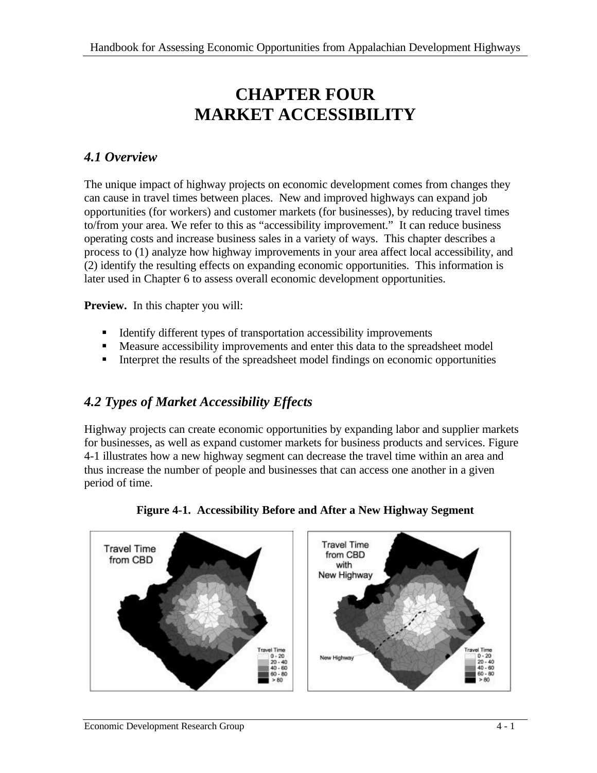## **CHAPTER FOUR MARKET ACCESSIBILITY**

#### *4.1 Overview*

The unique impact of highway projects on economic development comes from changes they can cause in travel times between places. New and improved highways can expand job opportunities (for workers) and customer markets (for businesses), by reducing travel times to/from your area. We refer to this as "accessibility improvement." It can reduce business operating costs and increase business sales in a variety of ways. This chapter describes a process to (1) analyze how highway improvements in your area affect local accessibility, and (2) identify the resulting effects on expanding economic opportunities. This information is later used in Chapter 6 to assess overall economic development opportunities.

**Preview.** In this chapter you will:

- **IDENTIFY** Identify different types of transportation accessibility improvements
- **•** Measure accessibility improvements and enter this data to the spreadsheet model
- Interpret the results of the spreadsheet model findings on economic opportunities

### *4.2 Types of Market Accessibility Effects*

Highway projects can create economic opportunities by expanding labor and supplier markets for businesses, as well as expand customer markets for business products and services. Figure 4-1 illustrates how a new highway segment can decrease the travel time within an area and thus increase the number of people and businesses that can access one another in a given period of time.



**Figure 4-1. Accessibility Before and After a New Highway Segment**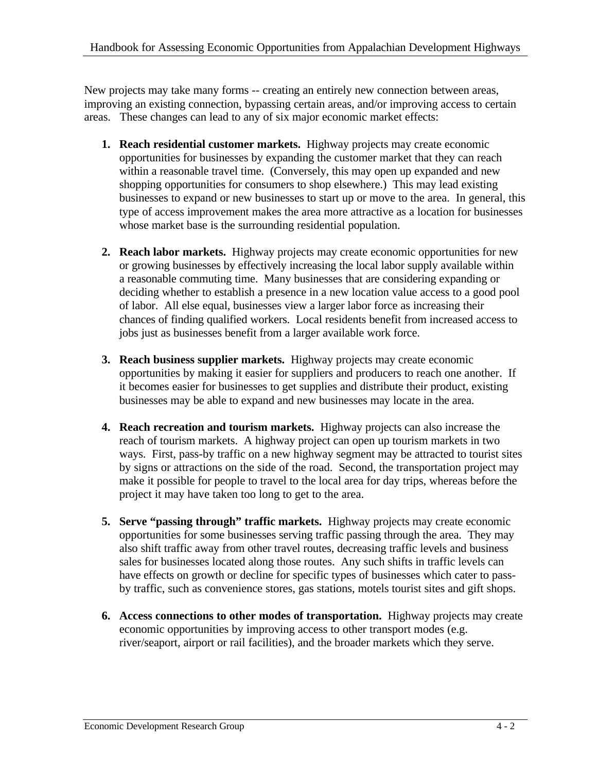New projects may take many forms -- creating an entirely new connection between areas, improving an existing connection, bypassing certain areas, and/or improving access to certain areas. These changes can lead to any of six major economic market effects:

- **1. Reach residential customer markets.** Highway projects may create economic opportunities for businesses by expanding the customer market that they can reach within a reasonable travel time. (Conversely, this may open up expanded and new shopping opportunities for consumers to shop elsewhere.) This may lead existing businesses to expand or new businesses to start up or move to the area. In general, this type of access improvement makes the area more attractive as a location for businesses whose market base is the surrounding residential population.
- **2. Reach labor markets.** Highway projects may create economic opportunities for new or growing businesses by effectively increasing the local labor supply available within a reasonable commuting time. Many businesses that are considering expanding or deciding whether to establish a presence in a new location value access to a good pool of labor. All else equal, businesses view a larger labor force as increasing their chances of finding qualified workers. Local residents benefit from increased access to jobs just as businesses benefit from a larger available work force.
- **3. Reach business supplier markets.** Highway projects may create economic opportunities by making it easier for suppliers and producers to reach one another. If it becomes easier for businesses to get supplies and distribute their product, existing businesses may be able to expand and new businesses may locate in the area.
- **4. Reach recreation and tourism markets.** Highway projects can also increase the reach of tourism markets. A highway project can open up tourism markets in two ways. First, pass-by traffic on a new highway segment may be attracted to tourist sites by signs or attractions on the side of the road. Second, the transportation project may make it possible for people to travel to the local area for day trips, whereas before the project it may have taken too long to get to the area.
- **5. Serve "passing through" traffic markets.** Highway projects may create economic opportunities for some businesses serving traffic passing through the area. They may also shift traffic away from other travel routes, decreasing traffic levels and business sales for businesses located along those routes. Any such shifts in traffic levels can have effects on growth or decline for specific types of businesses which cater to passby traffic, such as convenience stores, gas stations, motels tourist sites and gift shops.
- **6. Access connections to other modes of transportation.** Highway projects may create economic opportunities by improving access to other transport modes (e.g. river/seaport, airport or rail facilities), and the broader markets which they serve.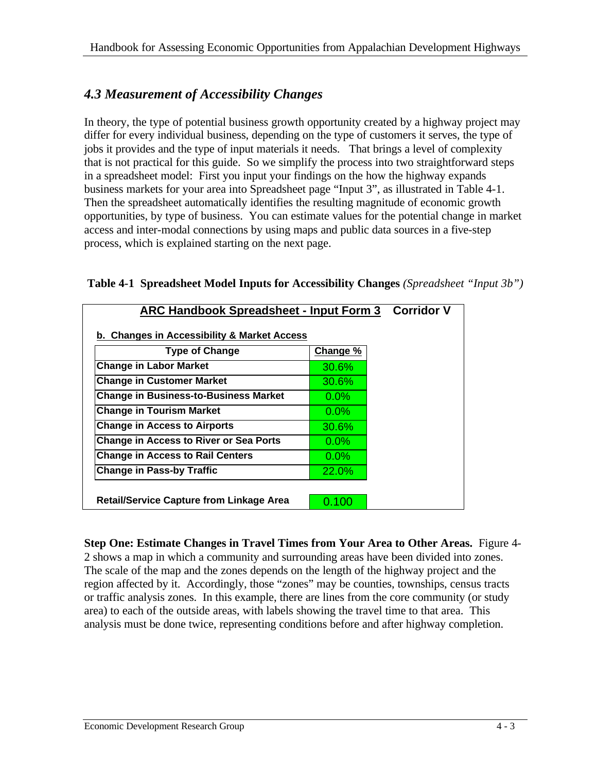### *4.3 Measurement of Accessibility Changes*

In theory, the type of potential business growth opportunity created by a highway project may differ for every individual business, depending on the type of customers it serves, the type of jobs it provides and the type of input materials it needs. That brings a level of complexity that is not practical for this guide. So we simplify the process into two straightforward steps in a spreadsheet model: First you input your findings on the how the highway expands business markets for your area into Spreadsheet page "Input 3", as illustrated in Table 4-1. Then the spreadsheet automatically identifies the resulting magnitude of economic growth opportunities, by type of business. You can estimate values for the potential change in market access and inter-modal connections by using maps and public data sources in a five-step process, which is explained starting on the next page.

| <b>ARC Handbook Spreadsheet - Input Form 3 Corridor V</b> |          |  |
|-----------------------------------------------------------|----------|--|
| b. Changes in Accessibility & Market Access               |          |  |
| <b>Type of Change</b>                                     |          |  |
| <b>Change in Labor Market</b>                             | 30.6%    |  |
| <b>Change in Customer Market</b>                          | $30.6\%$ |  |
| <b>Change in Business-to-Business Market</b>              | $0.0\%$  |  |
| <b>Change in Tourism Market</b>                           | $0.0\%$  |  |
| <b>Change in Access to Airports</b>                       | 30.6%    |  |
| <b>Change in Access to River or Sea Ports</b>             | $0.0\%$  |  |
| <b>Change in Access to Rail Centers</b>                   | $0.0\%$  |  |
| <b>Change in Pass-by Traffic</b>                          | 22.0%    |  |
|                                                           |          |  |
| <b>Retail/Service Capture from Linkage Area</b>           | 0.100    |  |

#### **Table 4-1 Spreadsheet Model Inputs for Accessibility Changes** *(Spreadsheet "Input 3b")*

**Step One: Estimate Changes in Travel Times from Your Area to Other Areas.** Figure 4- 2 shows a map in which a community and surrounding areas have been divided into zones. The scale of the map and the zones depends on the length of the highway project and the region affected by it. Accordingly, those "zones" may be counties, townships, census tracts or traffic analysis zones. In this example, there are lines from the core community (or study area) to each of the outside areas, with labels showing the travel time to that area. This analysis must be done twice, representing conditions before and after highway completion.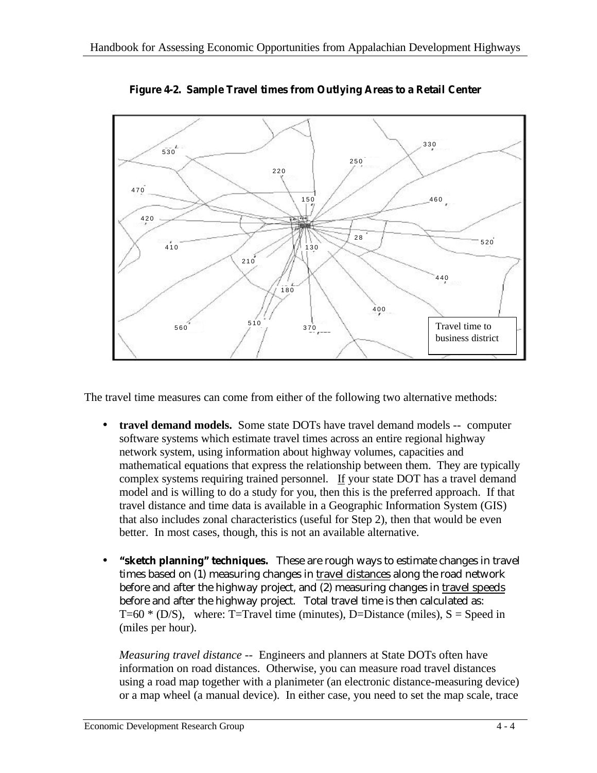

**Figure 4-2. Sample Travel times from Outlying Areas to a Retail Center**

The travel time measures can come from either of the following two alternative methods:

- **travel demand models.** Some state DOTs have travel demand models -- computer software systems which estimate travel times across an entire regional highway network system, using information about highway volumes, capacities and mathematical equations that express the relationship between them. They are typically complex systems requiring trained personnel. If your state DOT has a travel demand model and is willing to do a study for you, then this is the preferred approach. If that travel distance and time data is available in a Geographic Information System (GIS) that also includes zonal characteristics (useful for Step 2), then that would be even better. In most cases, though, this is not an available alternative.
- **"sketch planning" techniques.** These are rough ways to estimate changes in travel times based on (1) measuring changes in travel distances along the road network before and after the highway project, and (2) measuring changes in travel speeds before and after the highway project. Total travel time is then calculated as: T=60  $*$  (D/S), where: T=Travel time (minutes), D=Distance (miles), S = Speed in (miles per hour).

*Measuring travel distance --* Engineers and planners at State DOTs often have information on road distances. Otherwise, you can measure road travel distances using a road map together with a planimeter (an electronic distance-measuring device) or a map wheel (a manual device). In either case, you need to set the map scale, trace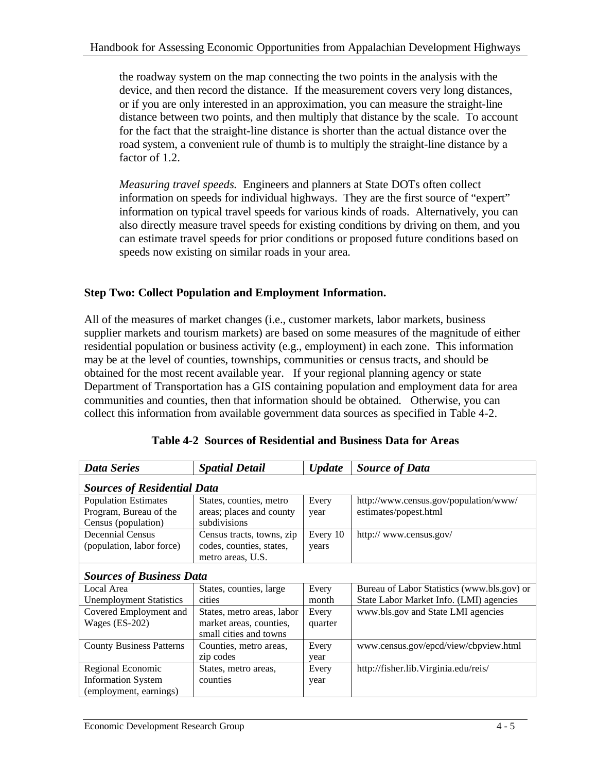the roadway system on the map connecting the two points in the analysis with the device, and then record the distance. If the measurement covers very long distances, or if you are only interested in an approximation, you can measure the straight-line distance between two points, and then multiply that distance by the scale. To account for the fact that the straight-line distance is shorter than the actual distance over the road system, a convenient rule of thumb is to multiply the straight-line distance by a factor of 1.2.

*Measuring travel speeds.* Engineers and planners at State DOTs often collect information on speeds for individual highways. They are the first source of "expert" information on typical travel speeds for various kinds of roads. Alternatively, you can also directly measure travel speeds for existing conditions by driving on them, and you can estimate travel speeds for prior conditions or proposed future conditions based on speeds now existing on similar roads in your area.

#### **Step Two: Collect Population and Employment Information.**

All of the measures of market changes (i.e., customer markets, labor markets, business supplier markets and tourism markets) are based on some measures of the magnitude of either residential population or business activity (e.g., employment) in each zone. This information may be at the level of counties, townships, communities or census tracts, and should be obtained for the most recent available year. If your regional planning agency or state Department of Transportation has a GIS containing population and employment data for area communities and counties, then that information should be obtained. Otherwise, you can collect this information from available government data sources as specified in Table 4-2.

| <b>Data Series</b>                                                           | <b>Spatial Detail</b>                                                           | <b>Update</b>     | <b>Source of Data</b>                                          |  |  |  |  |  |  |  |
|------------------------------------------------------------------------------|---------------------------------------------------------------------------------|-------------------|----------------------------------------------------------------|--|--|--|--|--|--|--|
| <b>Sources of Residential Data</b>                                           |                                                                                 |                   |                                                                |  |  |  |  |  |  |  |
| <b>Population Estimates</b><br>Program, Bureau of the<br>Census (population) | States, counties, metro<br>areas; places and county<br>subdivisions             | Every<br>year     | http://www.census.gov/population/www/<br>estimates/popest.html |  |  |  |  |  |  |  |
| <b>Decennial Census</b><br>(population, labor force)                         | Census tracts, towns, zip<br>codes, counties, states,<br>metro areas, U.S.      | Every 10<br>years | http:// www.census.gov/                                        |  |  |  |  |  |  |  |
| <b>Sources of Business Data</b>                                              |                                                                                 |                   |                                                                |  |  |  |  |  |  |  |
| Local Area                                                                   | States, counties, large                                                         | Every             | Bureau of Labor Statistics (www.bls.gov) or                    |  |  |  |  |  |  |  |
| <b>Unemployment Statistics</b>                                               | cities                                                                          | month             | State Labor Market Info. (LMI) agencies                        |  |  |  |  |  |  |  |
| Covered Employment and<br>Wages $(ES-202)$                                   | States, metro areas, labor<br>market areas, counties,<br>small cities and towns | Every<br>quarter  | www.bls.gov and State LMI agencies                             |  |  |  |  |  |  |  |
| <b>County Business Patterns</b>                                              | Counties, metro areas,<br>zip codes                                             | Every<br>year     | www.census.gov/epcd/view/cbpview.html                          |  |  |  |  |  |  |  |
| Regional Economic                                                            | States, metro areas,                                                            | Every             | http://fisher.lib.Virginia.edu/reis/                           |  |  |  |  |  |  |  |
| <b>Information System</b>                                                    | counties                                                                        | year              |                                                                |  |  |  |  |  |  |  |
| (employment, earnings)                                                       |                                                                                 |                   |                                                                |  |  |  |  |  |  |  |

|  |  |  |  |  | Table 4-2 Sources of Residential and Business Data for Areas |
|--|--|--|--|--|--------------------------------------------------------------|
|--|--|--|--|--|--------------------------------------------------------------|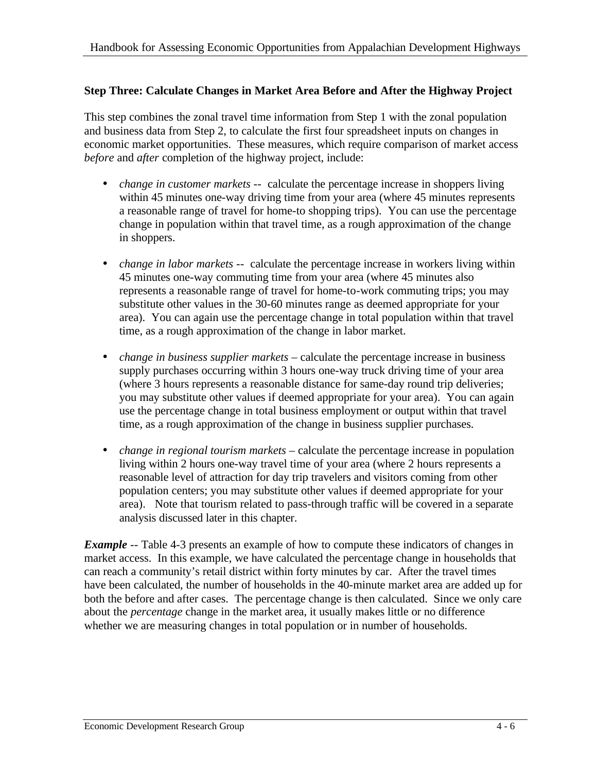#### **Step Three: Calculate Changes in Market Area Before and After the Highway Project**

This step combines the zonal travel time information from Step 1 with the zonal population and business data from Step 2, to calculate the first four spreadsheet inputs on changes in economic market opportunities. These measures, which require comparison of market access *before* and *after* completion of the highway project, include:

- *change in customer markets* -- calculate the percentage increase in shoppers living within 45 minutes one-way driving time from your area (where 45 minutes represents a reasonable range of travel for home-to shopping trips). You can use the percentage change in population within that travel time, as a rough approximation of the change in shoppers.
- *change in labor markets* -- calculate the percentage increase in workers living within 45 minutes one-way commuting time from your area (where 45 minutes also represents a reasonable range of travel for home-to-work commuting trips; you may substitute other values in the 30-60 minutes range as deemed appropriate for your area). You can again use the percentage change in total population within that travel time, as a rough approximation of the change in labor market.
- *change in business supplier markets* calculate the percentage increase in business supply purchases occurring within 3 hours one-way truck driving time of your area (where 3 hours represents a reasonable distance for same-day round trip deliveries; you may substitute other values if deemed appropriate for your area). You can again use the percentage change in total business employment or output within that travel time, as a rough approximation of the change in business supplier purchases.
- *change in regional tourism markets*  calculate the percentage increase in population living within 2 hours one-way travel time of your area (where 2 hours represents a reasonable level of attraction for day trip travelers and visitors coming from other population centers; you may substitute other values if deemed appropriate for your area). Note that tourism related to pass-through traffic will be covered in a separate analysis discussed later in this chapter.

*Example* -- Table 4-3 presents an example of how to compute these indicators of changes in market access. In this example, we have calculated the percentage change in households that can reach a community's retail district within forty minutes by car. After the travel times have been calculated, the number of households in the 40-minute market area are added up for both the before and after cases. The percentage change is then calculated. Since we only care about the *percentage* change in the market area, it usually makes little or no difference whether we are measuring changes in total population or in number of households.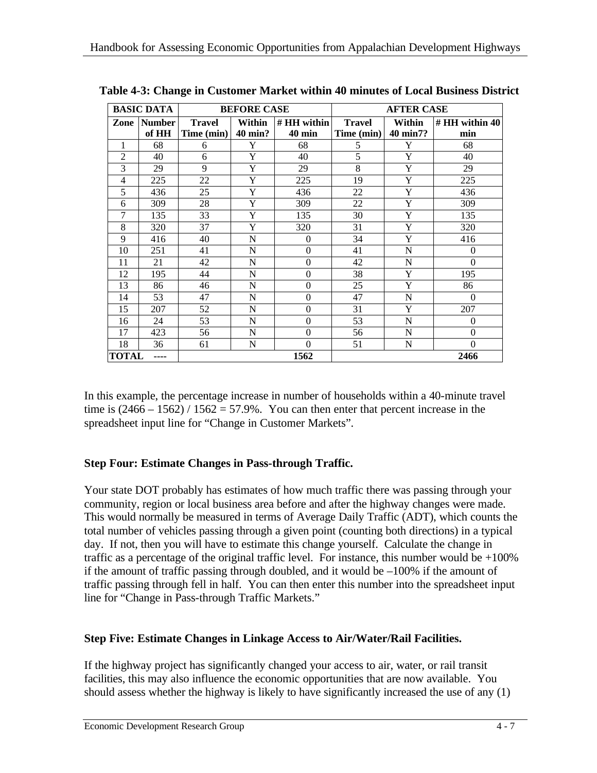| <b>BASIC DATA</b>    |                        |                                                                                                                 | <b>BEFORE CASE</b> |                    | <b>AFTER CASE</b>      |   |          |  |
|----------------------|------------------------|-----------------------------------------------------------------------------------------------------------------|--------------------|--------------------|------------------------|---|----------|--|
| Zone                 | <b>Number</b><br>of HH | Within<br># HH within<br><b>Travel</b><br><b>Travel</b><br>Time (min)<br>40 min?<br><b>40 min</b><br>Time (min) |                    | Within<br>40 min7? | $#HH$ within 40<br>min |   |          |  |
| 1                    | 68                     | 6                                                                                                               | Y                  | 68                 | 5                      | Y | 68       |  |
| $\overline{2}$       | 40                     | 6                                                                                                               | Y                  | 40                 | 5                      | Y | 40       |  |
| 3                    | 29                     | 9                                                                                                               | Y                  | 29                 | 8                      | Y | 29       |  |
| 4                    | 225                    | 22                                                                                                              | Y                  | 225                | 19                     | Y | 225      |  |
| 5                    | 436                    | 25                                                                                                              | Y                  | 436                | 22                     | Y | 436      |  |
| 6                    | 309                    | 28                                                                                                              | Y                  | 309                | 22                     | Y | 309      |  |
| 7                    | 135                    | 33                                                                                                              | Y                  | 135                | 30                     | Y | 135      |  |
| 8                    | 320                    | 37                                                                                                              | Y                  | 320                | 31                     | Y | 320      |  |
| 9                    | 416                    | 40                                                                                                              | N                  | $\mathbf{0}$       | 34                     | Y | 416      |  |
| 10                   | 251                    | 41                                                                                                              | N                  | $\Omega$           | 41                     | N | $\Omega$ |  |
| 11                   | 21                     | 42                                                                                                              | N                  | $\Omega$           | 42                     | N | $\theta$ |  |
| 12                   | 195                    | 44                                                                                                              | N                  | $\boldsymbol{0}$   | 38                     | Y | 195      |  |
| 13                   | 86                     | 46                                                                                                              | N                  | $\Omega$           | 25                     | Y | 86       |  |
| 14                   | 53                     | 47                                                                                                              | N                  | $\Omega$           | 47                     | N | $\Omega$ |  |
| 15                   | 207                    | 52                                                                                                              | N                  | $\Omega$           | 31                     | Y | 207      |  |
| 16                   | 24                     | 53                                                                                                              | N                  | $\Omega$           | 53                     | N | $\Omega$ |  |
| 17                   | 423                    | 56                                                                                                              | N                  | $\Omega$           | 56                     | N | $\theta$ |  |
| 18                   | 36                     | 61                                                                                                              | N                  | $\Omega$           | 51                     | N | $\Omega$ |  |
| <b>TOTAL</b><br>---- |                        |                                                                                                                 |                    | 1562               | 2466                   |   |          |  |

 **Table 4-3: Change in Customer Market within 40 minutes of Local Business District**

In this example, the percentage increase in number of households within a 40-minute travel time is  $(2466 - 1562) / 1562 = 57.9\%$ . You can then enter that percent increase in the spreadsheet input line for "Change in Customer Markets".

#### **Step Four: Estimate Changes in Pass-through Traffic.**

Your state DOT probably has estimates of how much traffic there was passing through your community, region or local business area before and after the highway changes were made. This would normally be measured in terms of Average Daily Traffic (ADT), which counts the total number of vehicles passing through a given point (counting both directions) in a typical day. If not, then you will have to estimate this change yourself. Calculate the change in traffic as a percentage of the original traffic level. For instance, this number would be  $+100\%$ if the amount of traffic passing through doubled, and it would be  $-100\%$  if the amount of traffic passing through fell in half. You can then enter this number into the spreadsheet input line for "Change in Pass-through Traffic Markets."

#### **Step Five: Estimate Changes in Linkage Access to Air/Water/Rail Facilities.**

If the highway project has significantly changed your access to air, water, or rail transit facilities, this may also influence the economic opportunities that are now available. You should assess whether the highway is likely to have significantly increased the use of any (1)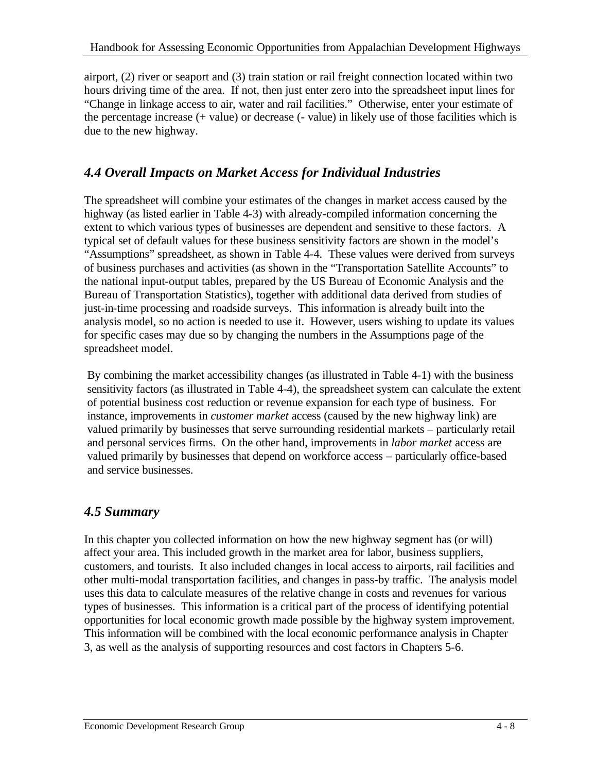airport, (2) river or seaport and (3) train station or rail freight connection located within two hours driving time of the area. If not, then just enter zero into the spreadsheet input lines for "Change in linkage access to air, water and rail facilities." Otherwise, enter your estimate of the percentage increase (+ value) or decrease (- value) in likely use of those facilities which is due to the new highway.

#### *4.4 Overall Impacts on Market Access for Individual Industries*

The spreadsheet will combine your estimates of the changes in market access caused by the highway (as listed earlier in Table 4-3) with already-compiled information concerning the extent to which various types of businesses are dependent and sensitive to these factors. A typical set of default values for these business sensitivity factors are shown in the model's "Assumptions" spreadsheet, as shown in Table 4-4. These values were derived from surveys of business purchases and activities (as shown in the "Transportation Satellite Accounts" to the national input-output tables, prepared by the US Bureau of Economic Analysis and the Bureau of Transportation Statistics), together with additional data derived from studies of just-in-time processing and roadside surveys. This information is already built into the analysis model, so no action is needed to use it. However, users wishing to update its values for specific cases may due so by changing the numbers in the Assumptions page of the spreadsheet model.

By combining the market accessibility changes (as illustrated in Table 4-1) with the business sensitivity factors (as illustrated in Table 4-4), the spreadsheet system can calculate the extent of potential business cost reduction or revenue expansion for each type of business. For instance, improvements in *customer market* access (caused by the new highway link) are valued primarily by businesses that serve surrounding residential markets – particularly retail and personal services firms. On the other hand, improvements in *labor market* access are valued primarily by businesses that depend on workforce access – particularly office-based and service businesses.

### *4.5 Summary*

In this chapter you collected information on how the new highway segment has (or will) affect your area. This included growth in the market area for labor, business suppliers, customers, and tourists. It also included changes in local access to airports, rail facilities and other multi-modal transportation facilities, and changes in pass-by traffic. The analysis model uses this data to calculate measures of the relative change in costs and revenues for various types of businesses. This information is a critical part of the process of identifying potential opportunities for local economic growth made possible by the highway system improvement. This information will be combined with the local economic performance analysis in Chapter 3, as well as the analysis of supporting resources and cost factors in Chapters 5-6.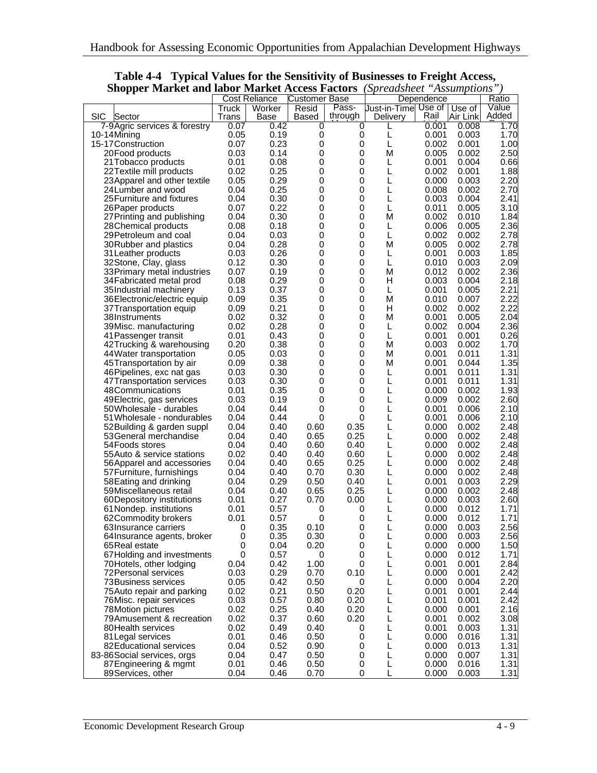| Shopper Market and labor Market Access Factors |              |                      |                      |             | spreaasneel          |            | Assumptions |       |
|------------------------------------------------|--------------|----------------------|----------------------|-------------|----------------------|------------|-------------|-------|
|                                                |              | <b>Cost Reliance</b> | <b>Customer Base</b> |             |                      | Dependence |             | Ratio |
|                                                | <b>Truck</b> | Worker               | Resid                | Pass-       | Just-in-Timel Use of |            | Use of      | Value |
| <b>SIC</b><br>Sector                           | Trans        | Base                 | Based                | through     | Delivery             | Rail       | Air Link    | Added |
| 7-9 Agric services & forestry                  | 0.07         | 0.42                 | 0                    | 0           |                      | 0.001      | 0.008       | 1.70  |
| 10-14Mining                                    | 0.05         | 0.19                 | 0                    | 0           | L                    | 0.001      | 0.003       | 1.70  |
| 15-17 Construction                             | 0.07         | 0.23                 | 0                    | 0           | L                    | 0.002      | 0.001       | 1.00  |
|                                                | 0.03         | 0.14                 | 0                    | 0           | М                    | 0.005      | 0.002       | 2.50  |
| 20Food products                                |              |                      |                      |             |                      |            |             |       |
| 21 Tobacco products                            | 0.01         | 0.08                 | 0                    | 0           | L                    | 0.001      | 0.004       | 0.66  |
| 22 Textile mill products                       | 0.02         | 0.25                 | 0                    | $\mathbf 0$ | L                    | 0.002      | 0.001       | 1.88  |
| 23 Apparel and other textile                   | 0.05         | 0.29                 | 0                    | $\mathbf 0$ | L                    | 0.000      | 0.003       | 2.20  |
| 24 Lumber and wood                             | 0.04         | 0.25                 | 0                    | 0           | L                    | 0.008      | 0.002       | 2.70  |
| 25 Furniture and fixtures                      | 0.04         | 0.30                 | 0                    | 0           | L                    | 0.003      | 0.004       | 2.41  |
| 26 Paper products                              | 0.07         | 0.22                 | 0                    | 0           | L                    | 0.011      | 0.005       | 3.10  |
| 27 Printing and publishing                     | 0.04         | 0.30                 | 0                    | 0           | м                    | 0.002      | 0.010       | 1.84  |
|                                                |              | 0.18                 | 0                    | 0           | L                    | 0.006      | 0.005       |       |
| 28 Chemical products                           | 0.08         |                      |                      |             |                      |            |             | 2.36  |
| 29 Petroleum and coal                          | 0.04         | 0.03                 | 0                    | 0           | L                    | 0.002      | 0.002       | 2.78  |
| 30 Rubber and plastics                         | 0.04         | 0.28                 | 0                    | 0           | М                    | 0.005      | 0.002       | 2.78  |
| 31 Leather products                            | 0.03         | 0.26                 | 0                    | $\mathbf 0$ | L                    | 0.001      | 0.003       | 1.85  |
| 32Stone, Clay, glass                           | 0.12         | 0.30                 | 0                    | $\mathbf 0$ | L                    | 0.010      | 0.003       | 2.09  |
| 33 Primary metal industries                    | 0.07         | 0.19                 | 0                    | 0           | M                    | 0.012      | 0.002       | 2.36  |
| 34 Fabricated metal prod                       | 0.08         | 0.29                 | 0                    | 0           | H                    | 0.003      | 0.004       | 2.18  |
|                                                |              |                      |                      |             |                      |            |             |       |
| 35Industrial machinery                         | 0.13         | 0.37                 | 0                    | 0           | L                    | 0.001      | 0.005       | 2.21  |
| 36 Electronic/electric equip                   | 0.09         | 0.35                 | 0                    | 0           | М                    | 0.010      | 0.007       | 2.22  |
| 37 Transportation equip                        | 0.09         | 0.21                 | 0                    | 0           | н                    | 0.002      | 0.002       | 2.22  |
| 38Instruments                                  | 0.02         | 0.32                 | 0                    | 0           | М                    | 0.001      | 0.005       | 2.04  |
| 39 Misc. manufacturing                         | 0.02         | 0.28                 | 0                    | 0           | L                    | 0.002      | 0.004       | 2.36  |
| 41 Passenger transit                           | 0.01         | 0.43                 | 0                    | $\mathbf 0$ | L                    | 0.001      | 0.001       | 0.26  |
|                                                | 0.20         | 0.38                 | 0                    | $\mathbf 0$ | м                    | 0.003      | 0.002       |       |
| 42 Trucking & warehousing                      |              |                      |                      |             |                      |            |             | 1.70  |
| 44 Water transportation                        | 0.05         | 0.03                 | 0                    | 0           | м                    | 0.001      | 0.011       | 1.31  |
| 45 Transportation by air                       | 0.09         | 0.38                 | 0                    | 0           | м                    | 0.001      | 0.044       | 1.35  |
| 46 Pipelines, exc nat gas                      | 0.03         | 0.30                 | 0                    | 0           | L                    | 0.001      | 0.011       | 1.31  |
| 47 Transportation services                     | 0.03         | 0.30                 | 0                    | 0           | L                    | 0.001      | 0.011       | 1.31  |
| 48Communications                               | 0.01         | 0.35                 | 0                    | 0           | L                    | 0.000      | 0.002       | 1.93  |
| 49 Electric, gas services                      | 0.03         | 0.19                 | 0                    | 0           | L                    | 0.009      | 0.002       | 2.60  |
|                                                | 0.04         | 0.44                 | 0                    | $\mathbf 0$ | L                    | 0.001      | 0.006       | 2.10  |
| 50Wholesale - durables                         |              |                      |                      |             |                      |            |             |       |
| 51 Wholesale - nondurables                     | 0.04         | 0.44                 | 0                    | 0           | L                    | 0.001      | 0.006       | 2.10  |
| 52 Building & garden suppl                     | 0.04         | 0.40                 | 0.60                 | 0.35        | L                    | 0.000      | 0.002       | 2.48  |
| 53 General merchandise                         | 0.04         | 0.40                 | 0.65                 | 0.25        | L                    | 0.000      | 0.002       | 2.48  |
| 54 Foods stores                                | 0.04         | 0.40                 | 0.60                 | 0.40        | L                    | 0.000      | 0.002       | 2.48  |
| 55 Auto & service stations                     | 0.02         | 0.40                 | 0.40                 | 0.60        | L                    | 0.000      | 0.002       | 2.48  |
| 56 Apparel and accessories                     | 0.04         | 0.40                 | 0.65                 | 0.25        | L                    | 0.000      | 0.002       | 2.48  |
| 57 Furniture, furnishings                      | 0.04         | 0.40                 | 0.70                 | 0.30        | L                    | 0.000      | 0.002       | 2.48  |
|                                                | 0.04         | 0.29                 |                      | 0.40        |                      | 0.001      |             | 2.29  |
| 58 Eating and drinking                         |              |                      | 0.50                 |             | L                    |            | 0.003       |       |
| 59Miscellaneous retail                         | 0.04         | 0.40                 | 0.65                 | 0.25        | L                    | 0.000      | 0.002       | 2.48  |
| 60 Depository institutions                     | 0.01         | 0.27                 | 0.70                 | 0.00        | L                    | 0.000      | 0.003       | 2.60  |
| 61 Nondep. institutions                        | 0.01         | 0.57                 | 0                    | 0           | L                    | 0.000      | 0.012       | 1.71  |
| 62Commodity brokers                            | 0.01         | 0.57                 | 0                    | 0           | L                    | 0.000      | 0.012       | 1.71  |
| 63 Insurance carriers                          | 0            | 0.35                 | 0.10                 | $\pmb{0}$   | L                    | 0.000      | 0.003       | 2.56  |
| 64 Insurance agents, broker                    | 0            | 0.35                 | 0.30                 | 0           | L                    | 0.000      | 0.003       | 2.56  |
| 65 Real estate                                 | 0            | 0.04                 | 0.20                 | 0           | L                    | 0.000      | 0.000       | 1.50  |
|                                                | $\mathbf 0$  | 0.57                 | 0                    | 0           | L                    | 0.000      | 0.012       | 1.71  |
| 67 Holding and investments                     |              |                      |                      |             |                      |            |             |       |
| 70Hotels, other lodging                        | 0.04         | 0.42                 | 1.00                 | 0           | L                    | 0.001      | 0.001       | 2.84  |
| 72 Personal services                           | 0.03         | 0.29                 | 0.70                 | 0.10        | L                    | 0.000      | 0.001       | 2.42  |
| 73 Business services                           | 0.05         | 0.42                 | 0.50                 | 0           | L                    | 0.000      | 0.004       | 2.20  |
| 75 Auto repair and parking                     | 0.02         | 0.21                 | 0.50                 | 0.20        | L                    | 0.001      | 0.001       | 2.44  |
| 76 Misc. repair services                       | 0.03         | 0.57                 | 0.80                 | 0.20        | L                    | 0.001      | 0.001       | 2.42  |
| 78Motion pictures                              | 0.02         | 0.25                 | 0.40                 | 0.20        | L                    | 0.000      | 0.001       | 2.16  |
| 79 Amusement & recreation                      | 0.02         | 0.37                 |                      |             | L                    | 0.001      | 0.002       |       |
|                                                |              |                      | 0.60                 | 0.20        |                      |            |             | 3.08  |
| 80 Health services                             | 0.02         | 0.49                 | 0.40                 | 0           | L                    | 0.001      | 0.003       | 1.31  |
| 81 Legal services                              | 0.01         | 0.46                 | 0.50                 | 0           | L                    | 0.000      | 0.016       | 1.31  |
| 82 Educational services                        | 0.04         | 0.52                 | 0.90                 | 0           | L                    | 0.000      | 0.013       | 1.31  |
| 83-86 Social services, orgs                    | 0.04         | 0.47                 | 0.50                 | 0           | L                    | 0.000      | 0.007       | 1.31  |
| 87 Engineering & mgmt                          | 0.01         | 0.46                 | 0.50                 | 0           | L                    | 0.000      | 0.016       | 1.31  |
| 89Services, other                              | 0.04         | 0.46                 | 0.70                 | 0           | L                    | 0.000      | 0.003       | 1.31  |

**Table 4-4 Typical Values for the Sensitivity of Businesses to Freight Access, Shopper Market and labor Market Access Factors** *(Spreadsheet "Assumptions")*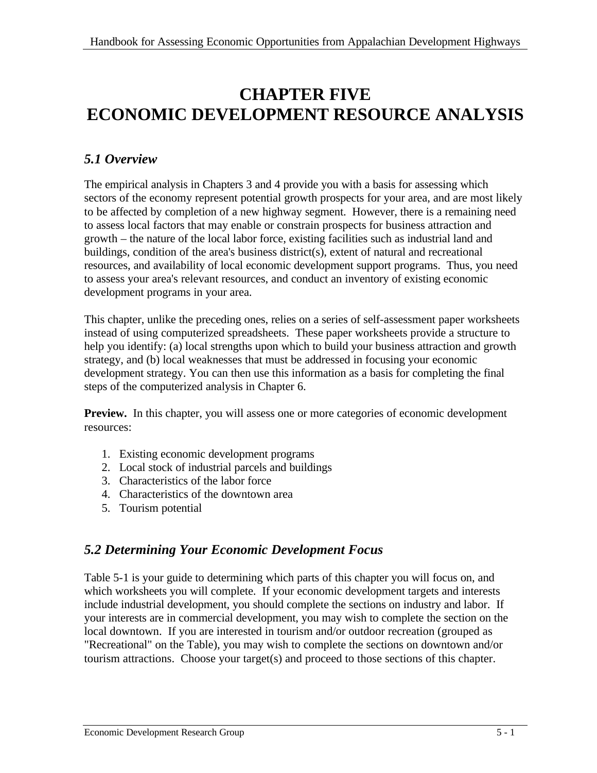## **CHAPTER FIVE ECONOMIC DEVELOPMENT RESOURCE ANALYSIS**

## *5.1 Overview*

The empirical analysis in Chapters 3 and 4 provide you with a basis for assessing which sectors of the economy represent potential growth prospects for your area, and are most likely to be affected by completion of a new highway segment. However, there is a remaining need to assess local factors that may enable or constrain prospects for business attraction and growth – the nature of the local labor force, existing facilities such as industrial land and buildings, condition of the area's business district(s), extent of natural and recreational resources, and availability of local economic development support programs. Thus, you need to assess your area's relevant resources, and conduct an inventory of existing economic development programs in your area.

This chapter, unlike the preceding ones, relies on a series of self-assessment paper worksheets instead of using computerized spreadsheets. These paper worksheets provide a structure to help you identify: (a) local strengths upon which to build your business attraction and growth strategy, and (b) local weaknesses that must be addressed in focusing your economic development strategy. You can then use this information as a basis for completing the final steps of the computerized analysis in Chapter 6.

**Preview.** In this chapter, you will assess one or more categories of economic development resources:

- 1. Existing economic development programs
- 2. Local stock of industrial parcels and buildings
- 3. Characteristics of the labor force
- 4. Characteristics of the downtown area
- 5. Tourism potential

### *5.2 Determining Your Economic Development Focus*

Table 5-1 is your guide to determining which parts of this chapter you will focus on, and which worksheets you will complete. If your economic development targets and interests include industrial development, you should complete the sections on industry and labor. If your interests are in commercial development, you may wish to complete the section on the local downtown. If you are interested in tourism and/or outdoor recreation (grouped as "Recreational" on the Table), you may wish to complete the sections on downtown and/or tourism attractions. Choose your target(s) and proceed to those sections of this chapter.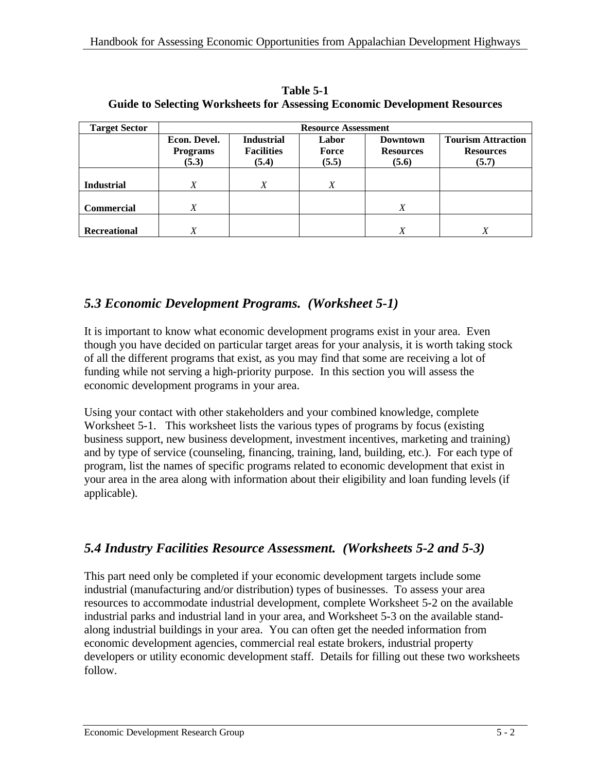| <b>Target Sector</b> | <b>Resource Assessment</b>               |                                                 |                         |                                              |                                                        |
|----------------------|------------------------------------------|-------------------------------------------------|-------------------------|----------------------------------------------|--------------------------------------------------------|
|                      | Econ. Devel.<br><b>Programs</b><br>(5.3) | <b>Industrial</b><br><b>Facilities</b><br>(5.4) | Labor<br>Force<br>(5.5) | <b>Downtown</b><br><b>Resources</b><br>(5.6) | <b>Tourism Attraction</b><br><b>Resources</b><br>(5.7) |
| <b>Industrial</b>    | X                                        | X                                               | X                       |                                              |                                                        |
| <b>Commercial</b>    |                                          |                                                 |                         | X                                            |                                                        |
| <b>Recreational</b>  | Х                                        |                                                 |                         | X                                            |                                                        |

**Table 5-1 Guide to Selecting Worksheets for Assessing Economic Development Resources**

## *5.3 Economic Development Programs. (Worksheet 5-1)*

It is important to know what economic development programs exist in your area. Even though you have decided on particular target areas for your analysis, it is worth taking stock of all the different programs that exist, as you may find that some are receiving a lot of funding while not serving a high-priority purpose. In this section you will assess the economic development programs in your area.

Using your contact with other stakeholders and your combined knowledge, complete Worksheet 5-1. This worksheet lists the various types of programs by focus (existing business support, new business development, investment incentives, marketing and training) and by type of service (counseling, financing, training, land, building, etc.). For each type of program, list the names of specific programs related to economic development that exist in your area in the area along with information about their eligibility and loan funding levels (if applicable).

## *5.4 Industry Facilities Resource Assessment. (Worksheets 5-2 and 5-3)*

This part need only be completed if your economic development targets include some industrial (manufacturing and/or distribution) types of businesses. To assess your area resources to accommodate industrial development, complete Worksheet 5-2 on the available industrial parks and industrial land in your area, and Worksheet 5-3 on the available standalong industrial buildings in your area. You can often get the needed information from economic development agencies, commercial real estate brokers, industrial property developers or utility economic development staff. Details for filling out these two worksheets follow.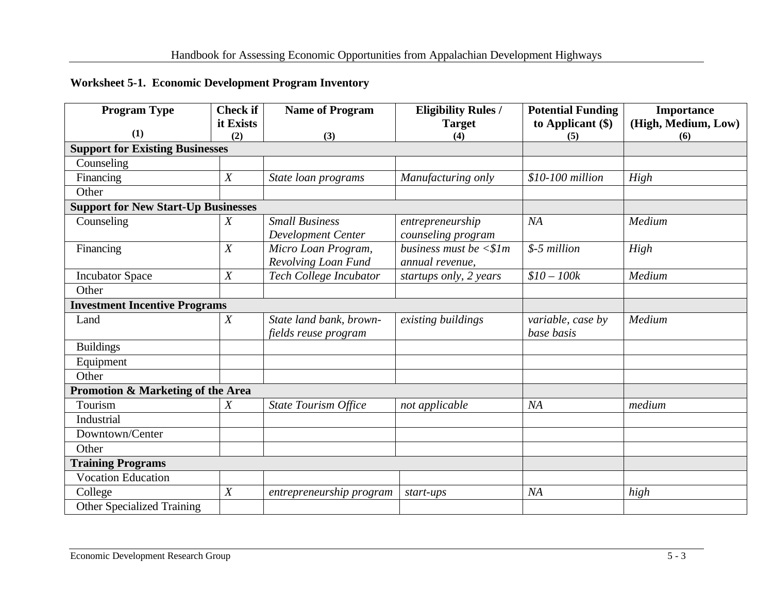#### **Worksheet 5-1. Economic Development Program Inventory**

| <b>Program Type</b>                        | <b>Check if</b>  | <b>Name of Program</b>                      | <b>Eligibility Rules /</b>                                 | <b>Potential Funding</b> | <b>Importance</b>   |
|--------------------------------------------|------------------|---------------------------------------------|------------------------------------------------------------|--------------------------|---------------------|
| (1)                                        | it Exists        |                                             | <b>Target</b>                                              | to Applicant $(\$)$      | (High, Medium, Low) |
|                                            | (2)              | (3)                                         | (4)                                                        | (5)                      | (6)                 |
| <b>Support for Existing Businesses</b>     |                  |                                             |                                                            |                          |                     |
| Counseling                                 |                  |                                             |                                                            |                          |                     |
| Financing                                  | X                | State loan programs                         | Manufacturing only                                         | \$10-100 million         | High                |
| Other                                      |                  |                                             |                                                            |                          |                     |
| <b>Support for New Start-Up Businesses</b> |                  |                                             |                                                            |                          |                     |
| Counseling                                 | $\boldsymbol{X}$ | <b>Small Business</b><br>Development Center | entrepreneurship<br>counseling program                     | NA                       | Medium              |
| Financing                                  | X                | Micro Loan Program,<br>Revolving Loan Fund  | business must be $\langle \text{$s1m}$$<br>annual revenue, | \$-5 million             | High                |
| <b>Incubator Space</b>                     | $\boldsymbol{X}$ | Tech College Incubator                      | startups only, 2 years                                     | $$10 - 100k$$            | Medium              |
| Other                                      |                  |                                             |                                                            |                          |                     |
| <b>Investment Incentive Programs</b>       |                  |                                             |                                                            |                          |                     |
| Land                                       | X                | State land bank, brown-                     | existing buildings                                         | variable, case by        | Medium              |
|                                            |                  | fields reuse program                        |                                                            | base basis               |                     |
| <b>Buildings</b>                           |                  |                                             |                                                            |                          |                     |
| Equipment                                  |                  |                                             |                                                            |                          |                     |
| Other                                      |                  |                                             |                                                            |                          |                     |
| Promotion & Marketing of the Area          |                  |                                             |                                                            |                          |                     |
| Tourism                                    | $\boldsymbol{X}$ | <b>State Tourism Office</b>                 | not applicable                                             | NA                       | medium              |
| Industrial                                 |                  |                                             |                                                            |                          |                     |
| Downtown/Center                            |                  |                                             |                                                            |                          |                     |
| Other                                      |                  |                                             |                                                            |                          |                     |
| <b>Training Programs</b>                   |                  |                                             |                                                            |                          |                     |
| <b>Vocation Education</b>                  |                  |                                             |                                                            |                          |                     |
| College                                    | X                | entrepreneurship program                    | start-ups                                                  | NA                       | high                |
| <b>Other Specialized Training</b>          |                  |                                             |                                                            |                          |                     |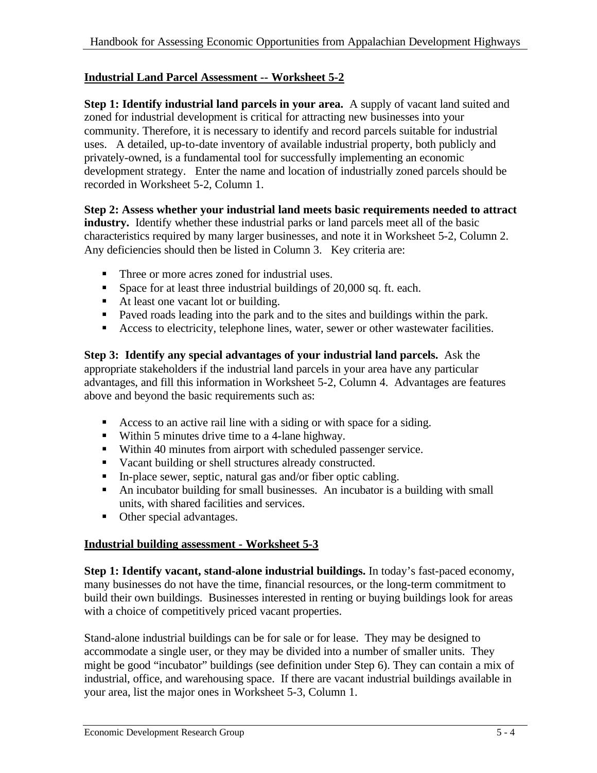#### **Industrial Land Parcel Assessment -- Worksheet 5-2**

**Step 1: Identify industrial land parcels in your area.** A supply of vacant land suited and zoned for industrial development is critical for attracting new businesses into your community. Therefore, it is necessary to identify and record parcels suitable for industrial uses. A detailed, up-to-date inventory of available industrial property, both publicly and privately-owned, is a fundamental tool for successfully implementing an economic development strategy. Enter the name and location of industrially zoned parcels should be recorded in Worksheet 5-2, Column 1.

**Step 2: Assess whether your industrial land meets basic requirements needed to attract industry.** Identify whether these industrial parks or land parcels meet all of the basic characteristics required by many larger businesses, and note it in Worksheet 5-2, Column 2. Any deficiencies should then be listed in Column 3. Key criteria are:

- Three or more acres zoned for industrial uses.
- **Space for at least three industrial buildings of 20,000 sq. ft. each.**
- At least one vacant lot or building.
- Paved roads leading into the park and to the sites and buildings within the park.
- Access to electricity, telephone lines, water, sewer or other wastewater facilities.

**Step 3: Identify any special advantages of your industrial land parcels.** Ask the appropriate stakeholders if the industrial land parcels in your area have any particular advantages, and fill this information in Worksheet 5-2, Column 4. Advantages are features above and beyond the basic requirements such as:

- Access to an active rail line with a siding or with space for a siding.
- $\blacksquare$  Within 5 minutes drive time to a 4-lane highway.
- Within 40 minutes from airport with scheduled passenger service.
- Vacant building or shell structures already constructed.
- **In-place sewer, septic, natural gas and/or fiber optic cabling.**
- ß An incubator building for small businesses. An incubator is a building with small units, with shared facilities and services.
- Other special advantages.

#### **Industrial building assessment - Worksheet 5-3**

**Step 1: Identify vacant, stand-alone industrial buildings.** In today's fast-paced economy, many businesses do not have the time, financial resources, or the long-term commitment to build their own buildings. Businesses interested in renting or buying buildings look for areas with a choice of competitively priced vacant properties.

Stand-alone industrial buildings can be for sale or for lease. They may be designed to accommodate a single user, or they may be divided into a number of smaller units. They might be good "incubator" buildings (see definition under Step 6). They can contain a mix of industrial, office, and warehousing space. If there are vacant industrial buildings available in your area, list the major ones in Worksheet 5-3, Column 1.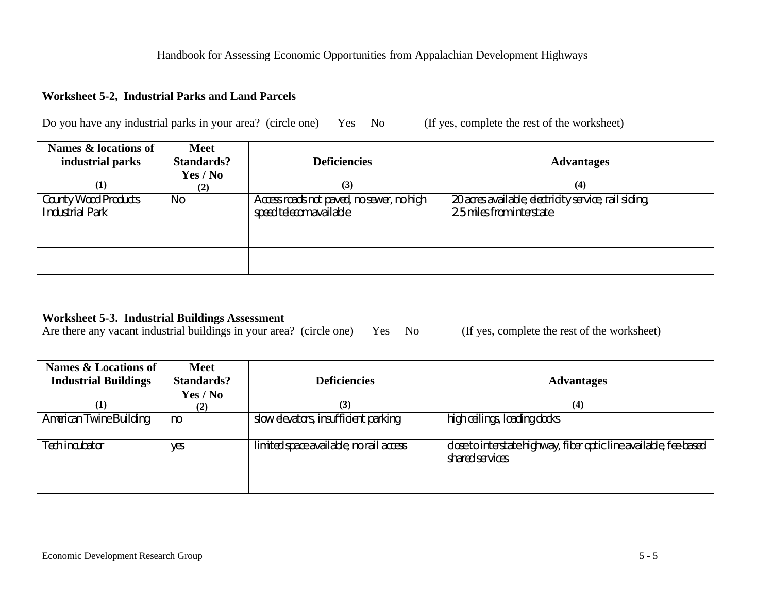#### **Worksheet 5-2, Industrial Parks and Land Parcels**

Do you have any industrial parks in your area? (circle one) Yes No (If yes, complete the rest of the worksheet)

| Names & locations of<br>industrial parks       | <b>Meet</b><br><b>Standards?</b><br>Yes / No | <b>Deficiencies</b>                                                  | <b>Advantages</b>                                                                  |
|------------------------------------------------|----------------------------------------------|----------------------------------------------------------------------|------------------------------------------------------------------------------------|
| $\bf(1)$                                       | (2)                                          | (3)                                                                  | (4)                                                                                |
| County Wood Products<br><b>Industrial Park</b> | No                                           | Access roads not paved, no sewer, no high<br>speed telecom available | 20 acres available, electricity service, rail siding,<br>2.5 miles from interstate |
|                                                |                                              |                                                                      |                                                                                    |
|                                                |                                              |                                                                      |                                                                                    |

#### **Worksheet 5-3. Industrial Buildings Assessment**

Are there any vacant industrial buildings in your area? (circle one) Yes No (If yes, complete the rest of the worksheet)

| Names & Locations of<br><b>Industrial Buildings</b> | <b>Meet</b><br><b>Standards?</b> | <b>Deficiencies</b>                     | <b>Advantages</b>                                                                     |
|-----------------------------------------------------|----------------------------------|-----------------------------------------|---------------------------------------------------------------------------------------|
|                                                     | Yes / No                         |                                         |                                                                                       |
| (1)                                                 | (2)                              | (3)                                     | (4)                                                                                   |
| American Twine Building                             | no                               | slow elevators, insufficient parking    | high ceilings, loading docks                                                          |
| Tech incubator                                      | yes                              | limited space available, no rail access | close to interstate highway, fiber optic line available, fee-based<br>shared services |
|                                                     |                                  |                                         |                                                                                       |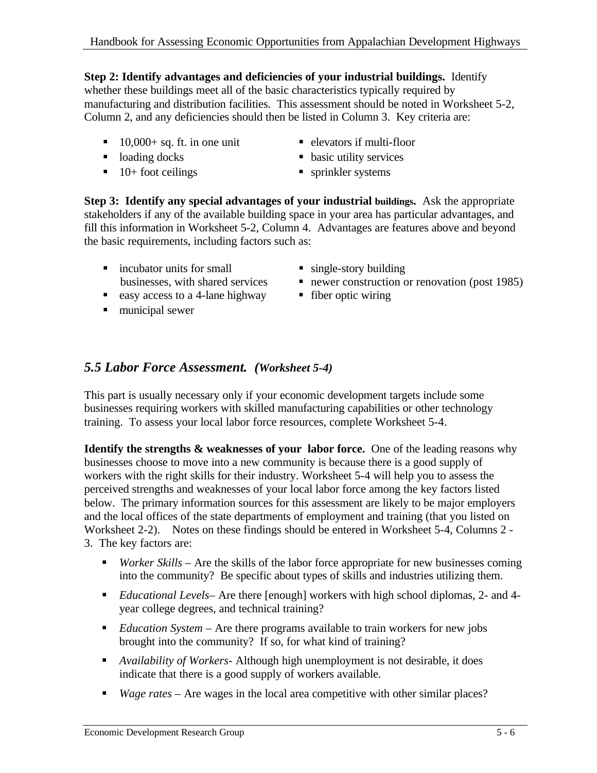#### **Step 2: Identify advantages and deficiencies of your industrial buildings.** Identify

whether these buildings meet all of the basic characteristics typically required by manufacturing and distribution facilities. This assessment should be noted in Worksheet 5-2, Column 2, and any deficiencies should then be listed in Column 3. Key criteria are:

- $\blacksquare$  10,000+ sq. ft. in one unit  $\blacksquare$  elevators if multi-floor
	-
- loading docks <br>• basic utility services
- $\blacksquare$  10+ foot ceilings  $\blacksquare$  sprinkler systems
- -

**Step 3: Identify any special advantages of your industrial buildings.** Ask the appropriate stakeholders if any of the available building space in your area has particular advantages, and fill this information in Worksheet 5-2, Column 4. Advantages are features above and beyond the basic requirements, including factors such as:

- $\blacksquare$  incubator units for small businesses, with shared services
- easy access to a 4-lane highway <br>• fiber optic wiring
- $l$  municipal sewer
- $\blacksquare$  single-story building
- $\blacksquare$  newer construction or renovation (post 1985)
- 

## *5.5 Labor Force Assessment. (Worksheet 5-4)*

This part is usually necessary only if your economic development targets include some businesses requiring workers with skilled manufacturing capabilities or other technology training. To assess your local labor force resources, complete Worksheet 5-4.

**Identify the strengths & weaknesses of your labor force.** One of the leading reasons why businesses choose to move into a new community is because there is a good supply of workers with the right skills for their industry. Worksheet 5-4 will help you to assess the perceived strengths and weaknesses of your local labor force among the key factors listed below. The primary information sources for this assessment are likely to be major employers and the local offices of the state departments of employment and training (that you listed on Worksheet 2-2). Notes on these findings should be entered in Worksheet 5-4, Columns 2 - 3. The key factors are:

- *Worker Skills* Are the skills of the labor force appropriate for new businesses coming into the community? Be specific about types of skills and industries utilizing them.
- ß *Educational Levels* Are there [enough] workers with high school diplomas, 2- and 4 year college degrees, and technical training?
- *Education System* Are there programs available to train workers for new jobs brought into the community? If so, for what kind of training?
- **•** *Availability of Workers* Although high unemployment is not desirable, it does indicate that there is a good supply of workers available.
- ß *Wage rates* Are wages in the local area competitive with other similar places?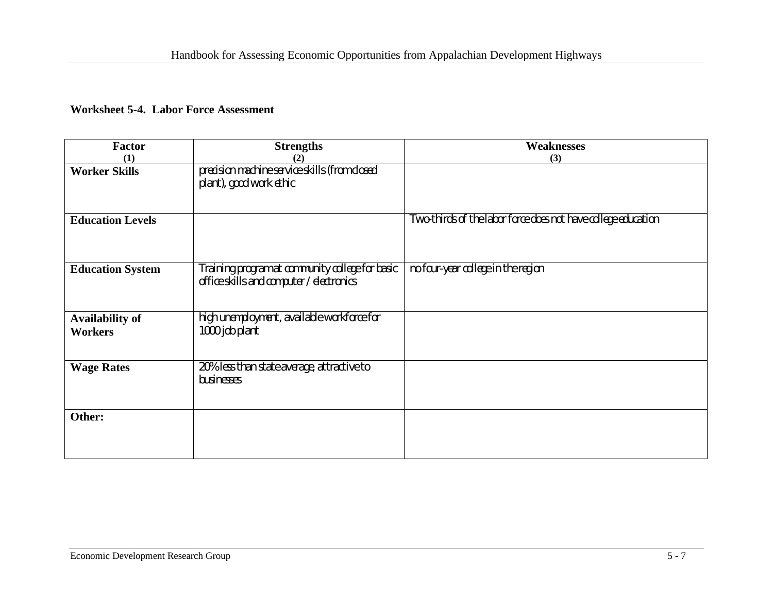#### **Worksheet 5-4. Labor Force Assessment**

| <b>Factor</b>                            | <b>Strengths</b>                                                                            | <b>Weaknesses</b>                                             |
|------------------------------------------|---------------------------------------------------------------------------------------------|---------------------------------------------------------------|
| (1)                                      | (2)                                                                                         | (3)                                                           |
| <b>Worker Skills</b>                     | precision machine service skills (from closed<br>plant), good work ethic                    |                                                               |
| <b>Education Levels</b>                  |                                                                                             | Two-thirds of the labor force does not have college education |
| <b>Education System</b>                  | Training program at community college for basic<br>office skills and computer / electronics | no four-year college in the region                            |
| <b>Availability of</b><br><b>Workers</b> | high unemployment, available workforce for<br>1000 job plant                                |                                                               |
| <b>Wage Rates</b>                        | 20% less than state average, attractive to<br>businesses                                    |                                                               |
| Other:                                   |                                                                                             |                                                               |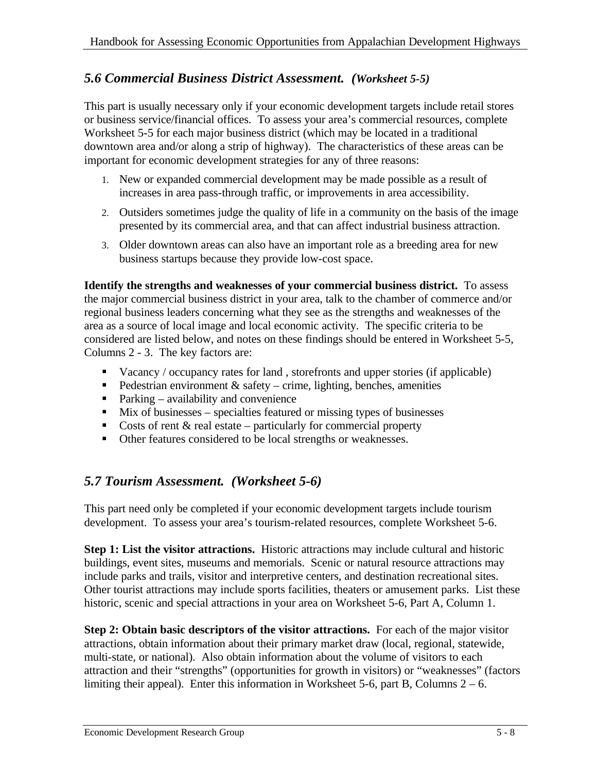## *5.6 Commercial Business District Assessment. (Worksheet 5-5)*

This part is usually necessary only if your economic development targets include retail stores or business service/financial offices. To assess your area's commercial resources, complete Worksheet 5-5 for each major business district (which may be located in a traditional downtown area and/or along a strip of highway). The characteristics of these areas can be important for economic development strategies for any of three reasons:

- 1. New or expanded commercial development may be made possible as a result of increases in area pass-through traffic, or improvements in area accessibility.
- 2. Outsiders sometimes judge the quality of life in a community on the basis of the image presented by its commercial area, and that can affect industrial business attraction.
- 3. Older downtown areas can also have an important role as a breeding area for new business startups because they provide low-cost space.

**Identify the strengths and weaknesses of your commercial business district.** To assess the major commercial business district in your area, talk to the chamber of commerce and/or regional business leaders concerning what they see as the strengths and weaknesses of the area as a source of local image and local economic activity. The specific criteria to be considered are listed below, and notes on these findings should be entered in Worksheet 5-5, Columns 2 - 3. The key factors are:

- $\blacksquare$  Vacancy / occupancy rates for land, storefronts and upper stories (if applicable)
- Pedestrian environment  $\&$  safety crime, lighting, benches, amenities
- $\blacksquare$  Parking availability and convenience
- $\blacksquare$  Mix of businesses specialties featured or missing types of businesses
- Costs of rent  $\&$  real estate particularly for commercial property
- Other features considered to be local strengths or weaknesses.

## *5.7 Tourism Assessment. (Worksheet 5-6)*

This part need only be completed if your economic development targets include tourism development. To assess your area's tourism-related resources, complete Worksheet 5-6.

**Step 1: List the visitor attractions.** Historic attractions may include cultural and historic buildings, event sites, museums and memorials. Scenic or natural resource attractions may include parks and trails, visitor and interpretive centers, and destination recreational sites. Other tourist attractions may include sports facilities, theaters or amusement parks. List these historic, scenic and special attractions in your area on Worksheet 5-6, Part A, Column 1.

**Step 2: Obtain basic descriptors of the visitor attractions.** For each of the major visitor attractions, obtain information about their primary market draw (local, regional, statewide, multi-state, or national). Also obtain information about the volume of visitors to each attraction and their "strengths" (opportunities for growth in visitors) or "weaknesses" (factors limiting their appeal). Enter this information in Worksheet 5-6, part B, Columns  $2 - 6$ .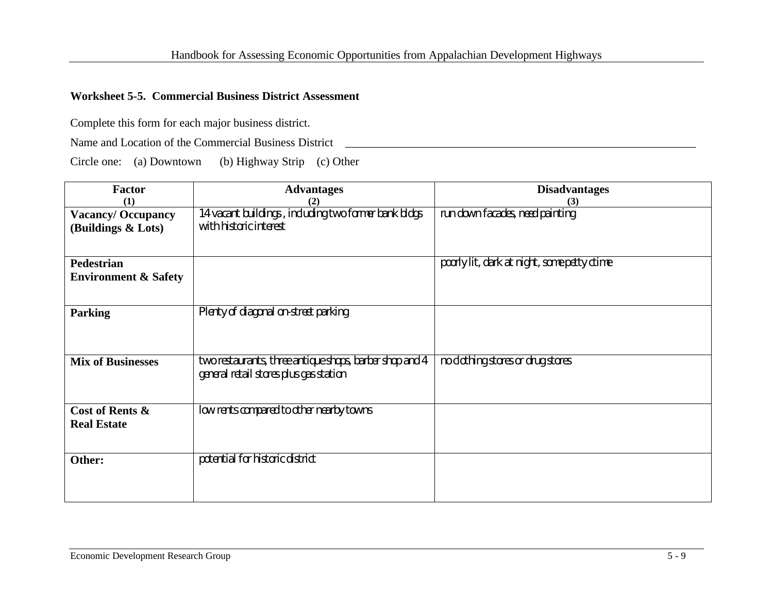#### **Worksheet 5-5. Commercial Business District Assessment**

Complete this form for each major business district.

Name and Location of the Commercial Business District \_\_\_\_\_\_\_\_\_\_\_\_\_\_\_\_\_\_\_\_\_\_\_\_\_\_\_\_\_\_\_\_\_\_\_\_\_\_\_\_\_\_\_\_\_\_\_\_\_\_\_\_\_\_\_\_\_\_\_\_

Circle one: (a) Downtown (b) Highway Strip (c) Other

| Factor                                                | <b>Advantages</b>                                                                                 | <b>Disadvantages</b>                        |
|-------------------------------------------------------|---------------------------------------------------------------------------------------------------|---------------------------------------------|
| (1)<br><b>Vacancy/Occupancy</b><br>(Buildings & Lots) | (2)<br>14 vacant buildings, including two former bank bldgs<br>with historic interest             | (3)<br>run down facades, need painting      |
| <b>Pedestrian</b><br><b>Environment &amp; Safety</b>  |                                                                                                   | poorly lit, dark at night, some petty ctime |
| <b>Parking</b>                                        | Plenty of diagonal on-street parking                                                              |                                             |
| <b>Mix of Businesses</b>                              | two restaurants, three antique shops, barber shop and 4<br>general retail stores plus gas station | no clothing stores or drug stores           |
| Cost of Rents &<br><b>Real Estate</b>                 | low rents compared to other nearby towns                                                          |                                             |
| Other:                                                | potential for historic district                                                                   |                                             |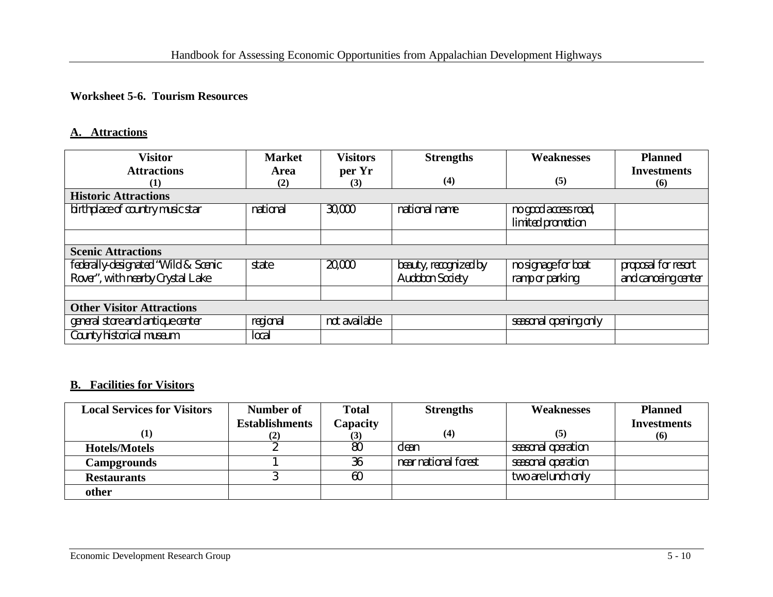#### **Worksheet 5-6. Tourism Resources**

#### **A. Attractions**

| <b>Visitor</b>                      | <b>Market</b> | <b>Visitors</b> | <b>Strengths</b>       | <b>Weaknesses</b>     | <b>Planned</b>      |
|-------------------------------------|---------------|-----------------|------------------------|-----------------------|---------------------|
| <b>Attractions</b>                  | Area          | per Yr          |                        |                       | <b>Investments</b>  |
| (1)                                 | (2)           | (3)             | (4)                    | (5)                   | (6)                 |
| <b>Historic Attractions</b>         |               |                 |                        |                       |                     |
| birthplace of country music star    | national      | 30,000          | national name          | no good access road,  |                     |
|                                     |               |                 |                        | limited promotion     |                     |
|                                     |               |                 |                        |                       |                     |
| <b>Scenic Attractions</b>           |               |                 |                        |                       |                     |
| federally-designated "Wild & Scenic | state         | 20,000          | beauty, recognized by  | no signage for boat   | proposal for resort |
| Rover", with nearby Crystal Lake    |               |                 | <b>Audobon Society</b> | ramp or parking       | and canoeing center |
|                                     |               |                 |                        |                       |                     |
| <b>Other Visitor Attractions</b>    |               |                 |                        |                       |                     |
| general store and antique center    | regional      | not available   |                        | seasonal opening only |                     |
| County historical museum            | local         |                 |                        |                       |                     |

#### **B. Facilities for Visitors**

| <b>Local Services for Visitors</b> | Number of             | <b>Total</b> | <b>Strengths</b>     | <b>Weaknesses</b>  | <b>Planned</b>     |
|------------------------------------|-----------------------|--------------|----------------------|--------------------|--------------------|
|                                    | <b>Establishments</b> | Capacity     | (4)                  | (5)                | <b>Investments</b> |
|                                    | [2]                   |              |                      |                    | (6)                |
| <b>Hotels/Motels</b>               |                       | 80           | clean                | seasonal operation |                    |
| <b>Campgrounds</b>                 |                       | 36           | near national forest | seasonal operation |                    |
| <b>Restaurants</b>                 |                       | 60           |                      | two are lunch only |                    |
| other                              |                       |              |                      |                    |                    |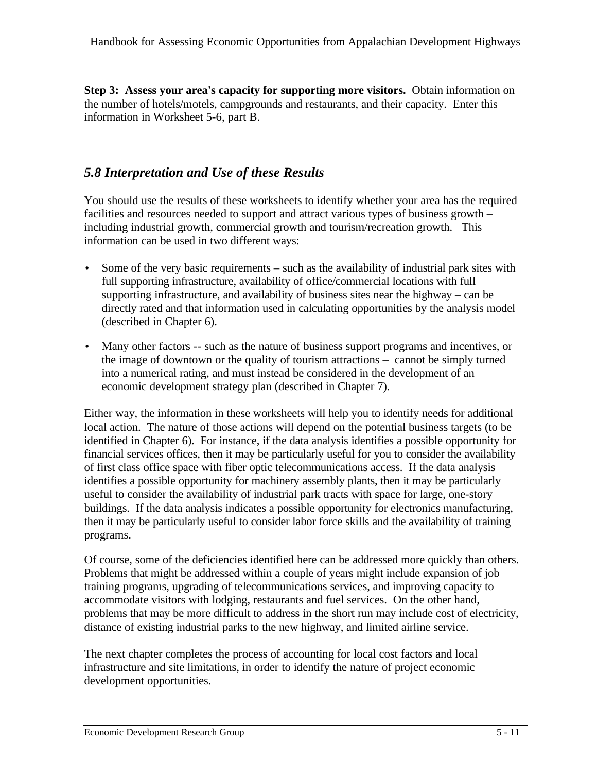**Step 3: Assess your area's capacity for supporting more visitors.** Obtain information on the number of hotels/motels, campgrounds and restaurants, and their capacity. Enter this information in Worksheet 5-6, part B.

## *5.8 Interpretation and Use of these Results*

You should use the results of these worksheets to identify whether your area has the required facilities and resources needed to support and attract various types of business growth – including industrial growth, commercial growth and tourism/recreation growth. This information can be used in two different ways:

- Some of the very basic requirements such as the availability of industrial park sites with full supporting infrastructure, availability of office/commercial locations with full supporting infrastructure, and availability of business sites near the highway – can be directly rated and that information used in calculating opportunities by the analysis model (described in Chapter 6).
- Many other factors -- such as the nature of business support programs and incentives, or the image of downtown or the quality of tourism attractions – cannot be simply turned into a numerical rating, and must instead be considered in the development of an economic development strategy plan (described in Chapter 7).

Either way, the information in these worksheets will help you to identify needs for additional local action. The nature of those actions will depend on the potential business targets (to be identified in Chapter 6). For instance, if the data analysis identifies a possible opportunity for financial services offices, then it may be particularly useful for you to consider the availability of first class office space with fiber optic telecommunications access. If the data analysis identifies a possible opportunity for machinery assembly plants, then it may be particularly useful to consider the availability of industrial park tracts with space for large, one-story buildings. If the data analysis indicates a possible opportunity for electronics manufacturing, then it may be particularly useful to consider labor force skills and the availability of training programs.

Of course, some of the deficiencies identified here can be addressed more quickly than others. Problems that might be addressed within a couple of years might include expansion of job training programs, upgrading of telecommunications services, and improving capacity to accommodate visitors with lodging, restaurants and fuel services. On the other hand, problems that may be more difficult to address in the short run may include cost of electricity, distance of existing industrial parks to the new highway, and limited airline service.

The next chapter completes the process of accounting for local cost factors and local infrastructure and site limitations, in order to identify the nature of project economic development opportunities.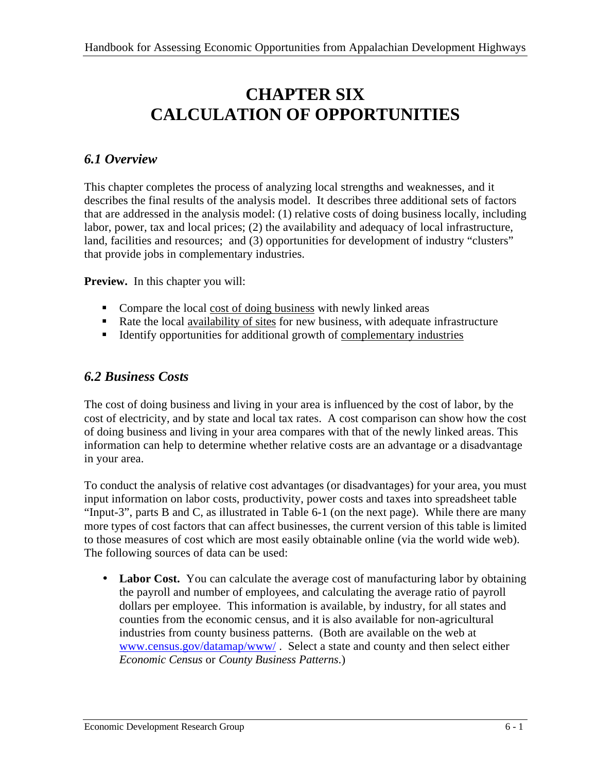# **CHAPTER SIX CALCULATION OF OPPORTUNITIES**

## *6.1 Overview*

This chapter completes the process of analyzing local strengths and weaknesses, and it describes the final results of the analysis model. It describes three additional sets of factors that are addressed in the analysis model: (1) relative costs of doing business locally, including labor, power, tax and local prices; (2) the availability and adequacy of local infrastructure, land, facilities and resources; and (3) opportunities for development of industry "clusters" that provide jobs in complementary industries.

**Preview.** In this chapter you will:

- Compare the local cost of doing business with newly linked areas
- Rate the local availability of sites for new business, with adequate infrastructure
- ß Identify opportunities for additional growth of complementary industries

## *6.2 Business Costs*

The cost of doing business and living in your area is influenced by the cost of labor, by the cost of electricity, and by state and local tax rates. A cost comparison can show how the cost of doing business and living in your area compares with that of the newly linked areas. This information can help to determine whether relative costs are an advantage or a disadvantage in your area.

To conduct the analysis of relative cost advantages (or disadvantages) for your area, you must input information on labor costs, productivity, power costs and taxes into spreadsheet table "Input-3", parts B and C, as illustrated in Table 6-1 (on the next page). While there are many more types of cost factors that can affect businesses, the current version of this table is limited to those measures of cost which are most easily obtainable online (via the world wide web). The following sources of data can be used:

• Labor Cost. You can calculate the average cost of manufacturing labor by obtaining the payroll and number of employees, and calculating the average ratio of payroll dollars per employee. This information is available, by industry, for all states and counties from the economic census, and it is also available for non-agricultural industries from county business patterns. (Both are available on the web at www.census.gov/datamap/www/ . Select a state and county and then select either *Economic Census* or *County Business Patterns*.)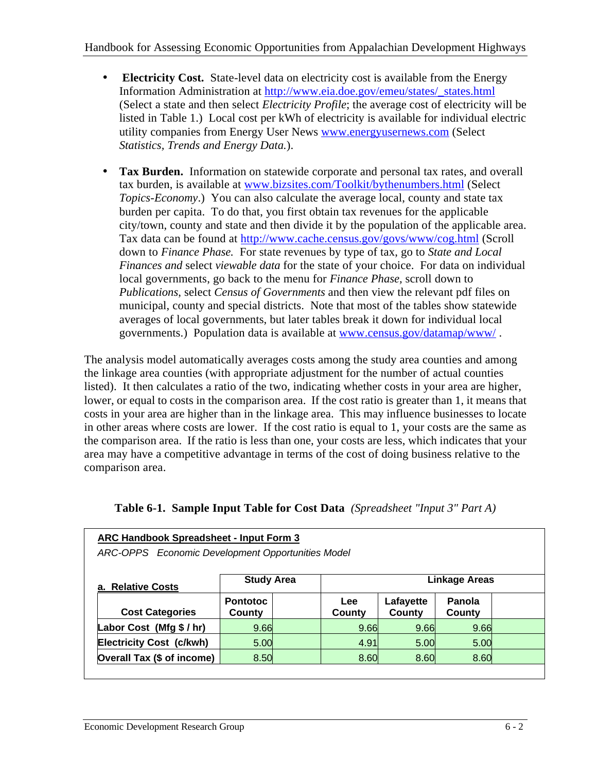- **Electricity Cost.** State-level data on electricity cost is available from the Energy Information Administration at http://www.eia.doe.gov/emeu/states/\_states.html (Select a state and then select *Electricity Profile*; the average cost of electricity will be listed in Table 1.) Local cost per kWh of electricity is available for individual electric utility companies from Energy User News www.energyusernews.com (Select *Statistics, Trends and Energy Data.*).
- **Tax Burden.** Information on statewide corporate and personal tax rates, and overall tax burden, is available at www.bizsites.com/Toolkit/bythenumbers.html (Select *Topics-Economy*.) You can also calculate the average local, county and state tax burden per capita. To do that, you first obtain tax revenues for the applicable city/town, county and state and then divide it by the population of the applicable area. Tax data can be found at http://www.cache.census.gov/govs/www/cog.html (Scroll down to *Finance Phase.* For state revenues by type of tax, go to *State and Local Finances and* select *viewable data* for the state of your choice. For data on individual local governments, go back to the menu for *Finance Phase,* scroll down to *Publications*, select *Census of Governments* and then view the relevant pdf files on municipal, county and special districts. Note that most of the tables show statewide averages of local governments, but later tables break it down for individual local governments.) Population data is available at www.census.gov/datamap/www/.

The analysis model automatically averages costs among the study area counties and among the linkage area counties (with appropriate adjustment for the number of actual counties listed). It then calculates a ratio of the two, indicating whether costs in your area are higher, lower, or equal to costs in the comparison area. If the cost ratio is greater than 1, it means that costs in your area are higher than in the linkage area. This may influence businesses to locate in other areas where costs are lower. If the cost ratio is equal to 1, your costs are the same as the comparison area. If the ratio is less than one, your costs are less, which indicates that your area may have a competitive advantage in terms of the cost of doing business relative to the comparison area.

| ARC Handbook Spreadsheet - Input Form 3<br>ARC-OPPS Economic Development Opportunities Model |                           |  |                      |                     |                  |  |
|----------------------------------------------------------------------------------------------|---------------------------|--|----------------------|---------------------|------------------|--|
| <b>Study Area</b><br><b>Linkage Areas</b><br>a. Relative Costs                               |                           |  |                      |                     |                  |  |
| <b>Cost Categories</b>                                                                       | <b>Pontotoc</b><br>County |  | <b>Lee</b><br>County | Lafayette<br>County | Panola<br>County |  |
| Labor Cost (Mfg $$/hr$ )                                                                     | 9.66                      |  | 9.66                 | 9.66                | 9.66             |  |
| <b>Electricity Cost (c/kwh)</b>                                                              | 5.00                      |  | 4.91                 | 5.00                | 5.00             |  |
| Overall Tax (\$ of income)                                                                   | 8.50                      |  | 8.60                 | 8.60                | 8.60             |  |

|  |  | <b>Table 6-1. Sample Input Table for Cost Data</b> (Spreadsheet "Input 3" Part A) |  |  |  |
|--|--|-----------------------------------------------------------------------------------|--|--|--|
|--|--|-----------------------------------------------------------------------------------|--|--|--|

**ARC Handbook Spreadsheet - Input Form 3**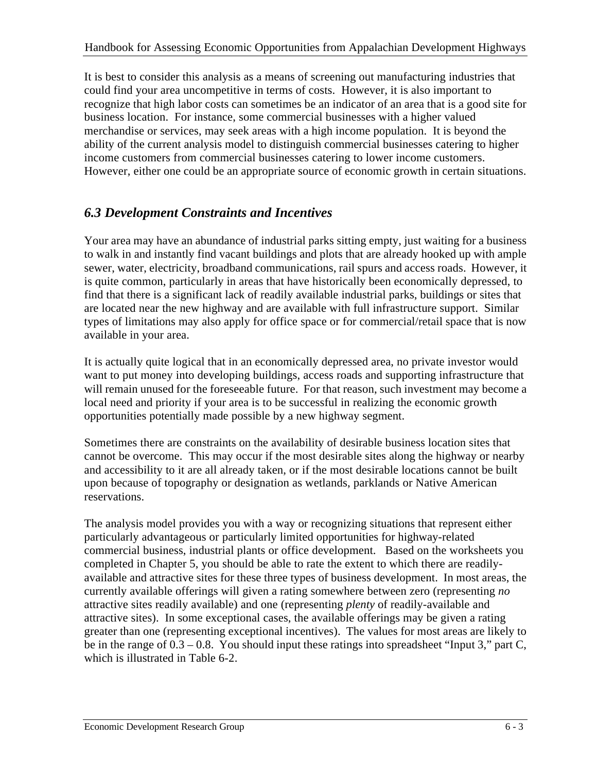It is best to consider this analysis as a means of screening out manufacturing industries that could find your area uncompetitive in terms of costs. However, it is also important to recognize that high labor costs can sometimes be an indicator of an area that is a good site for business location. For instance, some commercial businesses with a higher valued merchandise or services, may seek areas with a high income population. It is beyond the ability of the current analysis model to distinguish commercial businesses catering to higher income customers from commercial businesses catering to lower income customers. However, either one could be an appropriate source of economic growth in certain situations.

## *6.3 Development Constraints and Incentives*

Your area may have an abundance of industrial parks sitting empty, just waiting for a business to walk in and instantly find vacant buildings and plots that are already hooked up with ample sewer, water, electricity, broadband communications, rail spurs and access roads. However, it is quite common, particularly in areas that have historically been economically depressed, to find that there is a significant lack of readily available industrial parks, buildings or sites that are located near the new highway and are available with full infrastructure support. Similar types of limitations may also apply for office space or for commercial/retail space that is now available in your area.

It is actually quite logical that in an economically depressed area, no private investor would want to put money into developing buildings, access roads and supporting infrastructure that will remain unused for the foreseeable future. For that reason, such investment may become a local need and priority if your area is to be successful in realizing the economic growth opportunities potentially made possible by a new highway segment.

Sometimes there are constraints on the availability of desirable business location sites that cannot be overcome. This may occur if the most desirable sites along the highway or nearby and accessibility to it are all already taken, or if the most desirable locations cannot be built upon because of topography or designation as wetlands, parklands or Native American reservations.

The analysis model provides you with a way or recognizing situations that represent either particularly advantageous or particularly limited opportunities for highway-related commercial business, industrial plants or office development. Based on the worksheets you completed in Chapter 5, you should be able to rate the extent to which there are readilyavailable and attractive sites for these three types of business development. In most areas, the currently available offerings will given a rating somewhere between zero (representing *no*  attractive sites readily available) and one (representing *plenty* of readily-available and attractive sites). In some exceptional cases, the available offerings may be given a rating greater than one (representing exceptional incentives). The values for most areas are likely to be in the range of 0.3 – 0.8. You should input these ratings into spreadsheet "Input 3," part C, which is illustrated in Table 6-2.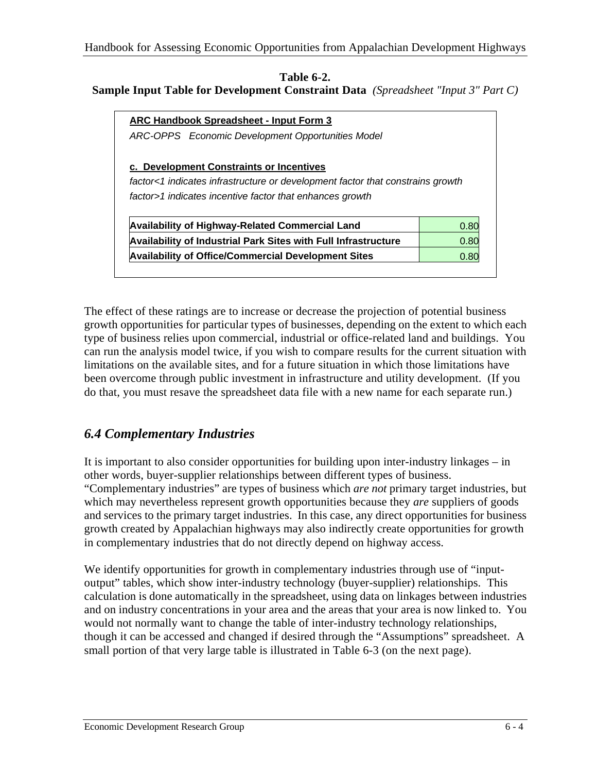#### **Table 6-2. Sample Input Table for Development Constraint Data** *(Spreadsheet "Input 3" Part C)*

| ARC Handbook Spreadsheet - Input Form 3                                        |      |
|--------------------------------------------------------------------------------|------|
| ARC-OPPS Economic Development Opportunities Model                              |      |
| c. Development Constraints or Incentives                                       |      |
| factor<1 indicates infrastructure or development factor that constrains growth |      |
|                                                                                |      |
| factor>1 indicates incentive factor that enhances growth                       |      |
|                                                                                |      |
| <b>Availability of Highway-Related Commercial Land</b>                         | 0.80 |
| <b>Availability of Industrial Park Sites with Full Infrastructure</b>          | 0.80 |

The effect of these ratings are to increase or decrease the projection of potential business growth opportunities for particular types of businesses, depending on the extent to which each type of business relies upon commercial, industrial or office-related land and buildings. You can run the analysis model twice, if you wish to compare results for the current situation with limitations on the available sites, and for a future situation in which those limitations have been overcome through public investment in infrastructure and utility development. (If you do that, you must resave the spreadsheet data file with a new name for each separate run.)

## *6.4 Complementary Industries*

It is important to also consider opportunities for building upon inter-industry linkages – in other words, buyer-supplier relationships between different types of business. "Complementary industries" are types of business which *are not* primary target industries, but which may nevertheless represent growth opportunities because they *are* suppliers of goods and services to the primary target industries. In this case, any direct opportunities for business growth created by Appalachian highways may also indirectly create opportunities for growth in complementary industries that do not directly depend on highway access.

We identify opportunities for growth in complementary industries through use of "inputoutput" tables, which show inter-industry technology (buyer-supplier) relationships. This calculation is done automatically in the spreadsheet, using data on linkages between industries and on industry concentrations in your area and the areas that your area is now linked to. You would not normally want to change the table of inter-industry technology relationships, though it can be accessed and changed if desired through the "Assumptions" spreadsheet. A small portion of that very large table is illustrated in Table 6-3 (on the next page).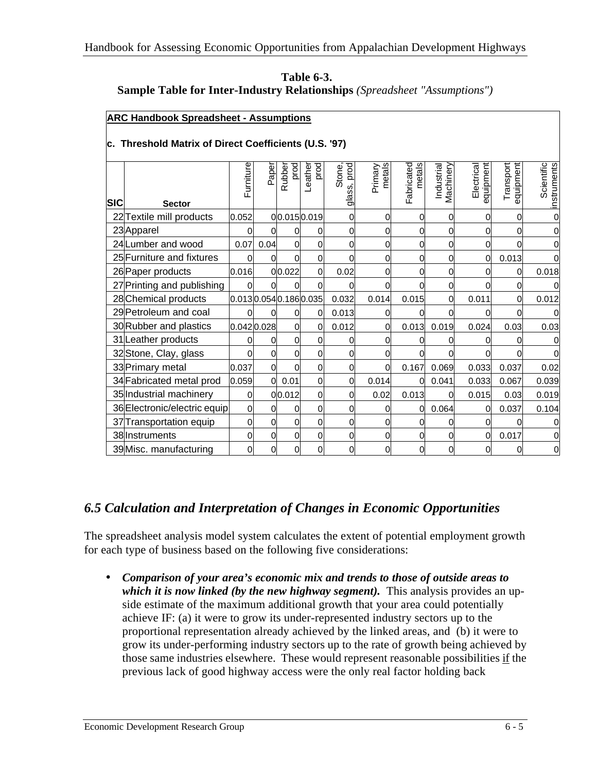| <b>Table 6-3.</b>                                                                |  |
|----------------------------------------------------------------------------------|--|
| <b>Sample Table for Inter-Industry Relationships</b> (Spreadsheet "Assumptions") |  |

#### **ARC Handbook Spreadsheet - Assumptions**

#### **c. Threshold Matrix of Direct Coefficients (U.S. '97)**

| <b>SIC</b> | <b>Sector</b>                | Furniture            | Paper    | prod<br>Rubber | prod<br>Leather | glass, prod<br>Stone, | metals<br>Primary | Fabricated<br>metals | Industrial<br>Machinery | hemqinbe<br>Electrical | equipment<br>Transport | Scientific<br>instruments |
|------------|------------------------------|----------------------|----------|----------------|-----------------|-----------------------|-------------------|----------------------|-------------------------|------------------------|------------------------|---------------------------|
|            | 22 Textile mill products     | 0.052                |          |                | 00.0150.019     | 0                     | 0                 | 0                    | 0                       | 0                      | 0                      |                           |
|            | 23 Apparel                   | 0                    | ი        |                | 0               | 0                     | 0                 | 0                    | 0                       | $\Omega$               | 0                      | 0                         |
|            | 24 Lumber and wood           | 0.07                 | 0.04     | 0              | $\Omega$        | 0                     | 0                 | 0                    | 0                       | 0                      | 0                      | 0                         |
|            | 25 Furniture and fixtures    | $\overline{0}$       | 0        | 0              | $\mathbf 0$     | 0                     | 0                 | 0                    | 0                       | $\overline{0}$         | 0.013                  |                           |
|            | 26 Paper products            | 0.016                |          | 00.022         | 0               | 0.02                  | $\mathbf{0}$      | 0                    | 0                       | 0                      | 0                      | 0.018                     |
|            | 27 Printing and publishing   | $\Omega$             | $\Omega$ | 0              | $\Omega$        | 0                     | 0                 |                      | 0                       | 0                      | 0                      | 0                         |
|            | 28 Chemical products         | 0.0130.0540.1860.035 |          |                |                 | 0.032                 | 0.014             | 0.015                | 0                       | 0.011                  | 0                      | 0.012                     |
|            | 29 Petroleum and coal        | O                    | O        | 0              | $\Omega$        | 0.013                 | 0                 |                      | 0                       | U                      | 0                      |                           |
|            | 30 Rubber and plastics       | 0.0420.028           |          | 0              | $\overline{0}$  | 0.012                 | 0                 | 0.013                | 0.019                   | 0.024                  | 0.03                   | 0.03                      |
|            | 31 Leather products          | 0                    | 0        | 0              | $\Omega$        | 0                     | $\Omega$          | 0                    | 0                       | ∩                      | 0                      |                           |
|            | 32 Stone, Clay, glass        | 0                    | 0        |                | $\overline{0}$  | 0                     | 0                 |                      | O                       | 0                      | ი                      |                           |
|            | 33 Primary metal             | 0.037                | 0        | 0              | $\overline{0}$  | 0                     | $\overline{0}$    | 0.167                | 0.069                   | 0.033                  | 0.037                  | 0.02                      |
|            | 34 Fabricated metal prod     | 0.059                | 0        | 0.01           | $\Omega$        | 0                     | 0.014             | 0                    | 0.041                   | 0.033                  | 0.067                  | 0.039                     |
|            | 35 Industrial machinery      | $\overline{0}$       |          | 00.012         | $\mathbf 0$     | 0                     | 0.02              | 0.013                | 0                       | 0.015                  | 0.03                   | 0.019                     |
|            | 36 Electronic/electric equip | $\Omega$             | 0        | 0              | $\overline{0}$  | 0                     | 0                 | 0                    | 0.064                   | $\Omega$               | 0.037                  | 0.104                     |
|            | 37 Transportation equip      | $\Omega$             | 0        | 0              | $\mathbf 0$     | 0                     | $\Omega$          | 0                    | 0                       | $\Omega$               | 0                      | 0                         |
|            | 38 Instruments               | 0                    | 0        | 0              | $\mathbf 0$     | 0                     | 0                 | 0                    | 0                       | $\overline{0}$         | 0.017                  |                           |
|            | 39 Misc. manufacturing       | $\Omega$             | 0        | 0              | $\Omega$        | 0                     | 0                 | 0                    | 0                       | 0                      | 0                      | 0                         |

#### *6.5 Calculation and Interpretation of Changes in Economic Opportunities*

The spreadsheet analysis model system calculates the extent of potential employment growth for each type of business based on the following five considerations:

• *Comparison of your area's economic mix and trends to those of outside areas to which it is now linked (by the new highway segment).* This analysis provides an upside estimate of the maximum additional growth that your area could potentially achieve IF: (a) it were to grow its under-represented industry sectors up to the proportional representation already achieved by the linked areas, and (b) it were to grow its under-performing industry sectors up to the rate of growth being achieved by those same industries elsewhere. These would represent reasonable possibilities if the previous lack of good highway access were the only real factor holding back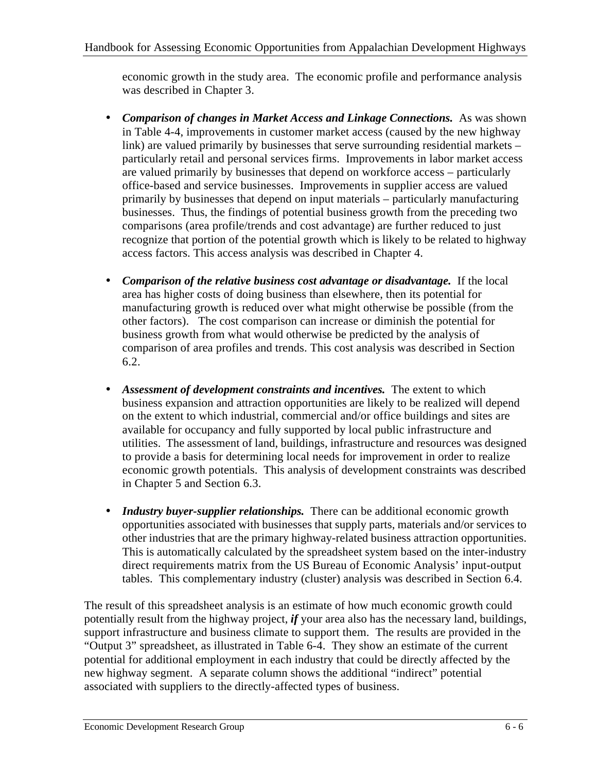economic growth in the study area. The economic profile and performance analysis was described in Chapter 3.

- *Comparison of changes in Market Access and Linkage Connections.* As was shown in Table 4-4, improvements in customer market access (caused by the new highway link) are valued primarily by businesses that serve surrounding residential markets – particularly retail and personal services firms. Improvements in labor market access are valued primarily by businesses that depend on workforce access – particularly office-based and service businesses. Improvements in supplier access are valued primarily by businesses that depend on input materials – particularly manufacturing businesses. Thus, the findings of potential business growth from the preceding two comparisons (area profile/trends and cost advantage) are further reduced to just recognize that portion of the potential growth which is likely to be related to highway access factors. This access analysis was described in Chapter 4.
- *Comparison of the relative business cost advantage or disadvantage.* If the local area has higher costs of doing business than elsewhere, then its potential for manufacturing growth is reduced over what might otherwise be possible (from the other factors). The cost comparison can increase or diminish the potential for business growth from what would otherwise be predicted by the analysis of comparison of area profiles and trends. This cost analysis was described in Section 6.2.
- Assessment of development constraints and incentives. The extent to which business expansion and attraction opportunities are likely to be realized will depend on the extent to which industrial, commercial and/or office buildings and sites are available for occupancy and fully supported by local public infrastructure and utilities. The assessment of land, buildings, infrastructure and resources was designed to provide a basis for determining local needs for improvement in order to realize economic growth potentials. This analysis of development constraints was described in Chapter 5 and Section 6.3.
- *Industry buyer-supplier relationships.* There can be additional economic growth opportunities associated with businesses that supply parts, materials and/or services to other industries that are the primary highway-related business attraction opportunities. This is automatically calculated by the spreadsheet system based on the inter-industry direct requirements matrix from the US Bureau of Economic Analysis' input-output tables. This complementary industry (cluster) analysis was described in Section 6.4.

The result of this spreadsheet analysis is an estimate of how much economic growth could potentially result from the highway project, *if* your area also has the necessary land, buildings, support infrastructure and business climate to support them. The results are provided in the "Output 3" spreadsheet, as illustrated in Table 6-4. They show an estimate of the current potential for additional employment in each industry that could be directly affected by the new highway segment. A separate column shows the additional "indirect" potential associated with suppliers to the directly-affected types of business.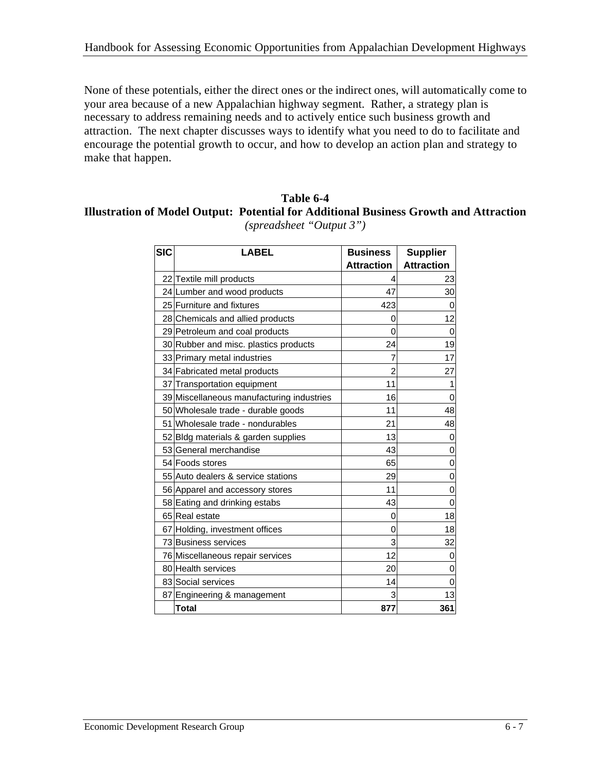None of these potentials, either the direct ones or the indirect ones, will automatically come to your area because of a new Appalachian highway segment. Rather, a strategy plan is necessary to address remaining needs and to actively entice such business growth and attraction. The next chapter discusses ways to identify what you need to do to facilitate and encourage the potential growth to occur, and how to develop an action plan and strategy to make that happen.

#### **Table 6-4 Illustration of Model Output: Potential for Additional Business Growth and Attraction** *(spreadsheet "Output 3")*

| <b>SIC</b> | <b>LABEL</b>                              | <b>Business</b>   | <b>Supplier</b>   |  |  |
|------------|-------------------------------------------|-------------------|-------------------|--|--|
|            |                                           | <b>Attraction</b> | <b>Attraction</b> |  |  |
|            | 22 Textile mill products                  | 4                 | 23                |  |  |
|            | 24 Lumber and wood products               | 47                | 30                |  |  |
|            | 25 Furniture and fixtures                 | 423               | 0                 |  |  |
|            | 28 Chemicals and allied products          | 0                 | 12                |  |  |
|            | 29 Petroleum and coal products            | 0                 | 0                 |  |  |
|            | 30 Rubber and misc. plastics products     | 24                | 19                |  |  |
|            | 33 Primary metal industries               | 7                 | 17                |  |  |
|            | 34 Fabricated metal products              | $\overline{2}$    | 27                |  |  |
|            | 37 Transportation equipment               | 11                | 1                 |  |  |
|            | 39 Miscellaneous manufacturing industries | 16                | 0                 |  |  |
|            | 50 Wholesale trade - durable goods        | 11                | 48                |  |  |
|            | 51 Wholesale trade - nondurables          | 21                | 48                |  |  |
|            | 52 Bldg materials & garden supplies       | 13                | 0                 |  |  |
|            | 53 General merchandise                    | 43                | 0                 |  |  |
|            | 54 Foods stores                           | 65                | $\mathbf 0$       |  |  |
|            | 55 Auto dealers & service stations        | 29                | 0                 |  |  |
|            | 56 Apparel and accessory stores           | 11                | 0                 |  |  |
|            | 58 Eating and drinking estabs             | 43                | $\mathbf 0$       |  |  |
|            | 65 Real estate                            | 0                 | 18                |  |  |
|            | 67 Holding, investment offices            | 0                 | 18                |  |  |
|            | 73 Business services                      | 3                 | 32                |  |  |
|            | 76 Miscellaneous repair services          | 12                | 0                 |  |  |
|            | 80 Health services                        | 20                | 0                 |  |  |
|            | 83 Social services                        | 14                | 0                 |  |  |
|            | 87 Engineering & management               | 3                 | 13                |  |  |
|            | <b>Total</b>                              | 877               | 361               |  |  |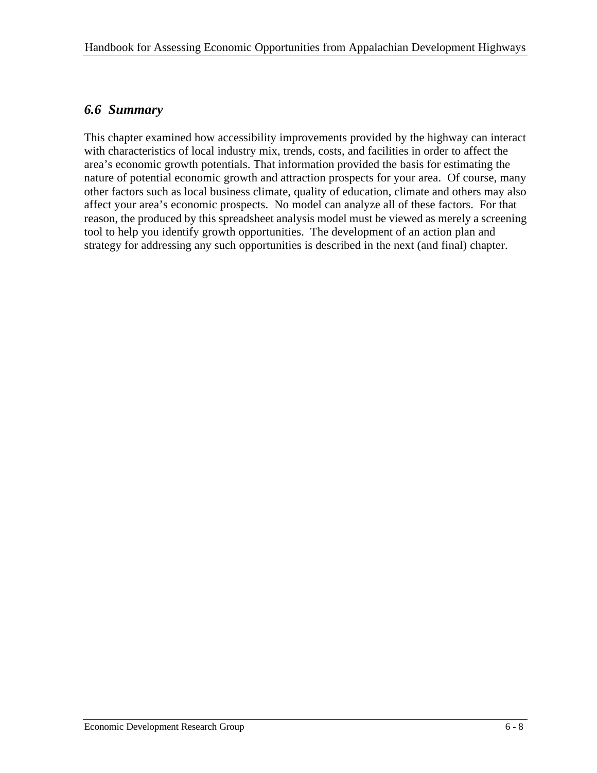### *6.6 Summary*

This chapter examined how accessibility improvements provided by the highway can interact with characteristics of local industry mix, trends, costs, and facilities in order to affect the area's economic growth potentials. That information provided the basis for estimating the nature of potential economic growth and attraction prospects for your area. Of course, many other factors such as local business climate, quality of education, climate and others may also affect your area's economic prospects. No model can analyze all of these factors. For that reason, the produced by this spreadsheet analysis model must be viewed as merely a screening tool to help you identify growth opportunities. The development of an action plan and strategy for addressing any such opportunities is described in the next (and final) chapter.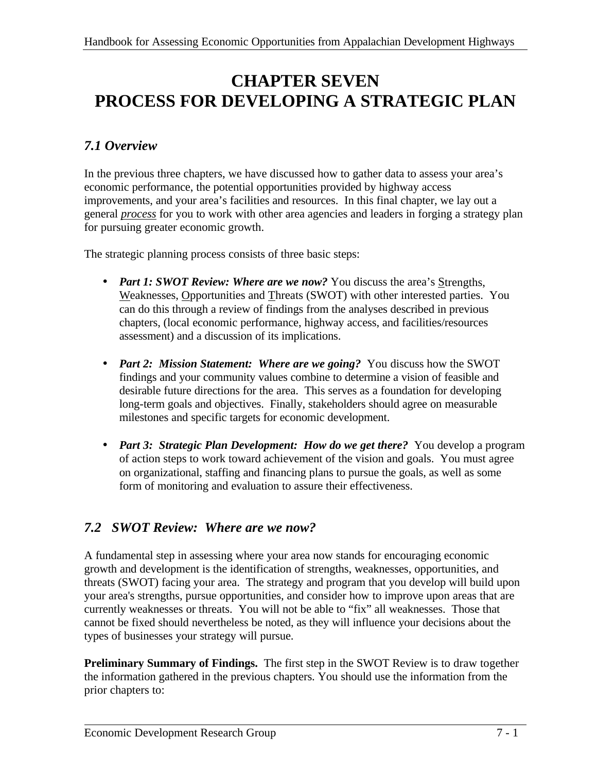# **CHAPTER SEVEN PROCESS FOR DEVELOPING A STRATEGIC PLAN**

## *7.1 Overview*

In the previous three chapters, we have discussed how to gather data to assess your area's economic performance, the potential opportunities provided by highway access improvements, and your area's facilities and resources. In this final chapter, we lay out a general *process* for you to work with other area agencies and leaders in forging a strategy plan for pursuing greater economic growth.

The strategic planning process consists of three basic steps:

- *Part 1: SWOT Review: Where are we now?* You discuss the area's Strengths, Weaknesses, Opportunities and Threats (SWOT) with other interested parties. You can do this through a review of findings from the analyses described in previous chapters, (local economic performance, highway access, and facilities/resources assessment) and a discussion of its implications.
- *Part 2: Mission Statement: Where are we going?* You discuss how the SWOT findings and your community values combine to determine a vision of feasible and desirable future directions for the area. This serves as a foundation for developing long-term goals and objectives. Finally, stakeholders should agree on measurable milestones and specific targets for economic development.
- *Part 3: Strategic Plan Development: How do we get there?* You develop a program of action steps to work toward achievement of the vision and goals. You must agree on organizational, staffing and financing plans to pursue the goals, as well as some form of monitoring and evaluation to assure their effectiveness.

## *7.2 SWOT Review: Where are we now?*

A fundamental step in assessing where your area now stands for encouraging economic growth and development is the identification of strengths, weaknesses, opportunities, and threats (SWOT) facing your area. The strategy and program that you develop will build upon your area's strengths, pursue opportunities, and consider how to improve upon areas that are currently weaknesses or threats. You will not be able to "fix" all weaknesses. Those that cannot be fixed should nevertheless be noted, as they will influence your decisions about the types of businesses your strategy will pursue.

**Preliminary Summary of Findings.** The first step in the SWOT Review is to draw together the information gathered in the previous chapters. You should use the information from the prior chapters to: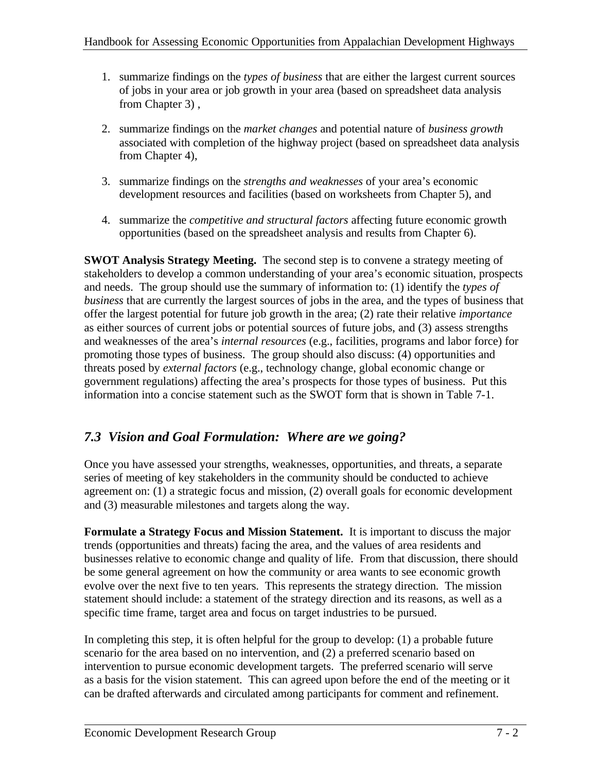- 1. summarize findings on the *types of business* that are either the largest current sources of jobs in your area or job growth in your area (based on spreadsheet data analysis from Chapter 3) ,
- 2. summarize findings on the *market changes* and potential nature of *business growth*  associated with completion of the highway project (based on spreadsheet data analysis from Chapter 4),
- 3. summarize findings on the *strengths and weaknesses* of your area's economic development resources and facilities (based on worksheets from Chapter 5), and
- 4. summarize the *competitive and structural factors* affecting future economic growth opportunities (based on the spreadsheet analysis and results from Chapter 6).

**SWOT Analysis Strategy Meeting.** The second step is to convene a strategy meeting of stakeholders to develop a common understanding of your area's economic situation, prospects and needs. The group should use the summary of information to: (1) identify the *types of business* that are currently the largest sources of jobs in the area, and the types of business that offer the largest potential for future job growth in the area; (2) rate their relative *importance*  as either sources of current jobs or potential sources of future jobs, and (3) assess strengths and weaknesses of the area's *internal resources* (e.g., facilities, programs and labor force) for promoting those types of business. The group should also discuss: (4) opportunities and threats posed by *external factors* (e.g., technology change, global economic change or government regulations) affecting the area's prospects for those types of business. Put this information into a concise statement such as the SWOT form that is shown in Table 7-1.

## *7.3 Vision and Goal Formulation: Where are we going?*

Once you have assessed your strengths, weaknesses, opportunities, and threats, a separate series of meeting of key stakeholders in the community should be conducted to achieve agreement on: (1) a strategic focus and mission, (2) overall goals for economic development and (3) measurable milestones and targets along the way.

**Formulate a Strategy Focus and Mission Statement.** It is important to discuss the major trends (opportunities and threats) facing the area, and the values of area residents and businesses relative to economic change and quality of life. From that discussion, there should be some general agreement on how the community or area wants to see economic growth evolve over the next five to ten years. This represents the strategy direction. The mission statement should include: a statement of the strategy direction and its reasons, as well as a specific time frame, target area and focus on target industries to be pursued.

In completing this step, it is often helpful for the group to develop: (1) a probable future scenario for the area based on no intervention, and (2) a preferred scenario based on intervention to pursue economic development targets. The preferred scenario will serve as a basis for the vision statement. This can agreed upon before the end of the meeting or it can be drafted afterwards and circulated among participants for comment and refinement.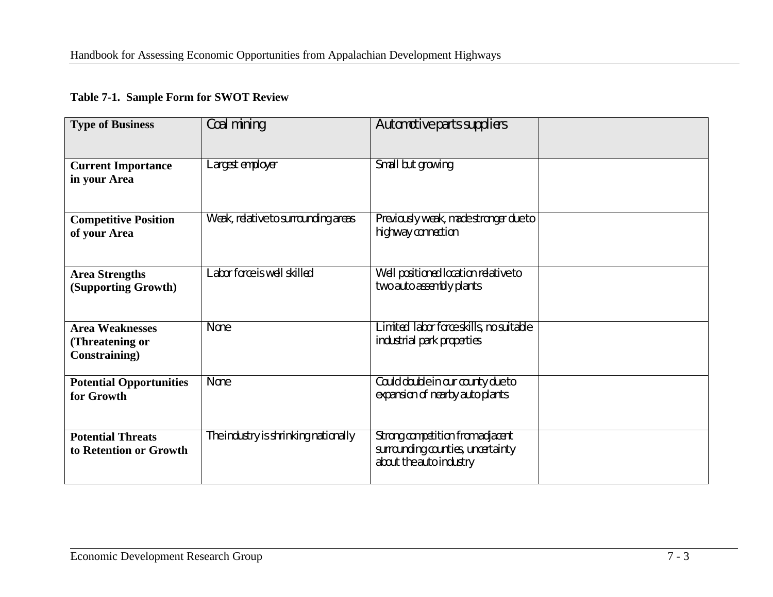#### **Table 7-1. Sample Form for SWOT Review**

| <b>Type of Business</b>        | Coal mining                          | Automotive parts suppliers              |  |
|--------------------------------|--------------------------------------|-----------------------------------------|--|
|                                |                                      |                                         |  |
|                                |                                      |                                         |  |
| <b>Current Importance</b>      | Largest employer                     | Small but growing                       |  |
| in your Area                   |                                      |                                         |  |
|                                |                                      |                                         |  |
| <b>Competitive Position</b>    | Weak, relative to surrounding areas  | Previously weak, made stronger due to   |  |
| of your Area                   |                                      | highway connection                      |  |
|                                |                                      |                                         |  |
|                                |                                      |                                         |  |
| <b>Area Strengths</b>          | Labor force is well skilled          | Well positioned location relative to    |  |
| (Supporting Growth)            |                                      | two auto assembly plants                |  |
|                                |                                      |                                         |  |
| <b>Area Weaknesses</b>         | None                                 | Limited labor force skills, no suitable |  |
| (Threatening or                |                                      | industrial park properties              |  |
| <b>Constraining</b> )          |                                      |                                         |  |
|                                |                                      |                                         |  |
| <b>Potential Opportunities</b> | None                                 | Could double in our county due to       |  |
| for Growth                     |                                      | expansion of nearby auto plants         |  |
|                                |                                      |                                         |  |
| <b>Potential Threats</b>       | The industry is shrinking nationally | Strong competition from adjacent        |  |
| to Retention or Growth         |                                      | surrounding counties, uncertainty       |  |
|                                |                                      | about the auto industry                 |  |
|                                |                                      |                                         |  |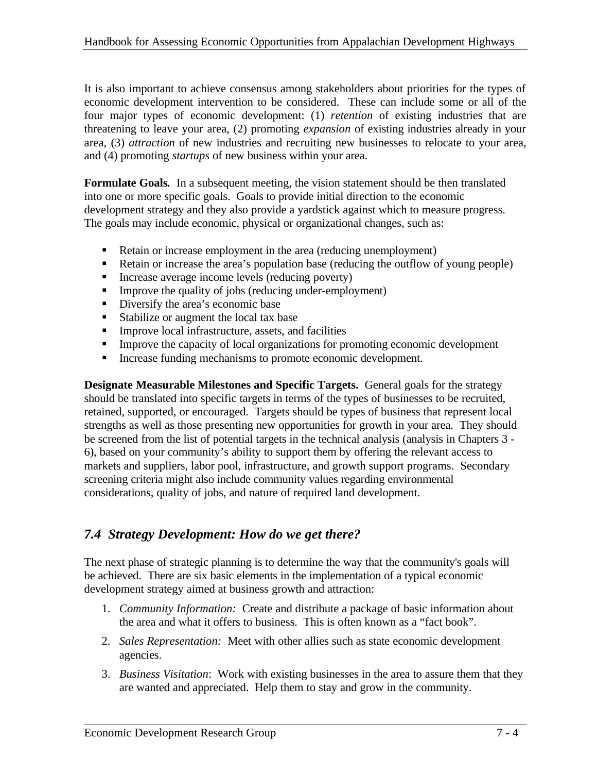It is also important to achieve consensus among stakeholders about priorities for the types of economic development intervention to be considered. These can include some or all of the four major types of economic development: (1) *retention* of existing industries that are threatening to leave your area, (2) promoting *expansion* of existing industries already in your area, (3) *attraction* of new industries and recruiting new businesses to relocate to your area, and (4) promoting *startups* of new business within your area.

**Formulate Goals***.* In a subsequent meeting, the vision statement should be then translated into one or more specific goals. Goals to provide initial direction to the economic development strategy and they also provide a yardstick against which to measure progress. The goals may include economic, physical or organizational changes, such as:

- ß Retain or increase employment in the area (reducing unemployment)
- ß Retain or increase the area's population base (reducing the outflow of young people)
- $\blacksquare$  Increase average income levels (reducing poverty)
- Improve the quality of jobs (reducing under-employment)
- ß Diversify the area's economic base
- Stabilize or augment the local tax base
- **IMPROVE IS Infrastructure, assets, and facilities**
- Improve the capacity of local organizations for promoting economic development
- Increase funding mechanisms to promote economic development.

**Designate Measurable Milestones and Specific Targets.** General goals for the strategy should be translated into specific targets in terms of the types of businesses to be recruited, retained, supported, or encouraged. Targets should be types of business that represent local strengths as well as those presenting new opportunities for growth in your area. They should be screened from the list of potential targets in the technical analysis (analysis in Chapters 3 - 6), based on your community's ability to support them by offering the relevant access to markets and suppliers, labor pool, infrastructure, and growth support programs. Secondary screening criteria might also include community values regarding environmental considerations, quality of jobs, and nature of required land development.

## *7.4 Strategy Development: How do we get there?*

The next phase of strategic planning is to determine the way that the community's goals will be achieved. There are six basic elements in the implementation of a typical economic development strategy aimed at business growth and attraction:

- 1. *Community Information:* Create and distribute a package of basic information about the area and what it offers to business. This is often known as a "fact book".
- 2. *Sales Representation:* Meet with other allies such as state economic development agencies.
- 3. *Business Visitation*: Work with existing businesses in the area to assure them that they are wanted and appreciated. Help them to stay and grow in the community.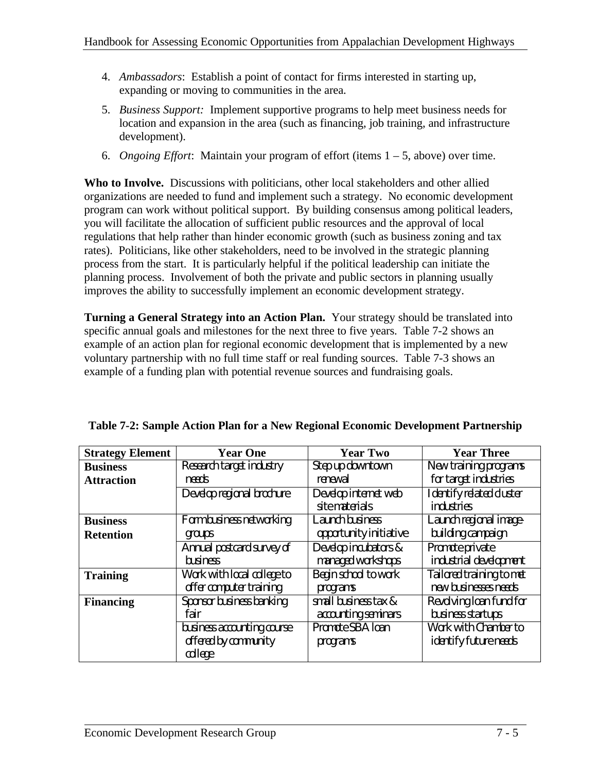- 4. *Ambassadors*: Establish a point of contact for firms interested in starting up, expanding or moving to communities in the area.
- 5. *Business Support:* Implement supportive programs to help meet business needs for location and expansion in the area (such as financing, job training, and infrastructure development).
- 6. *Ongoing Effort*: Maintain your program of effort (items 1 5, above) over time.

**Who to Involve.** Discussions with politicians, other local stakeholders and other allied organizations are needed to fund and implement such a strategy. No economic development program can work without political support. By building consensus among political leaders, you will facilitate the allocation of sufficient public resources and the approval of local regulations that help rather than hinder economic growth (such as business zoning and tax rates). Politicians, like other stakeholders, need to be involved in the strategic planning process from the start. It is particularly helpful if the political leadership can initiate the planning process. Involvement of both the private and public sectors in planning usually improves the ability to successfully implement an economic development strategy.

**Turning a General Strategy into an Action Plan.** Your strategy should be translated into specific annual goals and milestones for the next three to five years. Table 7-2 shows an example of an action plan for regional economic development that is implemented by a new voluntary partnership with no full time staff or real funding sources. Table 7-3 shows an example of a funding plan with potential revenue sources and fundraising goals.

| <b>Strategy Element</b>             | <b>Year One</b>                                               | <b>Year Two</b>                             | <b>Year Three</b>                                    |
|-------------------------------------|---------------------------------------------------------------|---------------------------------------------|------------------------------------------------------|
| <b>Business</b>                     | Research target industry                                      | Step up downtown                            | New training programs                                |
| <b>Attraction</b>                   | needs                                                         | renewal                                     | for target industries                                |
|                                     | Develop regional brochure                                     | Develop internet web<br>site materials      | Identify related cluster<br>industries               |
| <b>Business</b><br><b>Retention</b> | Form business networking<br>groups                            | Launch business<br>opportunity initiative   | Launch regional image-<br>building campaign          |
|                                     | Annual postcard survey of<br>business                         | Develop incubators &<br>managed workshops   | Promote private<br>industrial development            |
| <b>Training</b>                     | Work with local college to<br>offer computer training         | Begin school to work<br>programs            | Tailored training to met<br>new businesses needs     |
| <b>Financing</b>                    | Sponsor business banking<br>fair                              | small business tax &<br>accounting seminars | Revolving loan fund for<br>business startups         |
|                                     | business accounting course<br>offered by community<br>college | Promote SBA Ioan<br>programs                | Work with Chamber to<br><i>identify future needs</i> |

|  |  |  | Table 7-2: Sample Action Plan for a New Regional Economic Development Partnership |  |
|--|--|--|-----------------------------------------------------------------------------------|--|
|  |  |  |                                                                                   |  |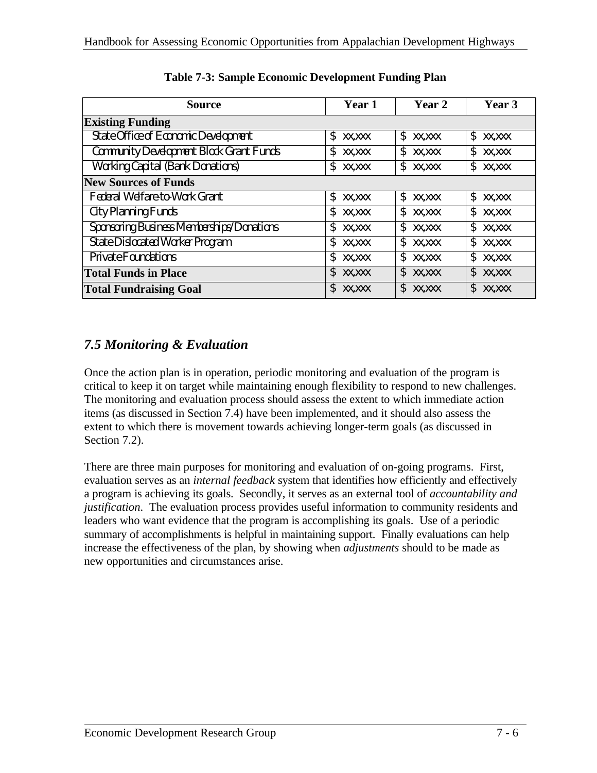| <b>Source</b>                                  | Year 1  | Year 2  | Year 3  |
|------------------------------------------------|---------|---------|---------|
| <b>Existing Funding</b>                        |         |         |         |
| State Office of Economic Development           | \$      | \$      | \$      |
|                                                | XX, XXX | XX, XXX | XX, XXX |
| <b>Community Development Block Grant Funds</b> | \$      | \$      | \$      |
|                                                | XX, XXX | XX, XXX | XX, XXX |
| <b>Working Capital (Bank Donations)</b>        | \$      | \$      | \$      |
|                                                | XX, XXX | XX, XXX | XX, XXX |
| <b>New Sources of Funds</b>                    |         |         |         |
| Federal Welfare-to-Work Grant                  | \$      | \$      | \$      |
|                                                | XX, XXX | XX, XXX | XX, XXX |
| City Planning Funds                            | \$      | \$      | \$      |
|                                                | XX, XXX | XX, XXX | XX, XXX |
| Sponsoring Business Memberships/Donations      | \$      | \$      | \$      |
|                                                | XX.XXX  | XX, XXX | XX, XXX |
| <b>State Dislocated Worker Program</b>         | \$      | \$      | \$      |
|                                                | XX, XXX | XX, XXX | XX, XXX |
| <b>Private Foundations</b>                     | \$      | \$      | \$      |
|                                                | XX, XXX | XX, XXX | XX, XXX |
| <b>Total Funds in Place</b>                    | \$      | \$      | \$      |
|                                                | XX.XXX  | XX, XXX | XX, XXX |
| <b>Total Fundraising Goal</b>                  | \$      | \$      | \$      |
|                                                | XX, XXX | XX, XXX | XX, XXX |

## *7.5 Monitoring & Evaluation*

Once the action plan is in operation, periodic monitoring and evaluation of the program is critical to keep it on target while maintaining enough flexibility to respond to new challenges. The monitoring and evaluation process should assess the extent to which immediate action items (as discussed in Section 7.4) have been implemented, and it should also assess the extent to which there is movement towards achieving longer-term goals (as discussed in Section 7.2).

There are three main purposes for monitoring and evaluation of on-going programs. First, evaluation serves as an *internal feedback* system that identifies how efficiently and effectively a program is achieving its goals. Secondly, it serves as an external tool of *accountability and justification*. The evaluation process provides useful information to community residents and leaders who want evidence that the program is accomplishing its goals. Use of a periodic summary of accomplishments is helpful in maintaining support. Finally evaluations can help increase the effectiveness of the plan, by showing when *adjustments* should to be made as new opportunities and circumstances arise.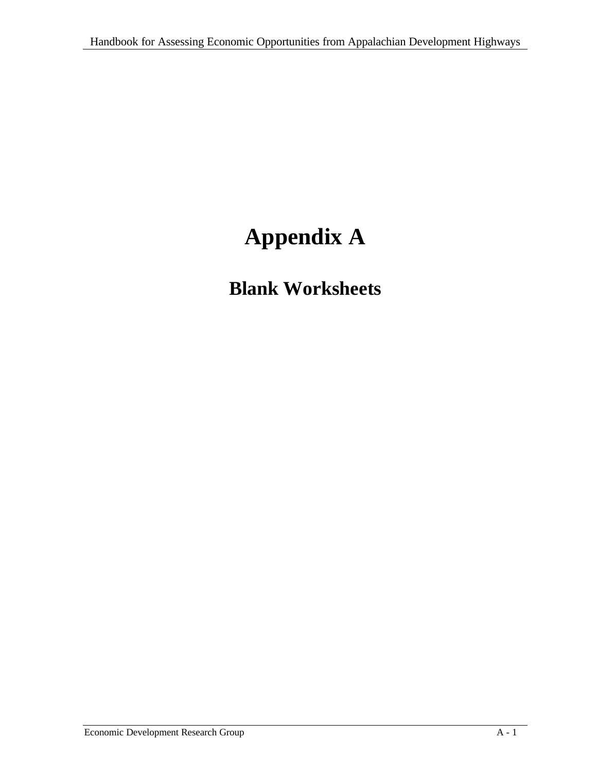# **Appendix A**

# **Blank Worksheets**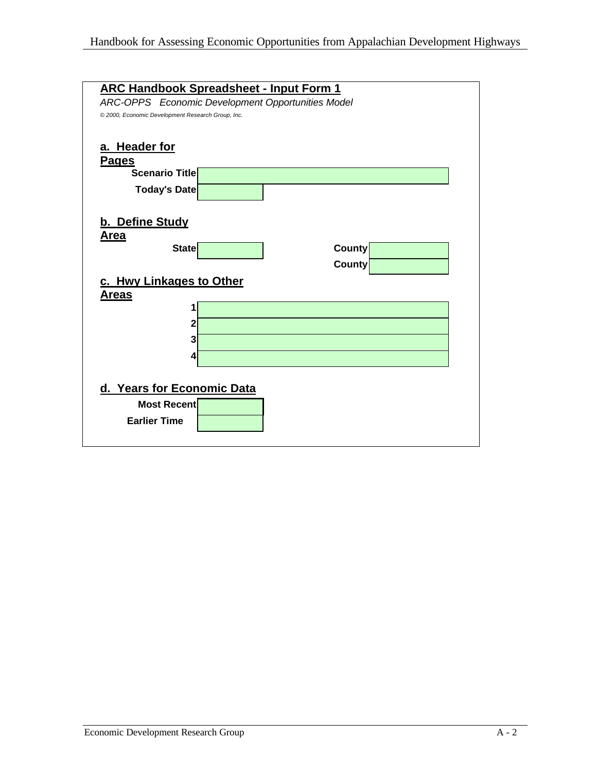| <b>ARC Handbook Spreadsheet - Input Form 1</b>                          |
|-------------------------------------------------------------------------|
| ARC-OPPS Economic Development Opportunities Model                       |
| © 2000, Economic Development Research Group, Inc.                       |
| a. Header for<br><b>Pages</b><br><b>Scenario Title</b><br>Today's Date  |
|                                                                         |
| b. Define Study<br>Area                                                 |
| <b>State</b><br>County                                                  |
| <b>County</b>                                                           |
| c. Hwy Linkages to Other<br><u>Areas</u><br>1                           |
| 2<br>3                                                                  |
| 4                                                                       |
| d. Years for Economic Data<br><b>Most Recent</b><br><b>Earlier Time</b> |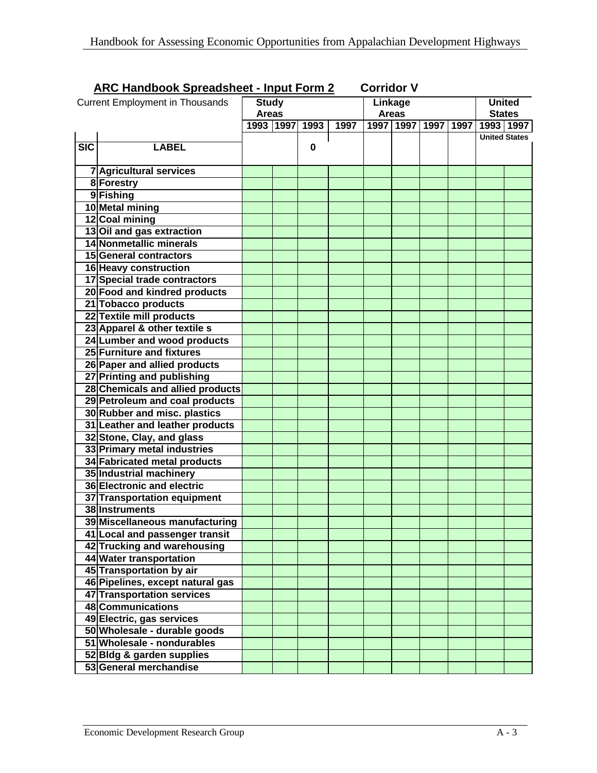| <b>ARC Handbook Spreadsheet - Input Form 2</b> |                                                                |              |  |                    | <b>Corridor V</b> |              |                                         |  |  |                      |  |
|------------------------------------------------|----------------------------------------------------------------|--------------|--|--------------------|-------------------|--------------|-----------------------------------------|--|--|----------------------|--|
|                                                | <b>Current Employment in Thousands</b>                         | <b>Study</b> |  |                    |                   | Linkage      |                                         |  |  | <b>United</b>        |  |
|                                                |                                                                | <b>Areas</b> |  |                    |                   | <b>Areas</b> |                                         |  |  | <b>States</b>        |  |
|                                                |                                                                |              |  | 1993   1997   1993 | 1997              |              | 1997   1997   1997   1997   1993   1997 |  |  |                      |  |
|                                                |                                                                |              |  |                    |                   |              |                                         |  |  | <b>United States</b> |  |
| $\overline{\text{SIC}}$                        | <b>LABEL</b>                                                   |              |  | 0                  |                   |              |                                         |  |  |                      |  |
|                                                |                                                                |              |  |                    |                   |              |                                         |  |  |                      |  |
|                                                | <b>7</b> Agricultural services                                 |              |  |                    |                   |              |                                         |  |  |                      |  |
|                                                | 8 Forestry                                                     |              |  |                    |                   |              |                                         |  |  |                      |  |
|                                                | 9Fishing                                                       |              |  |                    |                   |              |                                         |  |  |                      |  |
|                                                | 10 Metal mining                                                |              |  |                    |                   |              |                                         |  |  |                      |  |
|                                                | 12 Coal mining                                                 |              |  |                    |                   |              |                                         |  |  |                      |  |
|                                                | 13 Oil and gas extraction<br>14 Nonmetallic minerals           |              |  |                    |                   |              |                                         |  |  |                      |  |
|                                                |                                                                |              |  |                    |                   |              |                                         |  |  |                      |  |
|                                                | 15 General contractors                                         |              |  |                    |                   |              |                                         |  |  |                      |  |
|                                                | 16 Heavy construction<br>17 Special trade contractors          |              |  |                    |                   |              |                                         |  |  |                      |  |
|                                                |                                                                |              |  |                    |                   |              |                                         |  |  |                      |  |
|                                                | 20 Food and kindred products                                   |              |  |                    |                   |              |                                         |  |  |                      |  |
|                                                | 21 Tobacco products                                            |              |  |                    |                   |              |                                         |  |  |                      |  |
|                                                | 22 Textile mill products<br>23 Apparel & other textile s       |              |  |                    |                   |              |                                         |  |  |                      |  |
|                                                |                                                                |              |  |                    |                   |              |                                         |  |  |                      |  |
|                                                | 24 Lumber and wood products<br>25 Furniture and fixtures       |              |  |                    |                   |              |                                         |  |  |                      |  |
|                                                | 26 Paper and allied products                                   |              |  |                    |                   |              |                                         |  |  |                      |  |
|                                                | 27 Printing and publishing                                     |              |  |                    |                   |              |                                         |  |  |                      |  |
|                                                | 28 Chemicals and allied products                               |              |  |                    |                   |              |                                         |  |  |                      |  |
|                                                |                                                                |              |  |                    |                   |              |                                         |  |  |                      |  |
|                                                | 29 Petroleum and coal products<br>30 Rubber and misc. plastics |              |  |                    |                   |              |                                         |  |  |                      |  |
|                                                | 31 Leather and leather products                                |              |  |                    |                   |              |                                         |  |  |                      |  |
|                                                | 32 Stone, Clay, and glass                                      |              |  |                    |                   |              |                                         |  |  |                      |  |
|                                                | 33 Primary metal industries                                    |              |  |                    |                   |              |                                         |  |  |                      |  |
|                                                | 34 Fabricated metal products                                   |              |  |                    |                   |              |                                         |  |  |                      |  |
|                                                | 35 Industrial machinery                                        |              |  |                    |                   |              |                                         |  |  |                      |  |
|                                                | <b>36 Electronic and electric</b>                              |              |  |                    |                   |              |                                         |  |  |                      |  |
|                                                | 37 Transportation equipment                                    |              |  |                    |                   |              |                                         |  |  |                      |  |
|                                                | 38 Instruments                                                 |              |  |                    |                   |              |                                         |  |  |                      |  |
|                                                | 39 Miscellaneous manufacturing                                 |              |  |                    |                   |              |                                         |  |  |                      |  |
|                                                | 41 Local and passenger transit                                 |              |  |                    |                   |              |                                         |  |  |                      |  |
|                                                | 42 Trucking and warehousing                                    |              |  |                    |                   |              |                                         |  |  |                      |  |
|                                                | 44 Water transportation                                        |              |  |                    |                   |              |                                         |  |  |                      |  |
|                                                | 45 Transportation by air                                       |              |  |                    |                   |              |                                         |  |  |                      |  |
|                                                | 46 Pipelines, except natural gas                               |              |  |                    |                   |              |                                         |  |  |                      |  |
|                                                | 47 Transportation services                                     |              |  |                    |                   |              |                                         |  |  |                      |  |
|                                                | 48 Communications                                              |              |  |                    |                   |              |                                         |  |  |                      |  |
|                                                | 49 Electric, gas services                                      |              |  |                    |                   |              |                                         |  |  |                      |  |
|                                                | 50 Wholesale - durable goods                                   |              |  |                    |                   |              |                                         |  |  |                      |  |
|                                                | 51 Wholesale - nondurables                                     |              |  |                    |                   |              |                                         |  |  |                      |  |
|                                                | 52 Bldg & garden supplies                                      |              |  |                    |                   |              |                                         |  |  |                      |  |
|                                                | 53 General merchandise                                         |              |  |                    |                   |              |                                         |  |  |                      |  |
|                                                |                                                                |              |  |                    |                   |              |                                         |  |  |                      |  |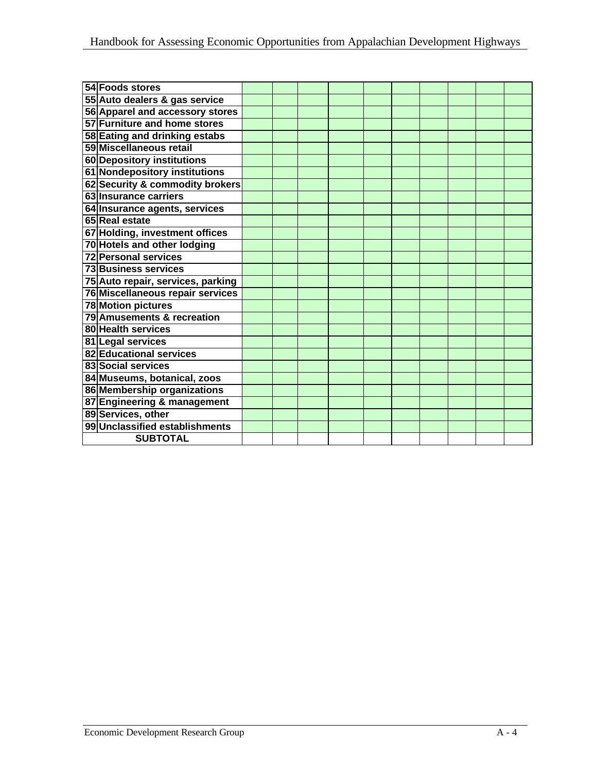| 54 Foods stores                   |  |  |  |  |  |
|-----------------------------------|--|--|--|--|--|
| 55 Auto dealers & gas service     |  |  |  |  |  |
| 56 Apparel and accessory stores   |  |  |  |  |  |
| 57 Furniture and home stores      |  |  |  |  |  |
| 58 Eating and drinking estabs     |  |  |  |  |  |
| 59 Miscellaneous retail           |  |  |  |  |  |
| 60 Depository institutions        |  |  |  |  |  |
| 61 Nondepository institutions     |  |  |  |  |  |
| 62 Security & commodity brokers   |  |  |  |  |  |
| 63 Insurance carriers             |  |  |  |  |  |
| 64 Insurance agents, services     |  |  |  |  |  |
| 65 Real estate                    |  |  |  |  |  |
| 67 Holding, investment offices    |  |  |  |  |  |
| 70 Hotels and other lodging       |  |  |  |  |  |
| <b>72 Personal services</b>       |  |  |  |  |  |
| <b>73 Business services</b>       |  |  |  |  |  |
| 75 Auto repair, services, parking |  |  |  |  |  |
| 76 Miscellaneous repair services  |  |  |  |  |  |
| <b>78 Motion pictures</b>         |  |  |  |  |  |
| 79 Amusements & recreation        |  |  |  |  |  |
| 80 Health services                |  |  |  |  |  |
| 81 Legal services                 |  |  |  |  |  |
| 82 Educational services           |  |  |  |  |  |
| 83 Social services                |  |  |  |  |  |
| 84 Museums, botanical, zoos       |  |  |  |  |  |
| 86 Membership organizations       |  |  |  |  |  |
| 87 Engineering & management       |  |  |  |  |  |
| 89 Services, other                |  |  |  |  |  |
| 99 Unclassified establishments    |  |  |  |  |  |
| <b>SUBTOTAL</b>                   |  |  |  |  |  |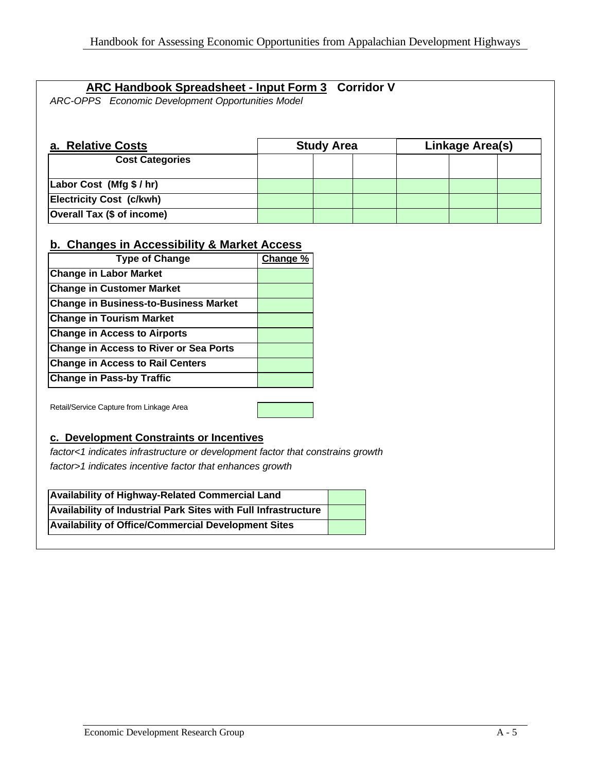#### **ARC Handbook Spreadsheet - Input Form 3 Corridor V**

*ARC-OPPS Economic Development Opportunities Model*

| a. Relative Costs               | <b>Study Area</b> |  |  | Linkage Area(s) |  |  |  |
|---------------------------------|-------------------|--|--|-----------------|--|--|--|
| <b>Cost Categories</b>          |                   |  |  |                 |  |  |  |
| Labor Cost (Mfg \$ / hr)        |                   |  |  |                 |  |  |  |
| <b>Electricity Cost (c/kwh)</b> |                   |  |  |                 |  |  |  |
| Overall Tax (\$ of income)      |                   |  |  |                 |  |  |  |

#### **b. Changes in Accessibility & Market Access**

| <b>Type of Change</b>                         | Change % |
|-----------------------------------------------|----------|
| <b>Change in Labor Market</b>                 |          |
| <b>Change in Customer Market</b>              |          |
| <b>Change in Business-to-Business Market</b>  |          |
| <b>Change in Tourism Market</b>               |          |
| <b>Change in Access to Airports</b>           |          |
| <b>Change in Access to River or Sea Ports</b> |          |
| <b>Change in Access to Rail Centers</b>       |          |
| <b>Change in Pass-by Traffic</b>              |          |

Retail/Service Capture from Linkage Area

#### **c. Development Constraints or Incentives**

*factor<1 indicates infrastructure or development factor that constrains growth factor>1 indicates incentive factor that enhances growth*

| Availability of Highway-Related Commercial Land                |  |
|----------------------------------------------------------------|--|
| Availability of Industrial Park Sites with Full Infrastructure |  |
| <b>Availability of Office/Commercial Development Sites</b>     |  |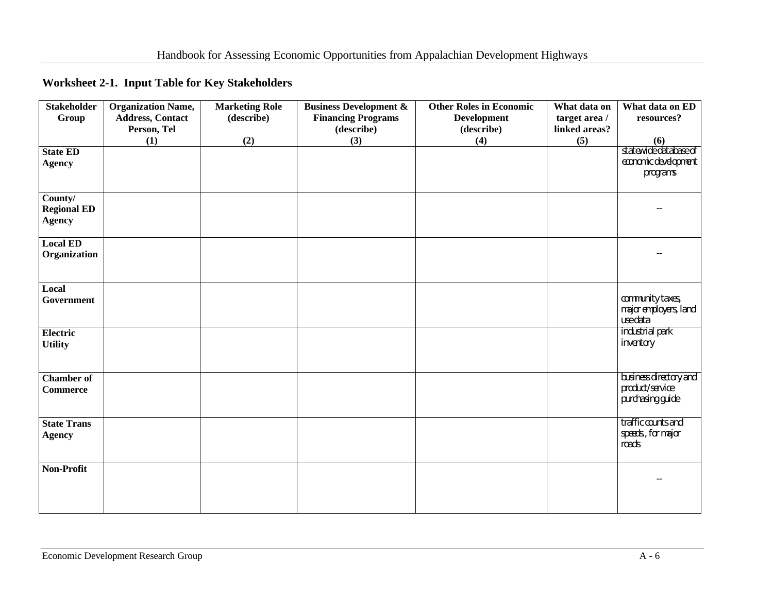|  |  | Worksheet 2-1. Input Table for Key Stakeholders |
|--|--|-------------------------------------------------|
|--|--|-------------------------------------------------|

| <b>Stakeholder</b>                             | <b>Organization Name,</b>              | <b>Marketing Role</b> | <b>Business Development &amp;</b>       | <b>Other Roles in Economic</b>   | What data on                   | What data on ED                                               |
|------------------------------------------------|----------------------------------------|-----------------------|-----------------------------------------|----------------------------------|--------------------------------|---------------------------------------------------------------|
| Group                                          | <b>Address, Contact</b><br>Person, Tel | (describe)            | <b>Financing Programs</b><br>(describe) | <b>Development</b><br>(describe) | target area /<br>linked areas? | resources?                                                    |
|                                                | (1)                                    | (2)                   | (3)                                     | (4)                              | (5)                            | (6)                                                           |
| <b>State ED</b><br><b>Agency</b>               |                                        |                       |                                         |                                  |                                | statewide database of<br>economic development<br>programs     |
| County/<br><b>Regional ED</b><br><b>Agency</b> |                                        |                       |                                         |                                  |                                |                                                               |
| <b>Local ED</b><br>Organization                |                                        |                       |                                         |                                  |                                |                                                               |
| Local<br>Government                            |                                        |                       |                                         |                                  |                                | community taxes,<br>major employers, land<br>use data         |
| Electric<br><b>Utility</b>                     |                                        |                       |                                         |                                  |                                | industrial park<br>inventory                                  |
| <b>Chamber of</b><br><b>Commerce</b>           |                                        |                       |                                         |                                  |                                | business directory and<br>product/service<br>purchasing guide |
| <b>State Trans</b><br><b>Agency</b>            |                                        |                       |                                         |                                  |                                | traffic counts and<br>speeds., for major<br>roads             |
| Non-Profit                                     |                                        |                       |                                         |                                  |                                |                                                               |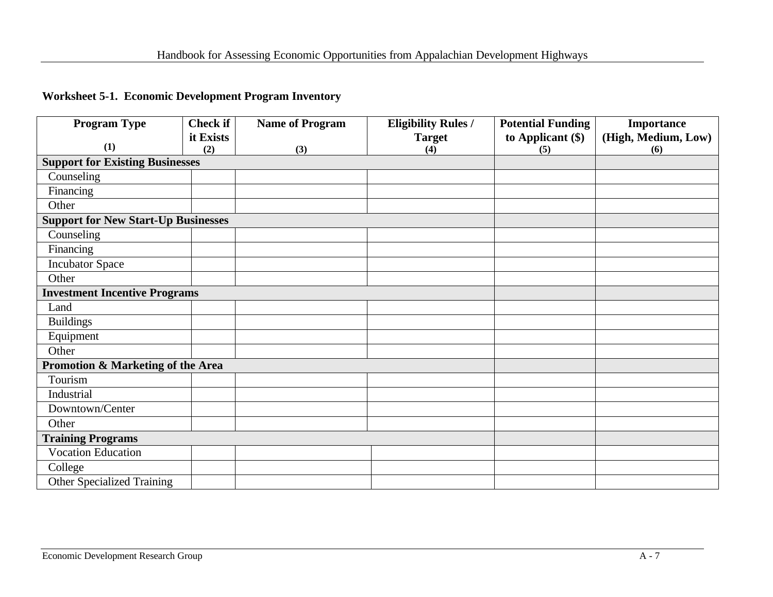## **Worksheet 5-1. Economic Development Program Inventory**

| <b>Program Type</b>                        | <b>Check if</b> | <b>Name of Program</b> | <b>Eligibility Rules /</b> | <b>Potential Funding</b> | <b>Importance</b>   |
|--------------------------------------------|-----------------|------------------------|----------------------------|--------------------------|---------------------|
|                                            | it Exists       |                        | <b>Target</b>              | to Applicant $(\$)$      | (High, Medium, Low) |
| (1)                                        | (2)             | (3)                    | (4)                        | (5)                      | (6)                 |
| <b>Support for Existing Businesses</b>     |                 |                        |                            |                          |                     |
| Counseling                                 |                 |                        |                            |                          |                     |
| Financing                                  |                 |                        |                            |                          |                     |
| Other                                      |                 |                        |                            |                          |                     |
| <b>Support for New Start-Up Businesses</b> |                 |                        |                            |                          |                     |
| Counseling                                 |                 |                        |                            |                          |                     |
| Financing                                  |                 |                        |                            |                          |                     |
| <b>Incubator Space</b>                     |                 |                        |                            |                          |                     |
| Other                                      |                 |                        |                            |                          |                     |
| <b>Investment Incentive Programs</b>       |                 |                        |                            |                          |                     |
| Land                                       |                 |                        |                            |                          |                     |
| <b>Buildings</b>                           |                 |                        |                            |                          |                     |
| Equipment                                  |                 |                        |                            |                          |                     |
| Other                                      |                 |                        |                            |                          |                     |
| Promotion & Marketing of the Area          |                 |                        |                            |                          |                     |
| Tourism                                    |                 |                        |                            |                          |                     |
| Industrial                                 |                 |                        |                            |                          |                     |
| Downtown/Center                            |                 |                        |                            |                          |                     |
| Other                                      |                 |                        |                            |                          |                     |
| <b>Training Programs</b>                   |                 |                        |                            |                          |                     |
| <b>Vocation Education</b>                  |                 |                        |                            |                          |                     |
| College                                    |                 |                        |                            |                          |                     |
| <b>Other Specialized Training</b>          |                 |                        |                            |                          |                     |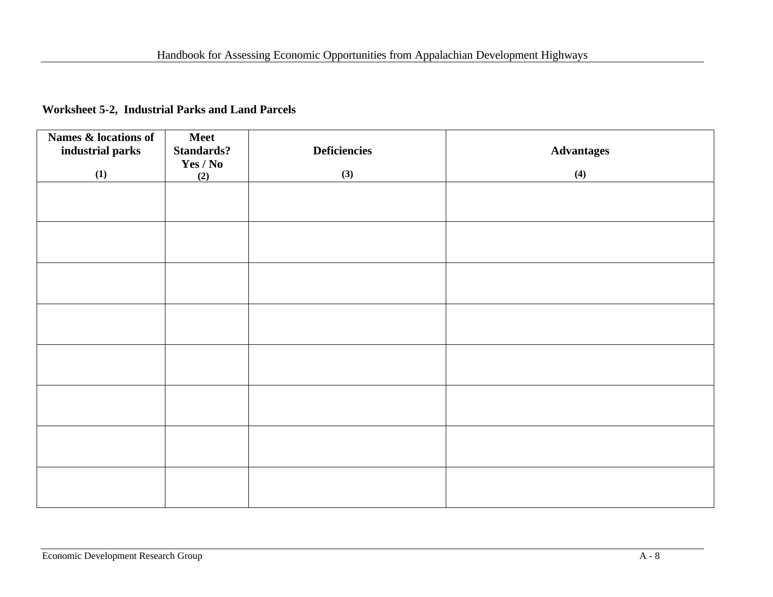#### **Worksheet 5-2, Industrial Parks and Land Parcels**

| Names & locations of<br>industrial parks | <b>Meet</b><br>Standards? | <b>Deficiencies</b> | <b>Advantages</b> |
|------------------------------------------|---------------------------|---------------------|-------------------|
| (1)                                      | Yes / No<br>(2)           | (3)                 | (4)               |
|                                          |                           |                     |                   |
|                                          |                           |                     |                   |
|                                          |                           |                     |                   |
|                                          |                           |                     |                   |
|                                          |                           |                     |                   |
|                                          |                           |                     |                   |
|                                          |                           |                     |                   |
|                                          |                           |                     |                   |
|                                          |                           |                     |                   |
|                                          |                           |                     |                   |
|                                          |                           |                     |                   |
|                                          |                           |                     |                   |
|                                          |                           |                     |                   |
|                                          |                           |                     |                   |
|                                          |                           |                     |                   |
|                                          |                           |                     |                   |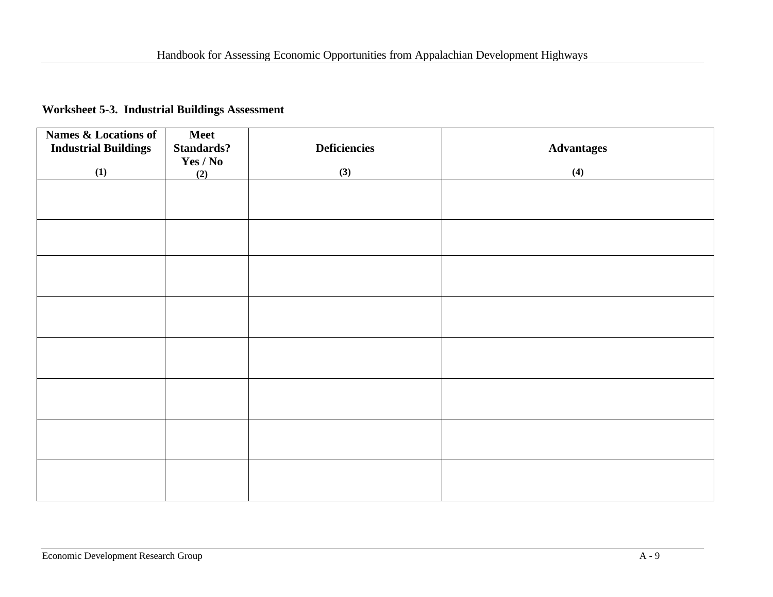#### **Worksheet 5-3. Industrial Buildings Assessment**

| <b>Names &amp; Locations of</b><br><b>Industrial Buildings</b> | <b>Meet</b><br><b>Standards?</b> | <b>Deficiencies</b> | <b>Advantages</b> |
|----------------------------------------------------------------|----------------------------------|---------------------|-------------------|
| (1)                                                            | Yes / No<br>(2)                  | (3)                 | (4)               |
|                                                                |                                  |                     |                   |
|                                                                |                                  |                     |                   |
|                                                                |                                  |                     |                   |
|                                                                |                                  |                     |                   |
|                                                                |                                  |                     |                   |
|                                                                |                                  |                     |                   |
|                                                                |                                  |                     |                   |
|                                                                |                                  |                     |                   |
|                                                                |                                  |                     |                   |
|                                                                |                                  |                     |                   |
|                                                                |                                  |                     |                   |
|                                                                |                                  |                     |                   |
|                                                                |                                  |                     |                   |
|                                                                |                                  |                     |                   |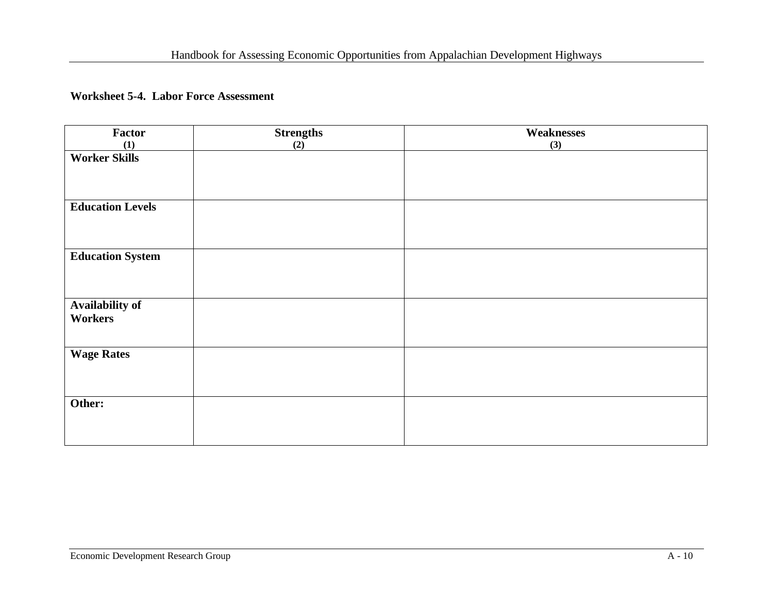#### **Worksheet 5-4. Labor Force Assessment**

| <b>Factor</b>                            | <b>Strengths</b> | <b>Weaknesses</b> |
|------------------------------------------|------------------|-------------------|
| (1)                                      | (2)              | (3)               |
| <b>Worker Skills</b>                     |                  |                   |
| <b>Education Levels</b>                  |                  |                   |
| <b>Education System</b>                  |                  |                   |
| <b>Availability of</b><br><b>Workers</b> |                  |                   |
| <b>Wage Rates</b>                        |                  |                   |
| Other:                                   |                  |                   |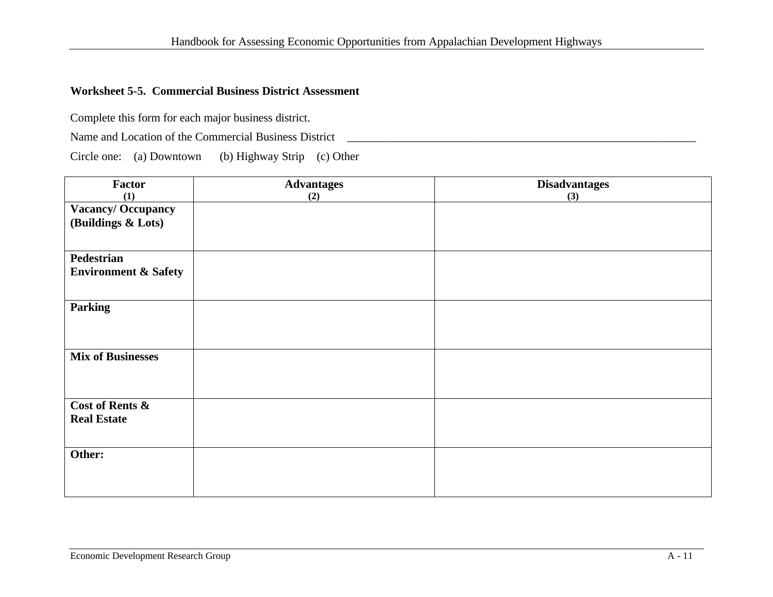#### **Worksheet 5-5. Commercial Business District Assessment**

Complete this form for each major business district.

Name and Location of the Commercial Business District \_\_\_\_\_\_\_\_\_\_\_\_\_\_\_\_\_\_\_\_\_\_\_\_\_\_\_\_\_\_\_\_\_\_\_\_\_\_\_\_\_\_\_\_\_\_\_\_\_\_\_\_\_\_\_\_\_\_\_\_

Circle one: (a) Downtown (b) Highway Strip (c) Other

| Factor                          | <b>Advantages</b> | <b>Disadvantages</b> |
|---------------------------------|-------------------|----------------------|
| (1)                             | (2)               | (3)                  |
| <b>Vacancy/Occupancy</b>        |                   |                      |
| (Buildings & Lots)              |                   |                      |
|                                 |                   |                      |
|                                 |                   |                      |
| <b>Pedestrian</b>               |                   |                      |
| <b>Environment &amp; Safety</b> |                   |                      |
|                                 |                   |                      |
|                                 |                   |                      |
| <b>Parking</b>                  |                   |                      |
|                                 |                   |                      |
|                                 |                   |                      |
|                                 |                   |                      |
| <b>Mix of Businesses</b>        |                   |                      |
|                                 |                   |                      |
|                                 |                   |                      |
|                                 |                   |                      |
| <b>Cost of Rents &amp;</b>      |                   |                      |
| <b>Real Estate</b>              |                   |                      |
|                                 |                   |                      |
|                                 |                   |                      |
| Other:                          |                   |                      |
|                                 |                   |                      |
|                                 |                   |                      |
|                                 |                   |                      |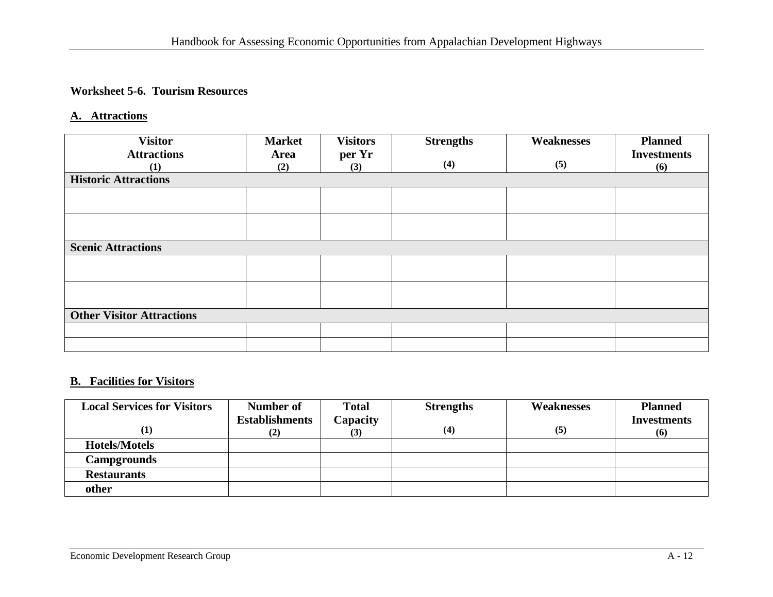#### **Worksheet 5-6. Tourism Resources**

#### **A. Attractions**

| <b>Visitor</b>                   | <b>Market</b> | <b>Visitors</b> | <b>Strengths</b> | <b>Weaknesses</b> | <b>Planned</b>     |
|----------------------------------|---------------|-----------------|------------------|-------------------|--------------------|
| <b>Attractions</b>               | <b>Area</b>   | per Yr          |                  |                   | <b>Investments</b> |
| (1)                              | (2)           | (3)             | (4)              | (5)               | (6)                |
| <b>Historic Attractions</b>      |               |                 |                  |                   |                    |
|                                  |               |                 |                  |                   |                    |
|                                  |               |                 |                  |                   |                    |
|                                  |               |                 |                  |                   |                    |
|                                  |               |                 |                  |                   |                    |
| <b>Scenic Attractions</b>        |               |                 |                  |                   |                    |
|                                  |               |                 |                  |                   |                    |
|                                  |               |                 |                  |                   |                    |
|                                  |               |                 |                  |                   |                    |
|                                  |               |                 |                  |                   |                    |
| <b>Other Visitor Attractions</b> |               |                 |                  |                   |                    |
|                                  |               |                 |                  |                   |                    |
|                                  |               |                 |                  |                   |                    |

#### **B. Facilities for Visitors**

| <b>Local Services for Visitors</b> | Number of             | <b>Total</b> | <b>Strengths</b> | <b>Weaknesses</b> | <b>Planned</b>     |
|------------------------------------|-----------------------|--------------|------------------|-------------------|--------------------|
|                                    | <b>Establishments</b> | Capacity     |                  |                   | <b>Investments</b> |
| $\bf{(1)}$                         | (2)                   |              | (4)              | (5)               | (6)                |
| <b>Hotels/Motels</b>               |                       |              |                  |                   |                    |
| <b>Campgrounds</b>                 |                       |              |                  |                   |                    |
| <b>Restaurants</b>                 |                       |              |                  |                   |                    |
| other                              |                       |              |                  |                   |                    |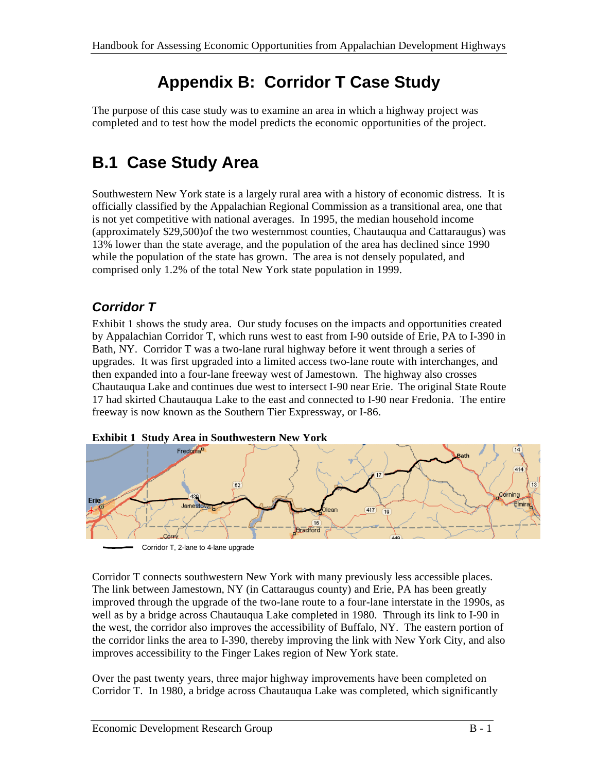# **Appendix B: Corridor T Case Study**

The purpose of this case study was to examine an area in which a highway project was completed and to test how the model predicts the economic opportunities of the project.

# **B.1 Case Study Area**

Southwestern New York state is a largely rural area with a history of economic distress. It is officially classified by the Appalachian Regional Commission as a transitional area, one that is not yet competitive with national averages. In 1995, the median household income (approximately \$29,500)of the two westernmost counties, Chautauqua and Cattaraugus) was 13% lower than the state average, and the population of the area has declined since 1990 while the population of the state has grown. The area is not densely populated, and comprised only 1.2% of the total New York state population in 1999.

### *Corridor T*

Exhibit 1 shows the study area. Our study focuses on the impacts and opportunities created by Appalachian Corridor T, which runs west to east from I-90 outside of Erie, PA to I-390 in Bath, NY. Corridor T was a two-lane rural highway before it went through a series of upgrades. It was first upgraded into a limited access two-lane route with interchanges, and then expanded into a four-lane freeway west of Jamestown. The highway also crosses Chautauqua Lake and continues due west to intersect I-90 near Erie. The original State Route 17 had skirted Chautauqua Lake to the east and connected to I-90 near Fredonia. The entire freeway is now known as the Southern Tier Expressway, or I-86.





Corridor T, 2-lane to 4-lane upgrade

Corridor T connects southwestern New York with many previously less accessible places. The link between Jamestown, NY (in Cattaraugus county) and Erie, PA has been greatly improved through the upgrade of the two-lane route to a four-lane interstate in the 1990s, as well as by a bridge across Chautauqua Lake completed in 1980. Through its link to I-90 in the west, the corridor also improves the accessibility of Buffalo, NY. The eastern portion of the corridor links the area to I-390, thereby improving the link with New York City, and also improves accessibility to the Finger Lakes region of New York state.

Over the past twenty years, three major highway improvements have been completed on Corridor T. In 1980, a bridge across Chautauqua Lake was completed, which significantly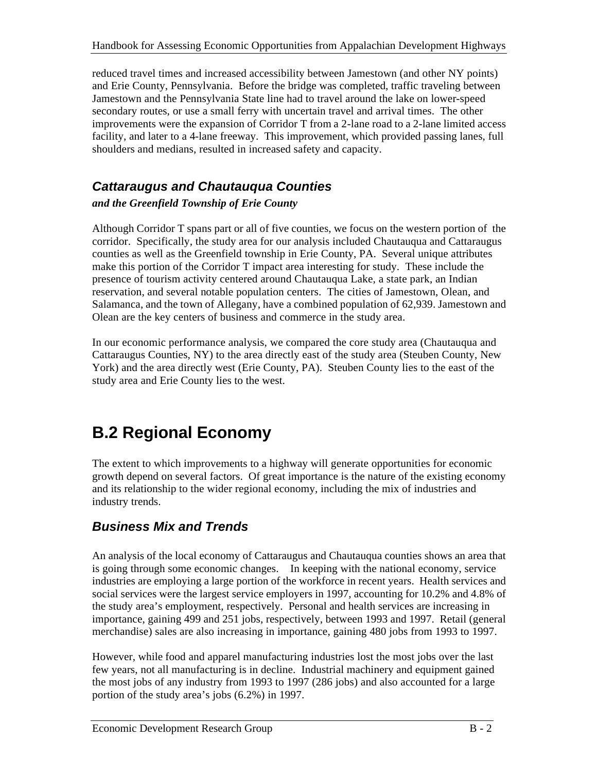reduced travel times and increased accessibility between Jamestown (and other NY points) and Erie County, Pennsylvania. Before the bridge was completed, traffic traveling between Jamestown and the Pennsylvania State line had to travel around the lake on lower-speed secondary routes, or use a small ferry with uncertain travel and arrival times. The other improvements were the expansion of Corridor T from a 2-lane road to a 2-lane limited access facility, and later to a 4-lane freeway. This improvement, which provided passing lanes, full shoulders and medians, resulted in increased safety and capacity.

### *Cattaraugus and Chautauqua Counties*

#### *and the Greenfield Township of Erie County*

Although Corridor T spans part or all of five counties, we focus on the western portion of the corridor. Specifically, the study area for our analysis included Chautauqua and Cattaraugus counties as well as the Greenfield township in Erie County, PA. Several unique attributes make this portion of the Corridor T impact area interesting for study. These include the presence of tourism activity centered around Chautauqua Lake, a state park, an Indian reservation, and several notable population centers. The cities of Jamestown, Olean, and Salamanca, and the town of Allegany, have a combined population of 62,939. Jamestown and Olean are the key centers of business and commerce in the study area.

In our economic performance analysis, we compared the core study area (Chautauqua and Cattaraugus Counties, NY) to the area directly east of the study area (Steuben County, New York) and the area directly west (Erie County, PA). Steuben County lies to the east of the study area and Erie County lies to the west.

# **B.2 Regional Economy**

The extent to which improvements to a highway will generate opportunities for economic growth depend on several factors. Of great importance is the nature of the existing economy and its relationship to the wider regional economy, including the mix of industries and industry trends.

### *Business Mix and Trends*

An analysis of the local economy of Cattaraugus and Chautauqua counties shows an area that is going through some economic changes. In keeping with the national economy, service industries are employing a large portion of the workforce in recent years. Health services and social services were the largest service employers in 1997, accounting for 10.2% and 4.8% of the study area's employment, respectively. Personal and health services are increasing in importance, gaining 499 and 251 jobs, respectively, between 1993 and 1997. Retail (general merchandise) sales are also increasing in importance, gaining 480 jobs from 1993 to 1997.

However, while food and apparel manufacturing industries lost the most jobs over the last few years, not all manufacturing is in decline. Industrial machinery and equipment gained the most jobs of any industry from 1993 to 1997 (286 jobs) and also accounted for a large portion of the study area's jobs (6.2%) in 1997.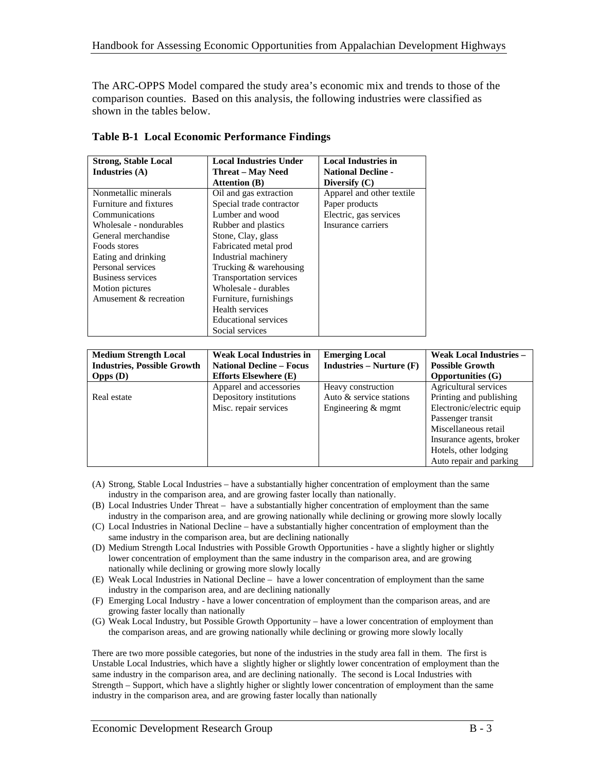The ARC-OPPS Model compared the study area's economic mix and trends to those of the comparison counties. Based on this analysis, the following industries were classified as shown in the tables below.

| <b>Strong, Stable Local</b> | <b>Local Industries Under</b>  | <b>Local Industries in</b> |
|-----------------------------|--------------------------------|----------------------------|
| Industries $(A)$            | <b>Threat – May Need</b>       | <b>National Decline -</b>  |
|                             | <b>Attention</b> (B)           | Diversify $(C)$            |
| Nonmetallic minerals        | Oil and gas extraction         | Apparel and other textile  |
| Furniture and fixtures      | Special trade contractor       | Paper products             |
| Communications              | Lumber and wood                | Electric, gas services     |
| Wholesale - nondurables     | Rubber and plastics            | Insurance carriers         |
| General merchandise         | Stone, Clay, glass             |                            |
| Foods stores                | Fabricated metal prod          |                            |
| Eating and drinking         | Industrial machinery           |                            |
| Personal services           | Trucking & warehousing         |                            |
| Business services           | <b>Transportation services</b> |                            |
| Motion pictures             | Wholesale - durables           |                            |
| Amusement & recreation      | Furniture, furnishings         |                            |
|                             | Health services                |                            |
|                             | <b>Educational services</b>    |                            |
|                             | Social services                |                            |

**Table B-1 Local Economic Performance Findings**

| <b>Medium Strength Local</b>       | <b>Weak Local Industries in</b> | <b>Emerging Local</b>     | <b>Weak Local Industries -</b> |
|------------------------------------|---------------------------------|---------------------------|--------------------------------|
| <b>Industries, Possible Growth</b> | <b>National Decline – Focus</b> | $Industries - Nurture(F)$ | <b>Possible Growth</b>         |
| $Opps$ (D)                         | <b>Efforts Elsewhere (E)</b>    |                           | <b>Opportunities (G)</b>       |
|                                    | Apparel and accessories         | Heavy construction        | Agricultural services          |
| Real estate                        | Depository institutions         | Auto & service stations   | Printing and publishing        |
|                                    | Misc. repair services           | Engineering $&$ mgmt      | Electronic/electric equip      |
|                                    |                                 |                           | Passenger transit              |
|                                    |                                 |                           | Miscellaneous retail           |
|                                    |                                 |                           | Insurance agents, broker       |
|                                    |                                 |                           | Hotels, other lodging          |
|                                    |                                 |                           | Auto repair and parking        |

- (A) Strong, Stable Local Industries have a substantially higher concentration of employment than the same industry in the comparison area, and are growing faster locally than nationally.
- (B) Local Industries Under Threat have a substantially higher concentration of employment than the same industry in the comparison area, and are growing nationally while declining or growing more slowly locally
- (C) Local Industries in National Decline have a substantially higher concentration of employment than the same industry in the comparison area, but are declining nationally
- (D) Medium Strength Local Industries with Possible Growth Opportunities have a slightly higher or slightly lower concentration of employment than the same industry in the comparison area, and are growing nationally while declining or growing more slowly locally
- (E) Weak Local Industries in National Decline have a lower concentration of employment than the same industry in the comparison area, and are declining nationally
- (F) Emerging Local Industry have a lower concentration of employment than the comparison areas, and are growing faster locally than nationally
- (G) Weak Local Industry, but Possible Growth Opportunity have a lower concentration of employment than the comparison areas, and are growing nationally while declining or growing more slowly locally

There are two more possible categories, but none of the industries in the study area fall in them. The first is Unstable Local Industries, which have a slightly higher or slightly lower concentration of employment than the same industry in the comparison area, and are declining nationally. The second is Local Industries with Strength – Support, which have a slightly higher or slightly lower concentration of employment than the same industry in the comparison area, and are growing faster locally than nationally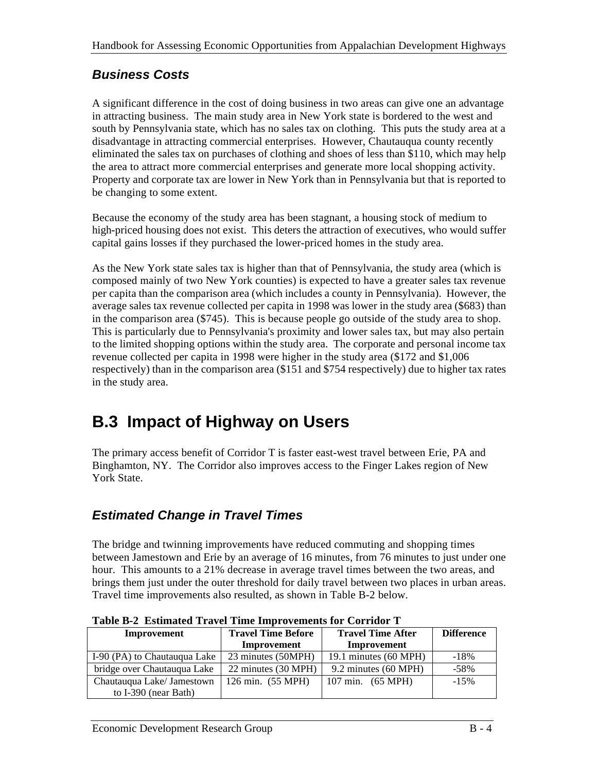### *Business Costs*

A significant difference in the cost of doing business in two areas can give one an advantage in attracting business. The main study area in New York state is bordered to the west and south by Pennsylvania state, which has no sales tax on clothing. This puts the study area at a disadvantage in attracting commercial enterprises. However, Chautauqua county recently eliminated the sales tax on purchases of clothing and shoes of less than \$110, which may help the area to attract more commercial enterprises and generate more local shopping activity. Property and corporate tax are lower in New York than in Pennsylvania but that is reported to be changing to some extent.

Because the economy of the study area has been stagnant, a housing stock of medium to high-priced housing does not exist. This deters the attraction of executives, who would suffer capital gains losses if they purchased the lower-priced homes in the study area.

As the New York state sales tax is higher than that of Pennsylvania, the study area (which is composed mainly of two New York counties) is expected to have a greater sales tax revenue per capita than the comparison area (which includes a county in Pennsylvania). However, the average sales tax revenue collected per capita in 1998 was lower in the study area (\$683) than in the comparison area (\$745). This is because people go outside of the study area to shop. This is particularly due to Pennsylvania's proximity and lower sales tax, but may also pertain to the limited shopping options within the study area. The corporate and personal income tax revenue collected per capita in 1998 were higher in the study area (\$172 and \$1,006 respectively) than in the comparison area (\$151 and \$754 respectively) due to higher tax rates in the study area.

## **B.3 Impact of Highway on Users**

The primary access benefit of Corridor T is faster east-west travel between Erie, PA and Binghamton, NY. The Corridor also improves access to the Finger Lakes region of New York State.

### *Estimated Change in Travel Times*

The bridge and twinning improvements have reduced commuting and shopping times between Jamestown and Erie by an average of 16 minutes, from 76 minutes to just under one hour. This amounts to a 21% decrease in average travel times between the two areas, and brings them just under the outer threshold for daily travel between two places in urban areas. Travel time improvements also resulted, as shown in Table B-2 below.

| Tuble D'a Estimateu Travel Thile militovements for Corriage T |                           |                             |                   |  |  |
|---------------------------------------------------------------|---------------------------|-----------------------------|-------------------|--|--|
| Improvement                                                   | <b>Travel Time Before</b> | <b>Travel Time After</b>    | <b>Difference</b> |  |  |
|                                                               | Improvement               | Improvement                 |                   |  |  |
| I-90 (PA) to Chautauqua Lake                                  | 23 minutes (50MPH)        | 19.1 minutes (60 MPH)       | $-18%$            |  |  |
| bridge over Chautauqua Lake                                   | 22 minutes (30 MPH)       | 9.2 minutes (60 MPH)        | $-58\%$           |  |  |
| Chautauqua Lake/ Jamestown                                    | 126 min. (55 MPH)         | $107 \text{ min.}$ (65 MPH) | $-15%$            |  |  |
| to I-390 (near Bath)                                          |                           |                             |                   |  |  |

**Table B-2 Estimated Travel Time Improvements for Corridor T**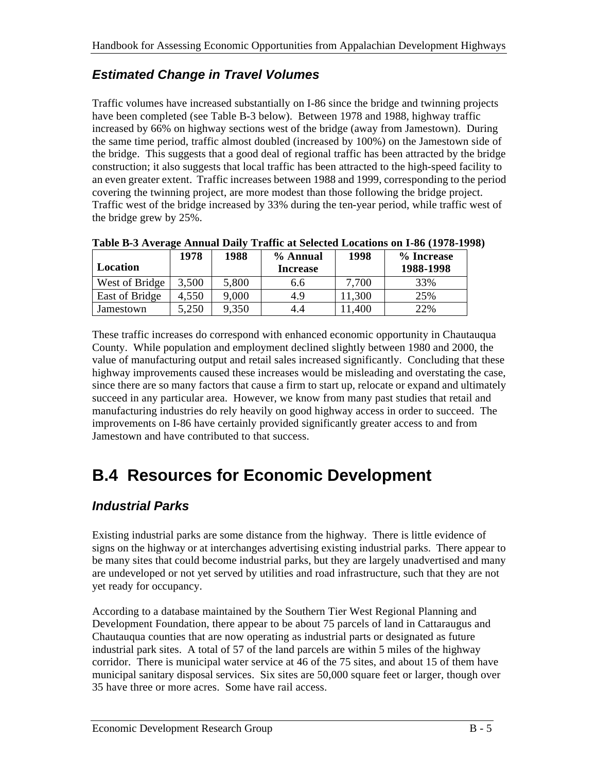### *Estimated Change in Travel Volumes*

Traffic volumes have increased substantially on I-86 since the bridge and twinning projects have been completed (see Table B-3 below). Between 1978 and 1988, highway traffic increased by 66% on highway sections west of the bridge (away from Jamestown). During the same time period, traffic almost doubled (increased by 100%) on the Jamestown side of the bridge. This suggests that a good deal of regional traffic has been attracted by the bridge construction; it also suggests that local traffic has been attracted to the high-speed facility to an even greater extent. Traffic increases between 1988 and 1999, corresponding to the period covering the twinning project, are more modest than those following the bridge project. Traffic west of the bridge increased by 33% during the ten-year period, while traffic west of the bridge grew by 25%.

|                | 1978  | 1988  | % Annual        | 1998  | % Increase |
|----------------|-------|-------|-----------------|-------|------------|
| Location       |       |       | <b>Increase</b> |       | 1988-1998  |
| West of Bridge | 3,500 | 5,800 | 6.6             | 7.700 | 33%        |
| East of Bridge | 4,550 | 9,000 | 4.9             | 1,300 | 25%        |
| Jamestown      | 5,250 | 9,350 | 4.4             | 1,400 | 22%        |

**Table B-3 Average Annual Daily Traffic at Selected Locations on I-86 (1978-1998)**

These traffic increases do correspond with enhanced economic opportunity in Chautauqua County. While population and employment declined slightly between 1980 and 2000, the value of manufacturing output and retail sales increased significantly. Concluding that these highway improvements caused these increases would be misleading and overstating the case, since there are so many factors that cause a firm to start up, relocate or expand and ultimately succeed in any particular area. However, we know from many past studies that retail and manufacturing industries do rely heavily on good highway access in order to succeed. The improvements on I-86 have certainly provided significantly greater access to and from Jamestown and have contributed to that success.

## **B.4 Resources for Economic Development**

### *Industrial Parks*

Existing industrial parks are some distance from the highway. There is little evidence of signs on the highway or at interchanges advertising existing industrial parks. There appear to be many sites that could become industrial parks, but they are largely unadvertised and many are undeveloped or not yet served by utilities and road infrastructure, such that they are not yet ready for occupancy.

According to a database maintained by the Southern Tier West Regional Planning and Development Foundation, there appear to be about 75 parcels of land in Cattaraugus and Chautauqua counties that are now operating as industrial parts or designated as future industrial park sites. A total of 57 of the land parcels are within 5 miles of the highway corridor. There is municipal water service at 46 of the 75 sites, and about 15 of them have municipal sanitary disposal services. Six sites are 50,000 square feet or larger, though over 35 have three or more acres. Some have rail access.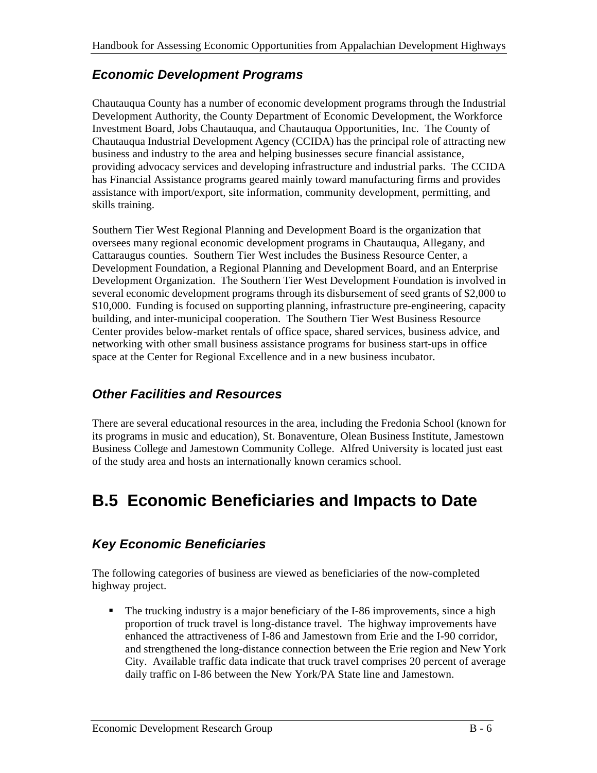### *Economic Development Programs*

Chautauqua County has a number of economic development programs through the Industrial Development Authority, the County Department of Economic Development, the Workforce Investment Board, Jobs Chautauqua, and Chautauqua Opportunities, Inc. The County of Chautauqua Industrial Development Agency (CCIDA) has the principal role of attracting new business and industry to the area and helping businesses secure financial assistance, providing advocacy services and developing infrastructure and industrial parks. The CCIDA has Financial Assistance programs geared mainly toward manufacturing firms and provides assistance with import/export, site information, community development, permitting, and skills training.

Southern Tier West Regional Planning and Development Board is the organization that oversees many regional economic development programs in Chautauqua, Allegany, and Cattaraugus counties. Southern Tier West includes the Business Resource Center, a Development Foundation, a Regional Planning and Development Board, and an Enterprise Development Organization. The Southern Tier West Development Foundation is involved in several economic development programs through its disbursement of seed grants of \$2,000 to \$10,000. Funding is focused on supporting planning, infrastructure pre-engineering, capacity building, and inter-municipal cooperation. The Southern Tier West Business Resource Center provides below-market rentals of office space, shared services, business advice, and networking with other small business assistance programs for business start-ups in office space at the Center for Regional Excellence and in a new business incubator.

### *Other Facilities and Resources*

There are several educational resources in the area, including the Fredonia School (known for its programs in music and education), St. Bonaventure, Olean Business Institute, Jamestown Business College and Jamestown Community College. Alfred University is located just east of the study area and hosts an internationally known ceramics school.

## **B.5 Economic Beneficiaries and Impacts to Date**

### *Key Economic Beneficiaries*

The following categories of business are viewed as beneficiaries of the now-completed highway project.

The trucking industry is a major beneficiary of the I-86 improvements, since a high proportion of truck travel is long-distance travel. The highway improvements have enhanced the attractiveness of I-86 and Jamestown from Erie and the I-90 corridor, and strengthened the long-distance connection between the Erie region and New York City. Available traffic data indicate that truck travel comprises 20 percent of average daily traffic on I-86 between the New York/PA State line and Jamestown.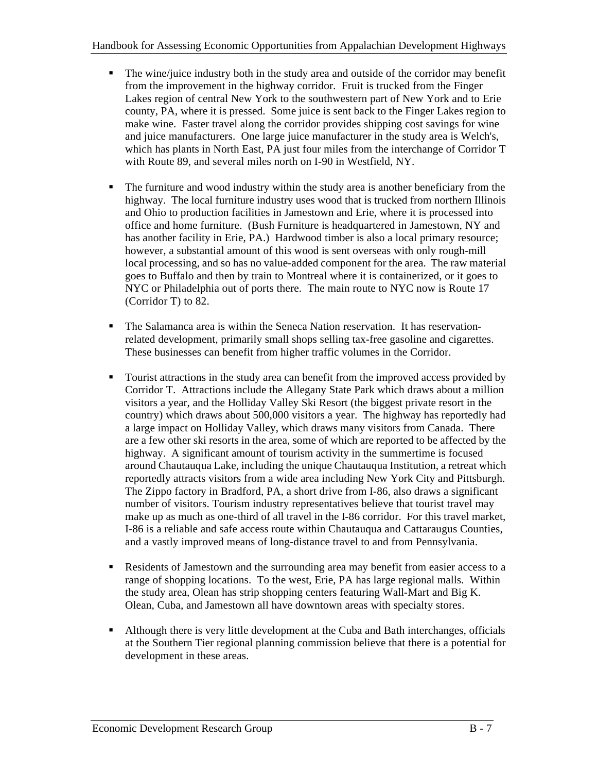- The wine/juice industry both in the study area and outside of the corridor may benefit from the improvement in the highway corridor. Fruit is trucked from the Finger Lakes region of central New York to the southwestern part of New York and to Erie county, PA, where it is pressed. Some juice is sent back to the Finger Lakes region to make wine. Faster travel along the corridor provides shipping cost savings for wine and juice manufacturers. One large juice manufacturer in the study area is Welch's, which has plants in North East, PA just four miles from the interchange of Corridor T with Route 89, and several miles north on I-90 in Westfield, NY.
- ß The furniture and wood industry within the study area is another beneficiary from the highway. The local furniture industry uses wood that is trucked from northern Illinois and Ohio to production facilities in Jamestown and Erie, where it is processed into office and home furniture. (Bush Furniture is headquartered in Jamestown, NY and has another facility in Erie, PA.) Hardwood timber is also a local primary resource; however, a substantial amount of this wood is sent overseas with only rough-mill local processing, and so has no value-added component for the area. The raw material goes to Buffalo and then by train to Montreal where it is containerized, or it goes to NYC or Philadelphia out of ports there. The main route to NYC now is Route 17 (Corridor T) to 82.
- The Salamanca area is within the Seneca Nation reservation. It has reservationrelated development, primarily small shops selling tax-free gasoline and cigarettes. These businesses can benefit from higher traffic volumes in the Corridor.
- **Tourist attractions in the study area can benefit from the improved access provided by** Corridor T. Attractions include the Allegany State Park which draws about a million visitors a year, and the Holliday Valley Ski Resort (the biggest private resort in the country) which draws about 500,000 visitors a year. The highway has reportedly had a large impact on Holliday Valley, which draws many visitors from Canada. There are a few other ski resorts in the area, some of which are reported to be affected by the highway. A significant amount of tourism activity in the summertime is focused around Chautauqua Lake, including the unique Chautauqua Institution, a retreat which reportedly attracts visitors from a wide area including New York City and Pittsburgh. The Zippo factory in Bradford, PA, a short drive from I-86, also draws a significant number of visitors. Tourism industry representatives believe that tourist travel may make up as much as one-third of all travel in the I-86 corridor. For this travel market, I-86 is a reliable and safe access route within Chautauqua and Cattaraugus Counties, and a vastly improved means of long-distance travel to and from Pennsylvania.
- ß Residents of Jamestown and the surrounding area may benefit from easier access to a range of shopping locations. To the west, Erie, PA has large regional malls. Within the study area, Olean has strip shopping centers featuring Wall-Mart and Big K. Olean, Cuba, and Jamestown all have downtown areas with specialty stores.
- If Although there is very little development at the Cuba and Bath interchanges, officials at the Southern Tier regional planning commission believe that there is a potential for development in these areas.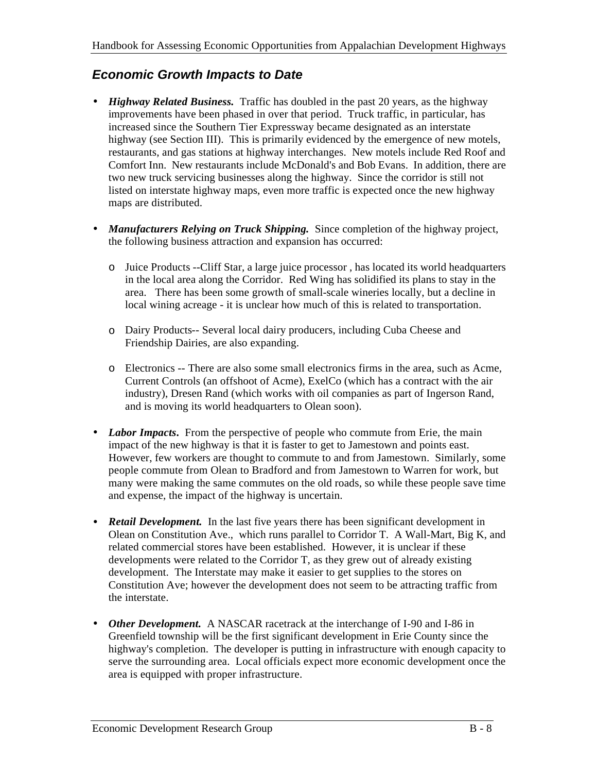### *Economic Growth Impacts to Date*

- *Highway Related Business.* Traffic has doubled in the past 20 years, as the highway improvements have been phased in over that period. Truck traffic, in particular, has increased since the Southern Tier Expressway became designated as an interstate highway (see Section III). This is primarily evidenced by the emergence of new motels, restaurants, and gas stations at highway interchanges. New motels include Red Roof and Comfort Inn. New restaurants include McDonald's and Bob Evans. In addition, there are two new truck servicing businesses along the highway. Since the corridor is still not listed on interstate highway maps, even more traffic is expected once the new highway maps are distributed.
- *Manufacturers Relying on Truck Shipping.* Since completion of the highway project, the following business attraction and expansion has occurred:
	- o Juice Products --Cliff Star, a large juice processor , has located its world headquarters in the local area along the Corridor. Red Wing has solidified its plans to stay in the area. There has been some growth of small-scale wineries locally, but a decline in local wining acreage - it is unclear how much of this is related to transportation.
	- o Dairy Products-- Several local dairy producers, including Cuba Cheese and Friendship Dairies, are also expanding.
	- o Electronics -- There are also some small electronics firms in the area, such as Acme, Current Controls (an offshoot of Acme), ExelCo (which has a contract with the air industry), Dresen Rand (which works with oil companies as part of Ingerson Rand, and is moving its world headquarters to Olean soon).
- *Labor Impacts*. From the perspective of people who commute from Erie, the main impact of the new highway is that it is faster to get to Jamestown and points east. However, few workers are thought to commute to and from Jamestown. Similarly, some people commute from Olean to Bradford and from Jamestown to Warren for work, but many were making the same commutes on the old roads, so while these people save time and expense, the impact of the highway is uncertain.
- *Retail Development.* In the last five years there has been significant development in Olean on Constitution Ave., which runs parallel to Corridor T. A Wall-Mart, Big K, and related commercial stores have been established. However, it is unclear if these developments were related to the Corridor T, as they grew out of already existing development. The Interstate may make it easier to get supplies to the stores on Constitution Ave; however the development does not seem to be attracting traffic from the interstate.
- *Other Development.* A NASCAR racetrack at the interchange of I-90 and I-86 in Greenfield township will be the first significant development in Erie County since the highway's completion. The developer is putting in infrastructure with enough capacity to serve the surrounding area. Local officials expect more economic development once the area is equipped with proper infrastructure.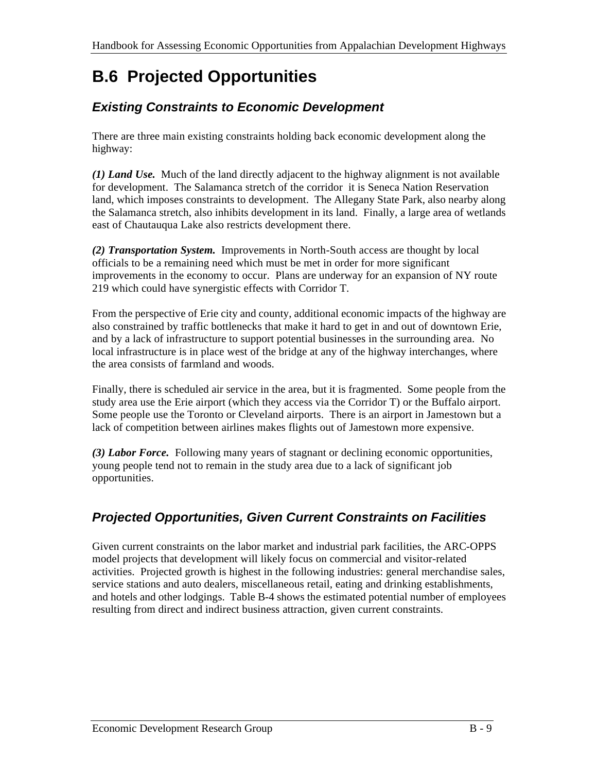# **B.6 Projected Opportunities**

### *Existing Constraints to Economic Development*

There are three main existing constraints holding back economic development along the highway:

*(1) Land Use.* Much of the land directly adjacent to the highway alignment is not available for development. The Salamanca stretch of the corridor it is Seneca Nation Reservation land, which imposes constraints to development. The Allegany State Park, also nearby along the Salamanca stretch, also inhibits development in its land. Finally, a large area of wetlands east of Chautauqua Lake also restricts development there.

*(2) Transportation System.* Improvements in North-South access are thought by local officials to be a remaining need which must be met in order for more significant improvements in the economy to occur. Plans are underway for an expansion of NY route 219 which could have synergistic effects with Corridor T.

From the perspective of Erie city and county, additional economic impacts of the highway are also constrained by traffic bottlenecks that make it hard to get in and out of downtown Erie, and by a lack of infrastructure to support potential businesses in the surrounding area. No local infrastructure is in place west of the bridge at any of the highway interchanges, where the area consists of farmland and woods.

Finally, there is scheduled air service in the area, but it is fragmented. Some people from the study area use the Erie airport (which they access via the Corridor T) or the Buffalo airport. Some people use the Toronto or Cleveland airports. There is an airport in Jamestown but a lack of competition between airlines makes flights out of Jamestown more expensive.

*(3) Labor Force.* Following many years of stagnant or declining economic opportunities, young people tend not to remain in the study area due to a lack of significant job opportunities.

### *Projected Opportunities, Given Current Constraints on Facilities*

Given current constraints on the labor market and industrial park facilities, the ARC-OPPS model projects that development will likely focus on commercial and visitor-related activities. Projected growth is highest in the following industries: general merchandise sales, service stations and auto dealers, miscellaneous retail, eating and drinking establishments, and hotels and other lodgings. Table B-4 shows the estimated potential number of employees resulting from direct and indirect business attraction, given current constraints.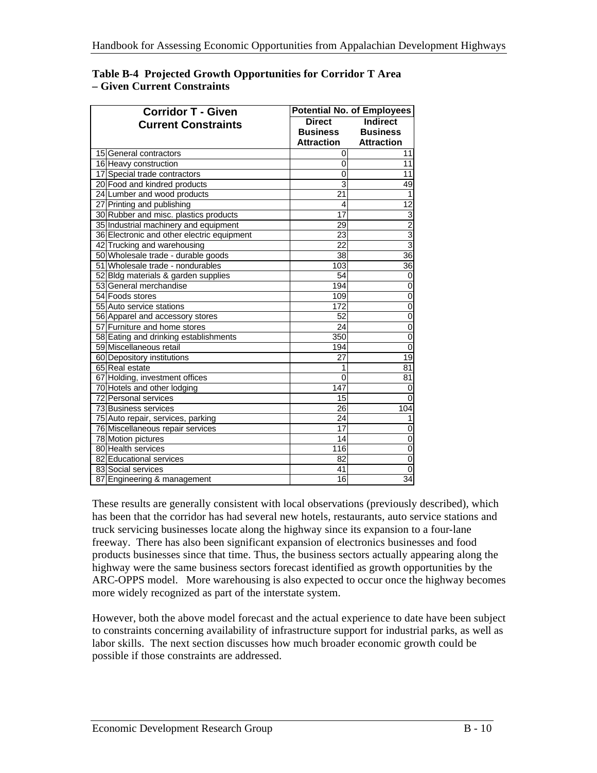| <b>Corridor T - Given</b>                  | <b>Potential No. of Employees</b> |                   |
|--------------------------------------------|-----------------------------------|-------------------|
| <b>Current Constraints</b>                 | <b>Direct</b>                     | <b>Indirect</b>   |
|                                            | <b>Business</b>                   | <b>Business</b>   |
|                                            | <b>Attraction</b>                 | <b>Attraction</b> |
| 15 General contractors                     | 0                                 | 11                |
| 16 Heavy construction                      | 0                                 | 11                |
| 17 Special trade contractors               | $\Omega$                          | 11                |
| 20 Food and kindred products               | $\overline{3}$                    | 49                |
| 24 Lumber and wood products                | 21                                | 1                 |
| 27 Printing and publishing                 | 4                                 | $\overline{12}$   |
| 30 Rubber and misc. plastics products      | $\overline{17}$                   | 3                 |
| 35 Industrial machinery and equipment      | 29                                | $\overline{2}$    |
| 36 Electronic and other electric equipment | $\overline{23}$                   | $\overline{3}$    |
| 42 Trucking and warehousing                | 22                                | $\overline{3}$    |
| 50 Wholesale trade - durable goods         | $\overline{38}$                   | $\overline{36}$   |
| 51 Wholesale trade - nondurables           | 103                               | 36                |
| 52 Bldg materials & garden supplies        | 54                                | 0                 |
| 53 General merchandise                     | 194                               | $\mathbf 0$       |
| 54 Foods stores                            | 109                               | $\overline{0}$    |
| 55 Auto service stations                   | 172                               | $\overline{0}$    |
| 56 Apparel and accessory stores            | $\overline{52}$                   | $\overline{0}$    |
| 57 Furniture and home stores               | $\overline{24}$                   | $\overline{0}$    |
| 58 Eating and drinking establishments      | 350                               | 0                 |
| 59 Miscellaneous retail                    | 194                               | $\overline{0}$    |
| 60 Depository institutions                 | $\overline{27}$                   | $\overline{19}$   |
| 65 Real estate                             | 1                                 | 81                |
| 67 Holding, investment offices             | $\overline{0}$                    | 81                |
| 70 Hotels and other lodging                | 147                               | 0                 |
| 72 Personal services                       | 15                                | 0                 |
| 73 Business services                       | 26                                | 104               |
| 75 Auto repair, services, parking          | 24                                | 1                 |
| 76 Miscellaneous repair services           | $\overline{17}$                   | 0                 |
| 78 Motion pictures                         | 14                                | 0                 |
| 80 Health services                         | $\overline{116}$                  | 0                 |
| 82 Educational services                    | 82                                | $\overline{0}$    |
| 83 Social services                         | 41                                | $\overline{0}$    |
| 87 Engineering & management                | 16                                | 34                |

#### **Table B-4 Projected Growth Opportunities for Corridor T Area – Given Current Constraints**

These results are generally consistent with local observations (previously described), which has been that the corridor has had several new hotels, restaurants, auto service stations and truck servicing businesses locate along the highway since its expansion to a four-lane freeway. There has also been significant expansion of electronics businesses and food products businesses since that time. Thus, the business sectors actually appearing along the highway were the same business sectors forecast identified as growth opportunities by the ARC-OPPS model. More warehousing is also expected to occur once the highway becomes more widely recognized as part of the interstate system.

However, both the above model forecast and the actual experience to date have been subject to constraints concerning availability of infrastructure support for industrial parks, as well as labor skills. The next section discusses how much broader economic growth could be possible if those constraints are addressed.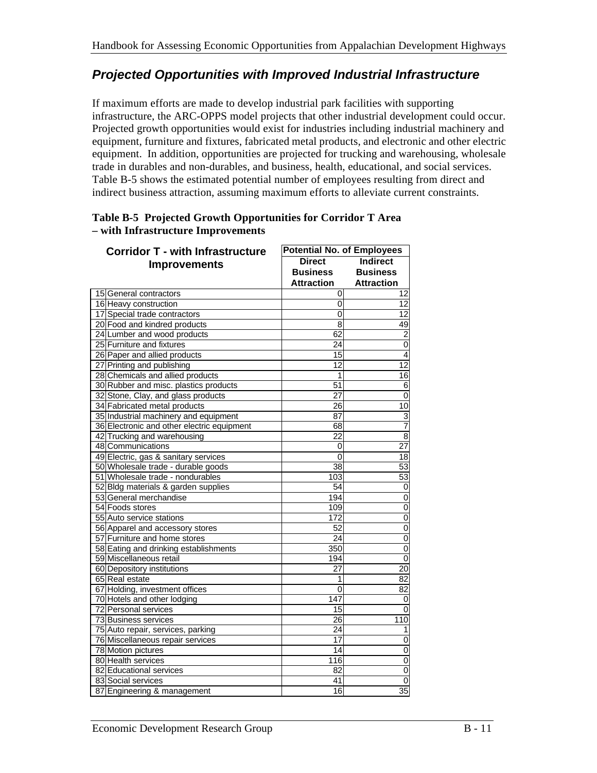### *Projected Opportunities with Improved Industrial Infrastructure*

If maximum efforts are made to develop industrial park facilities with supporting infrastructure, the ARC-OPPS model projects that other industrial development could occur. Projected growth opportunities would exist for industries including industrial machinery and equipment, furniture and fixtures, fabricated metal products, and electronic and other electric equipment. In addition, opportunities are projected for trucking and warehousing, wholesale trade in durables and non-durables, and business, health, educational, and social services. Table B-5 shows the estimated potential number of employees resulting from direct and indirect business attraction, assuming maximum efforts to alleviate current constraints.

| <b>Corridor T - with Infrastructure</b>    | <b>Potential No. of Employees</b> |                   |
|--------------------------------------------|-----------------------------------|-------------------|
|                                            | <b>Direct</b>                     | Indirect          |
| <b>Improvements</b>                        | <b>Business</b>                   | <b>Business</b>   |
|                                            | <b>Attraction</b>                 | <b>Attraction</b> |
| 15 General contractors                     | 0                                 | 12                |
| 16 Heavy construction                      | 0                                 | $\overline{12}$   |
| 17 Special trade contractors               | 0                                 | 12                |
| 20 Food and kindred products               | $\overline{8}$                    | 49                |
| 24 Lumber and wood products                | $\overline{62}$                   | $\overline{2}$    |
| 25 Furniture and fixtures                  | 24                                | $\overline{0}$    |
| 26 Paper and allied products               | $\overline{15}$                   | $\overline{4}$    |
| 27 Printing and publishing                 | $\overline{12}$                   | $\overline{12}$   |
| 28 Chemicals and allied products           | 1                                 | 16                |
| 30 Rubber and misc. plastics products      | 51                                | $\overline{6}$    |
| 32 Stone, Clay, and glass products         | 27                                | $\overline{0}$    |
| 34 Fabricated metal products               | $\overline{26}$                   | $\overline{10}$   |
| 35 Industrial machinery and equipment      | $\overline{87}$                   | 3                 |
| 36 Electronic and other electric equipment | 68                                | $\overline{7}$    |
| 42 Trucking and warehousing                | $\overline{22}$                   | $\overline{8}$    |
| 48 Communications                          | 0                                 | $\overline{27}$   |
| 49 Electric, gas & sanitary services       | $\overline{0}$                    | $\overline{18}$   |
| 50 Wholesale trade - durable goods         | 38                                | $\overline{53}$   |
| 51 Wholesale trade - nondurables           | 103                               | 53                |
| 52 Bldg materials & garden supplies        | 54                                | $\overline{0}$    |
| 53 General merchandise                     | 194                               | $\overline{0}$    |
| 54 Foods stores                            | 109                               | $\overline{0}$    |
| 55 Auto service stations                   | 172                               | $\overline{0}$    |
| 56 Apparel and accessory stores            | 52                                | $\overline{0}$    |
| 57 Furniture and home stores               | $\overline{24}$                   | $\overline{0}$    |
| 58 Eating and drinking establishments      | 350                               | $\overline{0}$    |
| 59 Miscellaneous retail                    | 194                               | $\overline{0}$    |
| 60 Depository institutions                 | $\overline{27}$                   | $\overline{20}$   |
| 65 Real estate                             | 1                                 | $\overline{82}$   |
| 67 Holding, investment offices             | $\Omega$                          | 82                |
| 70 Hotels and other lodging                | 147                               | $\mathbf 0$       |
| 72 Personal services                       | $\overline{15}$                   | $\overline{0}$    |
| 73 Business services                       | 26                                | 110               |
| 75 Auto repair, services, parking          | $\overline{24}$                   | $\overline{1}$    |
| 76 Miscellaneous repair services           | 17                                | $\overline{0}$    |
| 78 Motion pictures                         | 14                                | $\overline{0}$    |
| 80 Health services                         | 116                               | $\overline{0}$    |
| 82 Educational services                    | $\overline{82}$                   | $\overline{0}$    |
| 83 Social services                         | 41                                | $\overline{0}$    |
| 87 Engineering & management                | 16                                | $\overline{35}$   |

#### **Table B-5 Projected Growth Opportunities for Corridor T Area – with Infrastructure Improvements**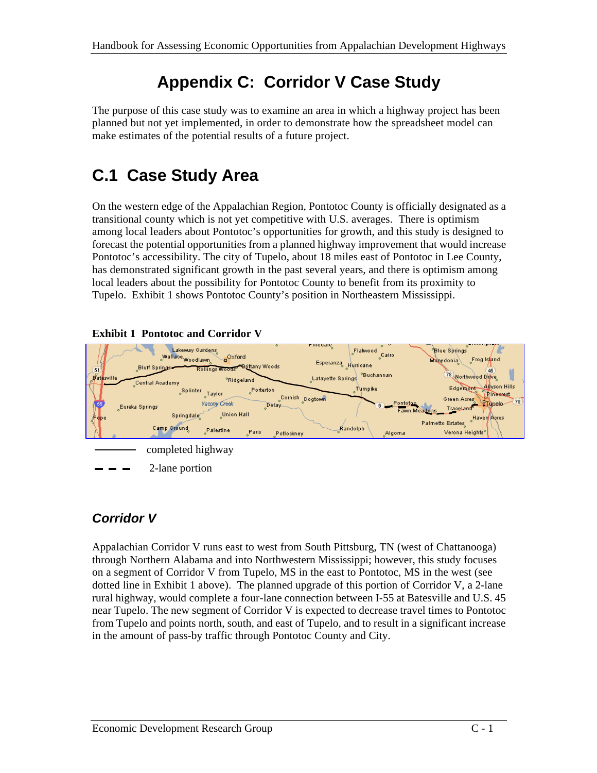# **Appendix C: Corridor V Case Study**

The purpose of this case study was to examine an area in which a highway project has been planned but not yet implemented, in order to demonstrate how the spreadsheet model can make estimates of the potential results of a future project.

# **C.1 Case Study Area**

On the western edge of the Appalachian Region, Pontotoc County is officially designated as a transitional county which is not yet competitive with U.S. averages. There is optimism among local leaders about Pontotoc's opportunities for growth, and this study is designed to forecast the potential opportunities from a planned highway improvement that would increase Pontotoc's accessibility. The city of Tupelo, about 18 miles east of Pontotoc in Lee County, has demonstrated significant growth in the past several years, and there is optimism among local leaders about the possibility for Pontotoc County to benefit from its proximity to Tupelo. Exhibit 1 shows Pontotoc County's position in Northeastern Mississippi.



#### **Exhibit 1 Pontotoc and Corridor V**

### *Corridor V*

Appalachian Corridor V runs east to west from South Pittsburg, TN (west of Chattanooga) through Northern Alabama and into Northwestern Mississippi; however, this study focuses on a segment of Corridor V from Tupelo, MS in the east to Pontotoc, MS in the west (see dotted line in Exhibit 1 above). The planned upgrade of this portion of Corridor V, a 2-lane rural highway, would complete a four-lane connection between I-55 at Batesville and U.S. 45 near Tupelo. The new segment of Corridor V is expected to decrease travel times to Pontotoc from Tupelo and points north, south, and east of Tupelo, and to result in a significant increase in the amount of pass-by traffic through Pontotoc County and City.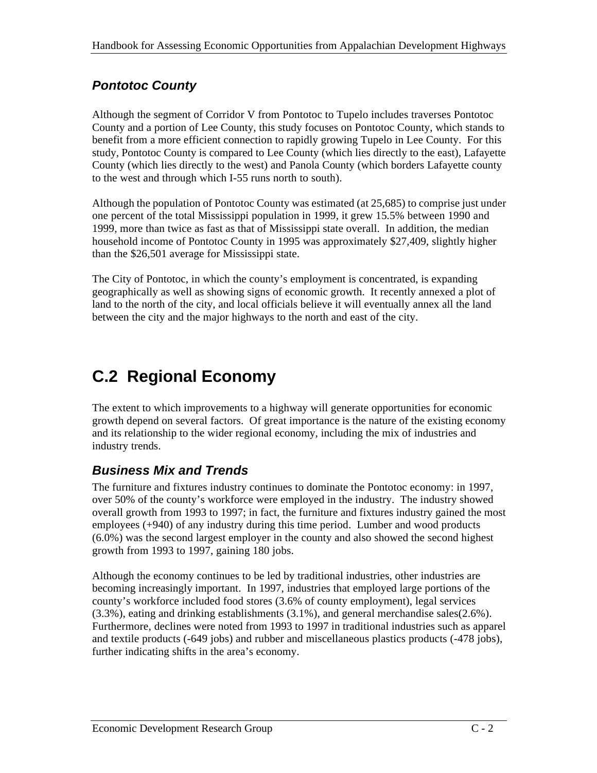## *Pontotoc County*

Although the segment of Corridor V from Pontotoc to Tupelo includes traverses Pontotoc County and a portion of Lee County, this study focuses on Pontotoc County, which stands to benefit from a more efficient connection to rapidly growing Tupelo in Lee County. For this study, Pontotoc County is compared to Lee County (which lies directly to the east), Lafayette County (which lies directly to the west) and Panola County (which borders Lafayette county to the west and through which I-55 runs north to south).

Although the population of Pontotoc County was estimated (at 25,685) to comprise just under one percent of the total Mississippi population in 1999, it grew 15.5% between 1990 and 1999, more than twice as fast as that of Mississippi state overall. In addition, the median household income of Pontotoc County in 1995 was approximately \$27,409, slightly higher than the \$26,501 average for Mississippi state.

The City of Pontotoc, in which the county's employment is concentrated, is expanding geographically as well as showing signs of economic growth. It recently annexed a plot of land to the north of the city, and local officials believe it will eventually annex all the land between the city and the major highways to the north and east of the city.

# **C.2 Regional Economy**

The extent to which improvements to a highway will generate opportunities for economic growth depend on several factors. Of great importance is the nature of the existing economy and its relationship to the wider regional economy, including the mix of industries and industry trends.

### *Business Mix and Trends*

The furniture and fixtures industry continues to dominate the Pontotoc economy: in 1997, over 50% of the county's workforce were employed in the industry. The industry showed overall growth from 1993 to 1997; in fact, the furniture and fixtures industry gained the most employees (+940) of any industry during this time period. Lumber and wood products (6.0%) was the second largest employer in the county and also showed the second highest growth from 1993 to 1997, gaining 180 jobs.

Although the economy continues to be led by traditional industries, other industries are becoming increasingly important. In 1997, industries that employed large portions of the county's workforce included food stores (3.6% of county employment), legal services (3.3%), eating and drinking establishments (3.1%), and general merchandise sales(2.6%). Furthermore, declines were noted from 1993 to 1997 in traditional industries such as apparel and textile products (-649 jobs) and rubber and miscellaneous plastics products (-478 jobs), further indicating shifts in the area's economy.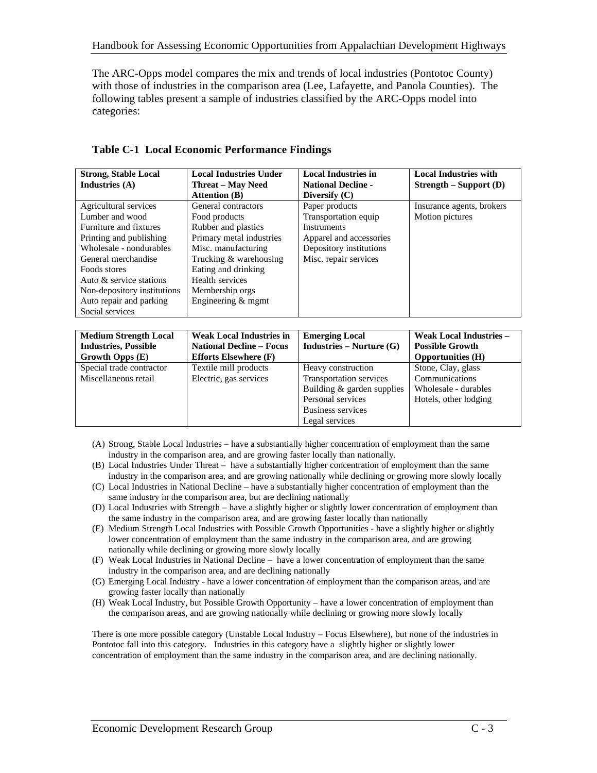The ARC-Opps model compares the mix and trends of local industries (Pontotoc County) with those of industries in the comparison area (Lee, Lafayette, and Panola Counties). The following tables present a sample of industries classified by the ARC-Opps model into categories:

| <b>Strong, Stable Local</b><br>Industries $(A)$                                                                                                                                                                                                                         | <b>Local Industries Under</b><br><b>Threat – May Need</b><br><b>Attention (B)</b>                                                                                                                                           | <b>Local Industries in</b><br><b>National Decline -</b><br>Diversify $(C)$                                                                  | <b>Local Industries with</b><br>$Strength – Support (D)$ |
|-------------------------------------------------------------------------------------------------------------------------------------------------------------------------------------------------------------------------------------------------------------------------|-----------------------------------------------------------------------------------------------------------------------------------------------------------------------------------------------------------------------------|---------------------------------------------------------------------------------------------------------------------------------------------|----------------------------------------------------------|
| Agricultural services<br>Lumber and wood<br>Furniture and fixtures<br>Printing and publishing<br>Wholesale - nondurables<br>General merchandise<br>Foods stores<br>Auto & service stations<br>Non-depository institutions<br>Auto repair and parking<br>Social services | General contractors<br>Food products<br>Rubber and plastics<br>Primary metal industries<br>Misc. manufacturing<br>Trucking & warehousing<br>Eating and drinking<br>Health services<br>Membership orgs<br>Engineering & mgmt | Paper products<br>Transportation equip<br><b>Instruments</b><br>Apparel and accessories<br>Depository institutions<br>Misc. repair services | Insurance agents, brokers<br>Motion pictures             |

**Table C-1 Local Economic Performance Findings**

| <b>Medium Strength Local</b> | <b>Weak Local Industries in</b> | <b>Emerging Local</b>        | <b>Weak Local Industries -</b> |
|------------------------------|---------------------------------|------------------------------|--------------------------------|
| <b>Industries, Possible</b>  | <b>National Decline – Focus</b> | $Industries - Nurture(G)$    | <b>Possible Growth</b>         |
| Growth Opps (E)              | <b>Efforts Elsewhere (F)</b>    |                              | <b>Opportunities</b> (H)       |
| Special trade contractor     | Textile mill products           | Heavy construction           | Stone, Clay, glass             |
| Miscellaneous retail         | Electric, gas services          | Transportation services      | Communications                 |
|                              |                                 | Building $&$ garden supplies | Wholesale - durables           |
|                              |                                 | Personal services            | Hotels, other lodging          |
|                              |                                 | <b>Business services</b>     |                                |
|                              |                                 | Legal services               |                                |

- (A) Strong, Stable Local Industries have a substantially higher concentration of employment than the same industry in the comparison area, and are growing faster locally than nationally.
- (B) Local Industries Under Threat have a substantially higher concentration of employment than the same industry in the comparison area, and are growing nationally while declining or growing more slowly locally
- (C) Local Industries in National Decline have a substantially higher concentration of employment than the same industry in the comparison area, but are declining nationally
- (D) Local Industries with Strength have a slightly higher or slightly lower concentration of employment than the same industry in the comparison area, and are growing faster locally than nationally
- (E) Medium Strength Local Industries with Possible Growth Opportunities have a slightly higher or slightly lower concentration of employment than the same industry in the comparison area, and are growing nationally while declining or growing more slowly locally
- (F) Weak Local Industries in National Decline have a lower concentration of employment than the same industry in the comparison area, and are declining nationally
- (G) Emerging Local Industry have a lower concentration of employment than the comparison areas, and are growing faster locally than nationally
- (H) Weak Local Industry, but Possible Growth Opportunity have a lower concentration of employment than the comparison areas, and are growing nationally while declining or growing more slowly locally

There is one more possible category (Unstable Local Industry – Focus Elsewhere), but none of the industries in Pontotoc fall into this category. Industries in this category have a slightly higher or slightly lower concentration of employment than the same industry in the comparison area, and are declining nationally.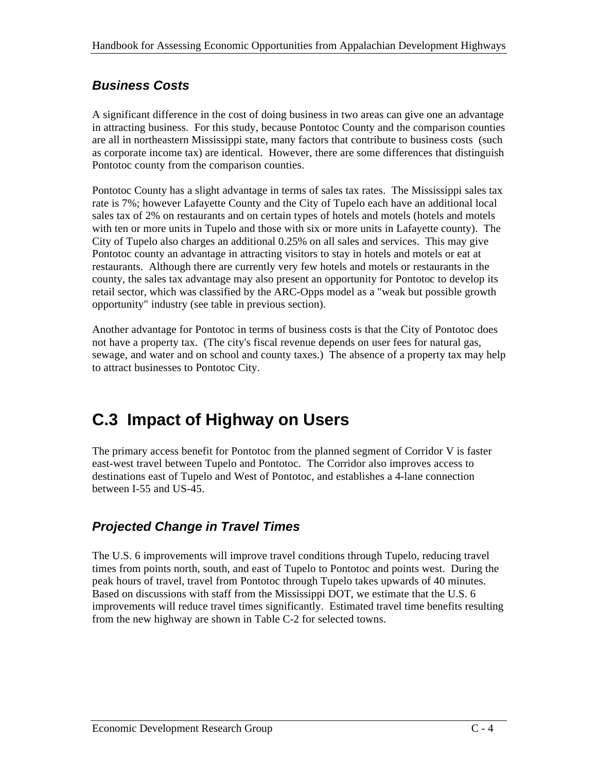### *Business Costs*

A significant difference in the cost of doing business in two areas can give one an advantage in attracting business. For this study, because Pontotoc County and the comparison counties are all in northeastern Mississippi state, many factors that contribute to business costs (such as corporate income tax) are identical. However, there are some differences that distinguish Pontotoc county from the comparison counties.

Pontotoc County has a slight advantage in terms of sales tax rates. The Mississippi sales tax rate is 7%; however Lafayette County and the City of Tupelo each have an additional local sales tax of 2% on restaurants and on certain types of hotels and motels (hotels and motels with ten or more units in Tupelo and those with six or more units in Lafayette county). The City of Tupelo also charges an additional 0.25% on all sales and services. This may give Pontotoc county an advantage in attracting visitors to stay in hotels and motels or eat at restaurants. Although there are currently very few hotels and motels or restaurants in the county, the sales tax advantage may also present an opportunity for Pontotoc to develop its retail sector, which was classified by the ARC-Opps model as a "weak but possible growth opportunity" industry (see table in previous section).

Another advantage for Pontotoc in terms of business costs is that the City of Pontotoc does not have a property tax. (The city's fiscal revenue depends on user fees for natural gas, sewage, and water and on school and county taxes.) The absence of a property tax may help to attract businesses to Pontotoc City.

## **C.3 Impact of Highway on Users**

The primary access benefit for Pontotoc from the planned segment of Corridor V is faster east-west travel between Tupelo and Pontotoc. The Corridor also improves access to destinations east of Tupelo and West of Pontotoc, and establishes a 4-lane connection between I-55 and US-45.

### *Projected Change in Travel Times*

The U.S. 6 improvements will improve travel conditions through Tupelo, reducing travel times from points north, south, and east of Tupelo to Pontotoc and points west. During the peak hours of travel, travel from Pontotoc through Tupelo takes upwards of 40 minutes. Based on discussions with staff from the Mississippi DOT, we estimate that the U.S. 6 improvements will reduce travel times significantly. Estimated travel time benefits resulting from the new highway are shown in Table C-2 for selected towns.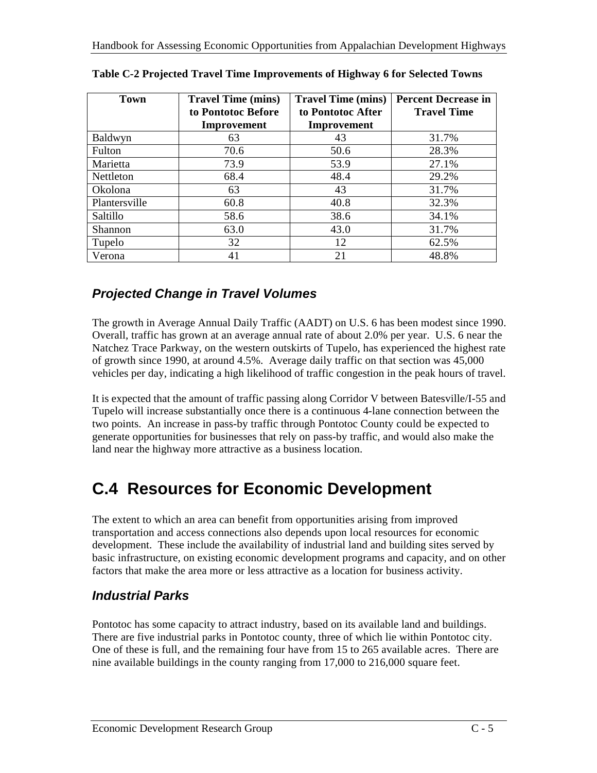| <b>Town</b>      | <b>Travel Time (mins)</b><br>to Pontotoc Before | <b>Travel Time (mins)</b><br>to Pontotoc After | <b>Percent Decrease in</b><br><b>Travel Time</b> |
|------------------|-------------------------------------------------|------------------------------------------------|--------------------------------------------------|
|                  | Improvement                                     | Improvement                                    |                                                  |
| Baldwyn          | 63                                              | 43                                             | 31.7%                                            |
| Fulton           | 70.6                                            | 50.6                                           | 28.3%                                            |
| Marietta         | 73.9                                            | 53.9                                           | 27.1%                                            |
| <b>Nettleton</b> | 68.4                                            | 48.4                                           | 29.2%                                            |
| Okolona          | 63                                              | 43                                             | 31.7%                                            |
| Plantersville    | 60.8                                            | 40.8                                           | 32.3%                                            |
| Saltillo         | 58.6                                            | 38.6                                           | 34.1%                                            |
| Shannon          | 63.0                                            | 43.0                                           | 31.7%                                            |
| Tupelo           | 32                                              | 12                                             | 62.5%                                            |
| Verona           | 41                                              | 21                                             | 48.8%                                            |

|  |  | Table C-2 Projected Travel Time Improvements of Highway 6 for Selected Towns |
|--|--|------------------------------------------------------------------------------|
|--|--|------------------------------------------------------------------------------|

### *Projected Change in Travel Volumes*

The growth in Average Annual Daily Traffic (AADT) on U.S. 6 has been modest since 1990. Overall, traffic has grown at an average annual rate of about 2.0% per year. U.S. 6 near the Natchez Trace Parkway, on the western outskirts of Tupelo, has experienced the highest rate of growth since 1990, at around 4.5%. Average daily traffic on that section was 45,000 vehicles per day, indicating a high likelihood of traffic congestion in the peak hours of travel.

It is expected that the amount of traffic passing along Corridor V between Batesville/I-55 and Tupelo will increase substantially once there is a continuous 4-lane connection between the two points. An increase in pass-by traffic through Pontotoc County could be expected to generate opportunities for businesses that rely on pass-by traffic, and would also make the land near the highway more attractive as a business location.

# **C.4 Resources for Economic Development**

The extent to which an area can benefit from opportunities arising from improved transportation and access connections also depends upon local resources for economic development. These include the availability of industrial land and building sites served by basic infrastructure, on existing economic development programs and capacity, and on other factors that make the area more or less attractive as a location for business activity.

### *Industrial Parks*

Pontotoc has some capacity to attract industry, based on its available land and buildings. There are five industrial parks in Pontotoc county, three of which lie within Pontotoc city. One of these is full, and the remaining four have from 15 to 265 available acres. There are nine available buildings in the county ranging from 17,000 to 216,000 square feet.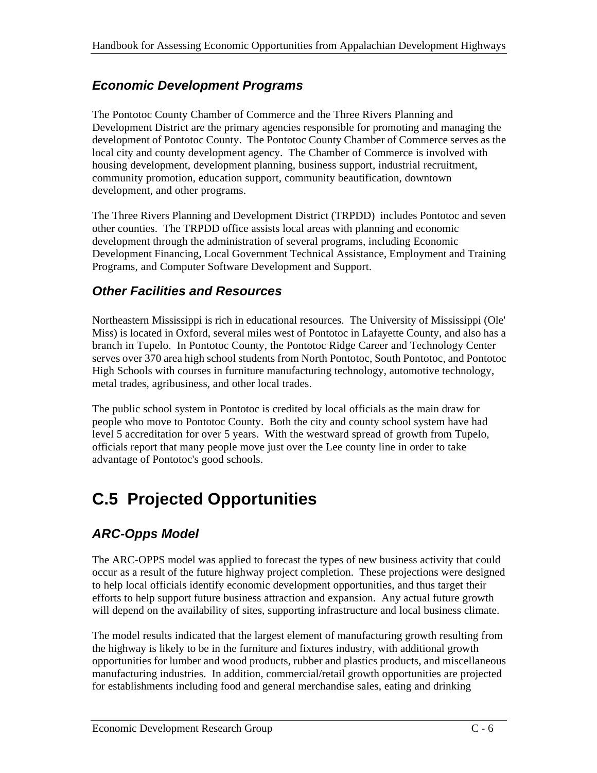### *Economic Development Programs*

The Pontotoc County Chamber of Commerce and the Three Rivers Planning and Development District are the primary agencies responsible for promoting and managing the development of Pontotoc County. The Pontotoc County Chamber of Commerce serves as the local city and county development agency. The Chamber of Commerce is involved with housing development, development planning, business support, industrial recruitment, community promotion, education support, community beautification, downtown development, and other programs.

The Three Rivers Planning and Development District (TRPDD) includes Pontotoc and seven other counties. The TRPDD office assists local areas with planning and economic development through the administration of several programs, including Economic Development Financing, Local Government Technical Assistance, Employment and Training Programs, and Computer Software Development and Support.

### *Other Facilities and Resources*

Northeastern Mississippi is rich in educational resources. The University of Mississippi (Ole' Miss) is located in Oxford, several miles west of Pontotoc in Lafayette County, and also has a branch in Tupelo. In Pontotoc County, the Pontotoc Ridge Career and Technology Center serves over 370 area high school students from North Pontotoc, South Pontotoc, and Pontotoc High Schools with courses in furniture manufacturing technology, automotive technology, metal trades, agribusiness, and other local trades.

The public school system in Pontotoc is credited by local officials as the main draw for people who move to Pontotoc County. Both the city and county school system have had level 5 accreditation for over 5 years. With the westward spread of growth from Tupelo, officials report that many people move just over the Lee county line in order to take advantage of Pontotoc's good schools.

# **C.5 Projected Opportunities**

## *ARC-Opps Model*

The ARC-OPPS model was applied to forecast the types of new business activity that could occur as a result of the future highway project completion. These projections were designed to help local officials identify economic development opportunities, and thus target their efforts to help support future business attraction and expansion. Any actual future growth will depend on the availability of sites, supporting infrastructure and local business climate.

The model results indicated that the largest element of manufacturing growth resulting from the highway is likely to be in the furniture and fixtures industry, with additional growth opportunities for lumber and wood products, rubber and plastics products, and miscellaneous manufacturing industries. In addition, commercial/retail growth opportunities are projected for establishments including food and general merchandise sales, eating and drinking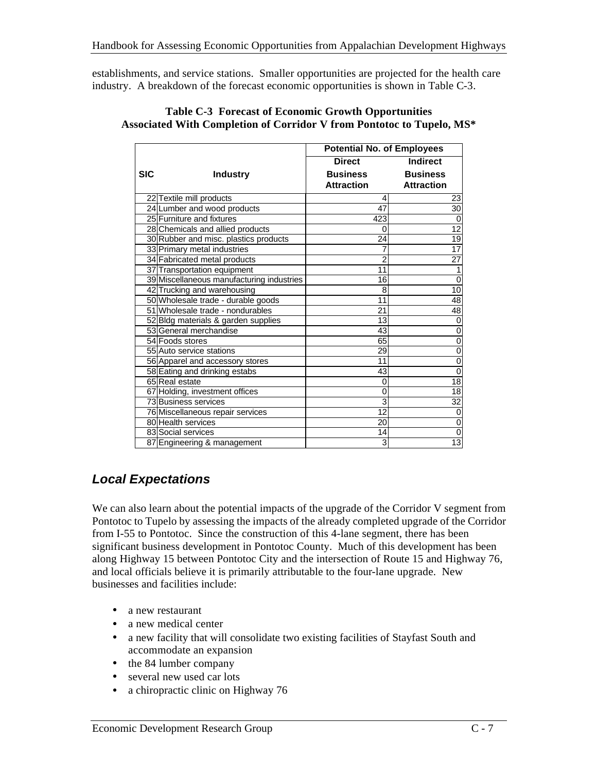establishments, and service stations. Smaller opportunities are projected for the health care industry. A breakdown of the forecast economic opportunities is shown in Table C-3.

|            |                                           | <b>Potential No. of Employees</b> |                   |
|------------|-------------------------------------------|-----------------------------------|-------------------|
|            |                                           | <b>Direct</b>                     | <b>Indirect</b>   |
| <b>SIC</b> | <b>Industry</b>                           | <b>Business</b>                   | <b>Business</b>   |
|            |                                           | <b>Attraction</b>                 | <b>Attraction</b> |
|            | 22 Textile mill products                  | 4                                 | 23                |
|            | 24 Lumber and wood products               | 47                                | 30                |
|            | 25 Furniture and fixtures                 | 423                               | $\Omega$          |
|            | 28 Chemicals and allied products          | 0                                 | 12                |
|            | 30 Rubber and misc. plastics products     | 24                                | $\overline{19}$   |
|            | 33 Primary metal industries               | 7                                 | 17                |
|            | 34 Fabricated metal products              | 2                                 | 27                |
|            | 37 Transportation equipment               | 11                                | 1                 |
|            | 39 Miscellaneous manufacturing industries | 16                                | 0                 |
|            | 42 Trucking and warehousing               | 8                                 | 10                |
|            | 50 Wholesale trade - durable goods        | 11                                | 48                |
|            | 51 Wholesale trade - nondurables          | 21                                | 48                |
|            | 52 Bldg materials & garden supplies       | 13                                | 0                 |
|            | 53 General merchandise                    | 43                                | 0                 |
|            | 54 Foods stores                           | 65                                | 0                 |
|            | 55 Auto service stations                  | 29                                | 0                 |
|            | 56 Apparel and accessory stores           | 11                                | 0                 |
|            | 58 Eating and drinking estabs             | 43                                | $\mathbf 0$       |
|            | 65 Real estate                            | $\Omega$                          | $\overline{18}$   |
|            | 67 Holding, investment offices            | $\mathbf 0$                       | 18                |
|            | 73 Business services                      | 3                                 | 32                |
|            | 76 Miscellaneous repair services          | 12                                | 0                 |
|            | 80 Health services                        | 20                                | 0                 |
|            | 83 Social services                        | 14                                | $\mathbf 0$       |
|            | 87 Engineering & management               | 3                                 | $\overline{13}$   |

#### **Table C-3 Forecast of Economic Growth Opportunities Associated With Completion of Corridor V from Pontotoc to Tupelo, MS\***

### *Local Expectations*

We can also learn about the potential impacts of the upgrade of the Corridor V segment from Pontotoc to Tupelo by assessing the impacts of the already completed upgrade of the Corridor from I-55 to Pontotoc. Since the construction of this 4-lane segment, there has been significant business development in Pontotoc County. Much of this development has been along Highway 15 between Pontotoc City and the intersection of Route 15 and Highway 76, and local officials believe it is primarily attributable to the four-lane upgrade. New businesses and facilities include:

- a new restaurant
- a new medical center
- a new facility that will consolidate two existing facilities of Stayfast South and accommodate an expansion
- the 84 lumber company
- several new used car lots
- a chiropractic clinic on Highway 76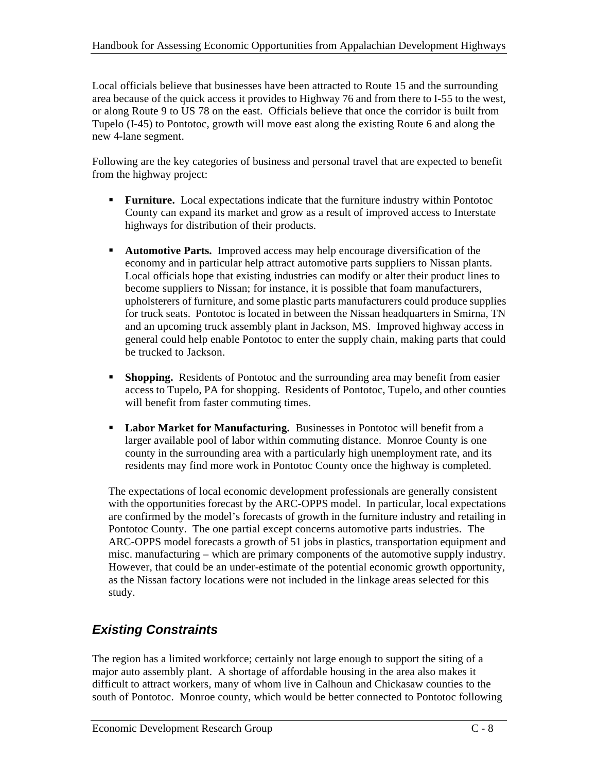Local officials believe that businesses have been attracted to Route 15 and the surrounding area because of the quick access it provides to Highway 76 and from there to I-55 to the west, or along Route 9 to US 78 on the east. Officials believe that once the corridor is built from Tupelo (I-45) to Pontotoc, growth will move east along the existing Route 6 and along the new 4-lane segment.

Following are the key categories of business and personal travel that are expected to benefit from the highway project:

- **Furniture.** Local expectations indicate that the furniture industry within Pontotoc County can expand its market and grow as a result of improved access to Interstate highways for distribution of their products.
- ß **Automotive Parts.** Improved access may help encourage diversification of the economy and in particular help attract automotive parts suppliers to Nissan plants. Local officials hope that existing industries can modify or alter their product lines to become suppliers to Nissan; for instance, it is possible that foam manufacturers, upholsterers of furniture, and some plastic parts manufacturers could produce supplies for truck seats. Pontotoc is located in between the Nissan headquarters in Smirna, TN and an upcoming truck assembly plant in Jackson, MS. Improved highway access in general could help enable Pontotoc to enter the supply chain, making parts that could be trucked to Jackson.
- **Shopping.** Residents of Pontotoc and the surrounding area may benefit from easier access to Tupelo, PA for shopping. Residents of Pontotoc, Tupelo, and other counties will benefit from faster commuting times.
- **Labor Market for Manufacturing.** Businesses in Pontotoc will benefit from a larger available pool of labor within commuting distance. Monroe County is one county in the surrounding area with a particularly high unemployment rate, and its residents may find more work in Pontotoc County once the highway is completed.

The expectations of local economic development professionals are generally consistent with the opportunities forecast by the ARC-OPPS model. In particular, local expectations are confirmed by the model's forecasts of growth in the furniture industry and retailing in Pontotoc County. The one partial except concerns automotive parts industries. The ARC-OPPS model forecasts a growth of 51 jobs in plastics, transportation equipment and misc. manufacturing – which are primary components of the automotive supply industry. However, that could be an under-estimate of the potential economic growth opportunity, as the Nissan factory locations were not included in the linkage areas selected for this study.

## *Existing Constraints*

The region has a limited workforce; certainly not large enough to support the siting of a major auto assembly plant. A shortage of affordable housing in the area also makes it difficult to attract workers, many of whom live in Calhoun and Chickasaw counties to the south of Pontotoc. Monroe county, which would be better connected to Pontotoc following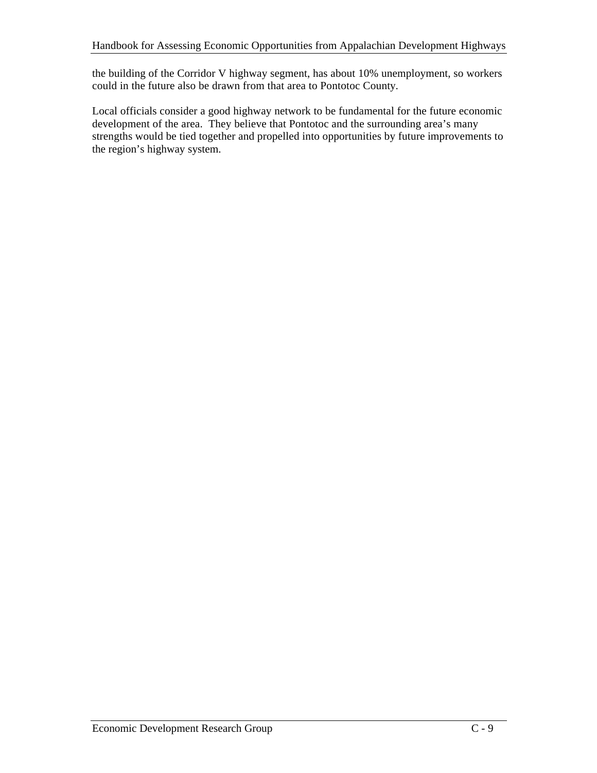the building of the Corridor V highway segment, has about 10% unemployment, so workers could in the future also be drawn from that area to Pontotoc County.

Local officials consider a good highway network to be fundamental for the future economic development of the area. They believe that Pontotoc and the surrounding area's many strengths would be tied together and propelled into opportunities by future improvements to the region's highway system.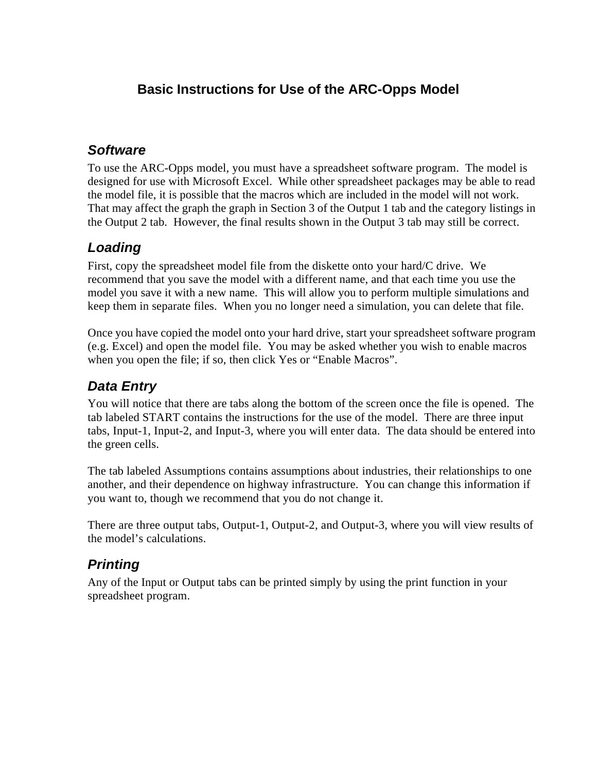### **Basic Instructions for Use of the ARC-Opps Model**

### *Software*

To use the ARC-Opps model, you must have a spreadsheet software program. The model is designed for use with Microsoft Excel. While other spreadsheet packages may be able to read the model file, it is possible that the macros which are included in the model will not work. That may affect the graph the graph in Section 3 of the Output 1 tab and the category listings in the Output 2 tab. However, the final results shown in the Output 3 tab may still be correct.

### *Loading*

First, copy the spreadsheet model file from the diskette onto your hard/C drive. We recommend that you save the model with a different name, and that each time you use the model you save it with a new name. This will allow you to perform multiple simulations and keep them in separate files. When you no longer need a simulation, you can delete that file.

Once you have copied the model onto your hard drive, start your spreadsheet software program (e.g. Excel) and open the model file. You may be asked whether you wish to enable macros when you open the file; if so, then click Yes or "Enable Macros".

### *Data Entry*

You will notice that there are tabs along the bottom of the screen once the file is opened. The tab labeled START contains the instructions for the use of the model. There are three input tabs, Input-1, Input-2, and Input-3, where you will enter data. The data should be entered into the green cells.

The tab labeled Assumptions contains assumptions about industries, their relationships to one another, and their dependence on highway infrastructure. You can change this information if you want to, though we recommend that you do not change it.

There are three output tabs, Output-1, Output-2, and Output-3, where you will view results of the model's calculations.

## *Printing*

Any of the Input or Output tabs can be printed simply by using the print function in your spreadsheet program.